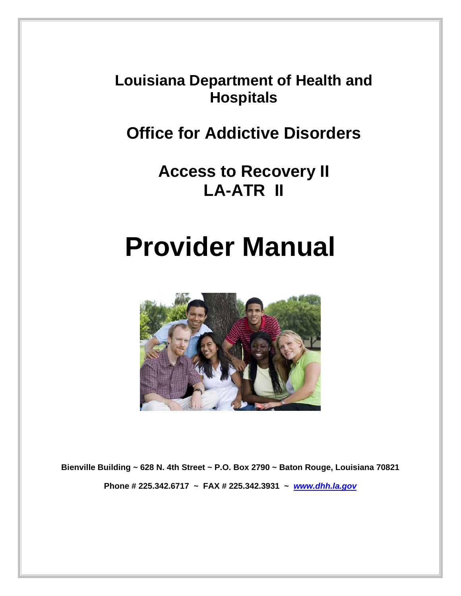**Louisiana Department of Health and Hospitals** 

**Office for Addictive Disorders** 

**Access to Recovery II LA-ATR II** 

# **Provider Manual**



**Bienville Building ~ 628 N. 4th Street ~ P.O. Box 2790 ~ Baton Rouge, Louisiana 70821 Phone # 225.342.6717 ~ FAX # 225.342.3931 ~** *www.dhh.la.gov*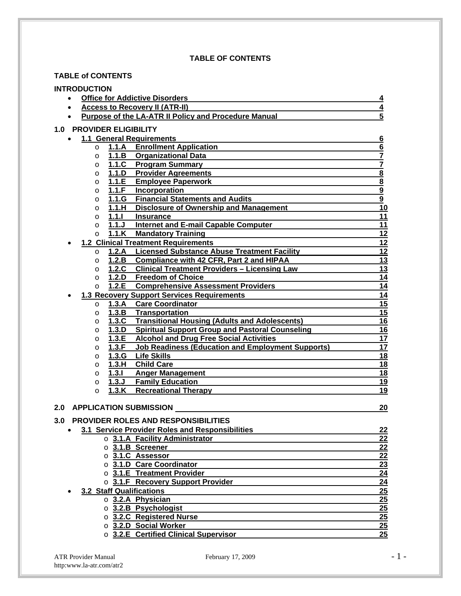#### **TABLE OF CONTENTS**

#### **TABLE of CONTENTS**

| <b>INTRODUCTION</b>                                                          |                         |  |  |  |
|------------------------------------------------------------------------------|-------------------------|--|--|--|
| <b>Office for Addictive Disorders</b>                                        | 4                       |  |  |  |
| <b>Access to Recovery II (ATR-II)</b>                                        | 4                       |  |  |  |
| 5<br>Purpose of the LA-ATR II Policy and Procedure Manual                    |                         |  |  |  |
| <b>1.0 PROVIDER ELIGIBILITY</b>                                              |                         |  |  |  |
| <b>1.1 General Requirements</b>                                              | $\underline{6}$         |  |  |  |
| 1.1.A Enrollment Application<br>$\circ$                                      | 6                       |  |  |  |
| 1.1.B Organizational Data<br>$\circ$                                         | $\overline{\mathbf{7}}$ |  |  |  |
| 1.1.C Program Summary<br>$\circ$                                             | $\overline{\mathbf{7}}$ |  |  |  |
| 1.1.D Provider Agreements<br>$\circ$                                         |                         |  |  |  |
| 1.1.E<br><b>Employee Paperwork</b><br>$\Omega$                               | $\frac{8}{8}$           |  |  |  |
| 1.1.F<br>Incorporation<br>$\circ$                                            |                         |  |  |  |
| 1.1.G Financial Statements and Audits<br>$\circ$                             | $\frac{9}{9}$           |  |  |  |
| <b>Disclosure of Ownership and Management</b><br>1.1.H<br>$\circ$            | $\overline{10}$         |  |  |  |
| 1.1.1<br><b>Insurance</b><br>$\circ$                                         | 11                      |  |  |  |
| 1.1.<br><b>Internet and E-mail Capable Computer</b><br>$\circ$               | 11                      |  |  |  |
| 1.1.K<br><b>Mandatory Training</b><br>$\circ$                                | 12                      |  |  |  |
| <b>1.2 Clinical Treatment Requirements</b>                                   | 12                      |  |  |  |
| <b>Licensed Substance Abuse Treatment Facility</b><br>1.2.A<br>$\circ$       | $\overline{12}$         |  |  |  |
| 1.2.B Compliance with 42 CFR, Part 2 and HIPAA<br>$\circ$                    | $\overline{13}$         |  |  |  |
| 1.2.C Clinical Treatment Providers - Licensing Law<br>$\circ$                | 13                      |  |  |  |
| 1.2.D Freedom of Choice<br>$\circ$                                           | $\overline{14}$         |  |  |  |
| 1.2.E<br><b>Comprehensive Assessment Providers</b><br>$\circ$                | 14                      |  |  |  |
| <b>1.3 Recovery Support Services Requirements</b>                            | 14                      |  |  |  |
| <b>Care Coordinator</b><br>1.3.A<br>$\circ$                                  | 15                      |  |  |  |
| 1.3.B Transportation<br>$\circ$                                              | $\overline{15}$         |  |  |  |
| 1.3.C Transitional Housing (Adults and Adolescents)<br>$\circ$               | $\overline{16}$         |  |  |  |
| 1.3.D<br><b>Spiritual Support Group and Pastoral Counseling</b><br>$\circ$   | 16                      |  |  |  |
| 1.3.E<br><b>Alcohol and Drug Free Social Activities</b><br>$\circ$           | 17                      |  |  |  |
| 1.3.F<br><b>Job Readiness (Education and Employment Supports)</b><br>$\circ$ | 17                      |  |  |  |
| 1.3.G<br><b>Life Skills</b><br>$\circ$                                       | 18                      |  |  |  |
| 1.3.H<br><b>Child Care</b><br>$\circ$                                        | 18                      |  |  |  |
| 1.3.1<br><b>Anger Management</b><br>$\circ$                                  | <u>18</u>               |  |  |  |
| 1.3J<br><b>Family Education</b><br>$\circ$                                   | 19                      |  |  |  |
| 1.3.K Recreational Therapy<br>$\circ$                                        | 19                      |  |  |  |
|                                                                              |                         |  |  |  |
| <b>APPLICATION SUBMISSION</b><br>2.0                                         | 20                      |  |  |  |
| PROVIDER ROLES AND RESPONSIBILITIES<br>3.0                                   |                         |  |  |  |
| 3.1 Service Provider Roles and Responsibilities                              | <u>22</u>               |  |  |  |
| $\circ$ 3.1.A Facility Administrator                                         | 22                      |  |  |  |
| $\circ$ 3.1.B Screener                                                       | $\overline{22}$         |  |  |  |
| o 3.1.C Assessor                                                             | $\overline{22}$         |  |  |  |
| o 3.1.D Care Coordinator                                                     | 23                      |  |  |  |
| $\circ$ 3.1.E Treatment Provider                                             | 24                      |  |  |  |
| o 3.1.F Recovery Support Provider                                            | $\overline{24}$         |  |  |  |
| 3.2 Staff Qualifications                                                     | 25                      |  |  |  |
| o 3.2.A Physician                                                            | $\overline{25}$         |  |  |  |
| o 3.2.B Psychologist                                                         | 25                      |  |  |  |
| o 3.2.C Registered Nurse                                                     | $\overline{25}$         |  |  |  |
| ○ 3.2.D Social Worker                                                        | 25                      |  |  |  |
| $\circ$ 3.2.E Certified Clinical Supervisor                                  | 25                      |  |  |  |

ATR Provider Manual February 17, 2009 - 1 http:www.la-atr.com/atr2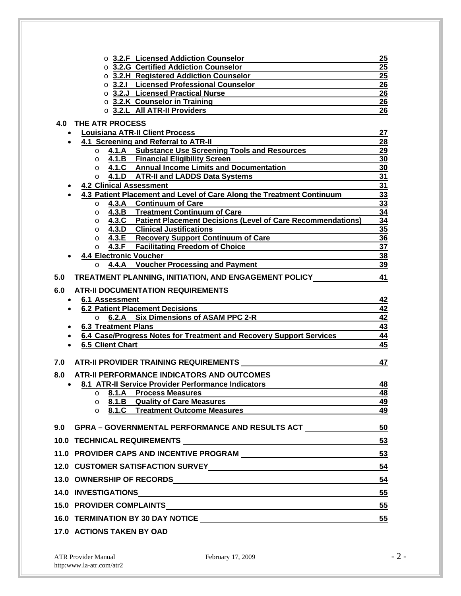| ○ 3.2.F Licensed Addiction Counselor                                                                                      | 25                                 |
|---------------------------------------------------------------------------------------------------------------------------|------------------------------------|
| ○ 3.2.G Certified Addiction Counselor                                                                                     | 25                                 |
| o 3.2.H Registered Addiction Counselor                                                                                    | 25                                 |
| o 3.2.1 Licensed Professional Counselor                                                                                   | 26                                 |
| o 3.2.J Licensed Practical Nurse                                                                                          | 26                                 |
| $\circ$ 3.2.K Counselor in Training                                                                                       | 26                                 |
| O 3.2.L All ATR-II Providers                                                                                              | 26                                 |
| <b>4.0 THE ATR PROCESS</b>                                                                                                |                                    |
| <b>Louisiana ATR-II Client Process</b><br>$\bullet$                                                                       | 27                                 |
| 4.1 Screening and Referral to ATR-II                                                                                      | 28                                 |
| 4.1.A Substance Use Screening Tools and Resources<br>$\circ$                                                              | 29                                 |
| 4.1.B Financial Eligibility Screen<br>$\circ$                                                                             | 30                                 |
| 4.1.C Annual Income Limits and Documentation<br>$\circ$                                                                   | 30                                 |
| ○ 4.1.D ATR-II and LADDS Data Systems                                                                                     | 31                                 |
| <b>4.2 Clinical Assessment</b>                                                                                            | 31                                 |
| 4.3 Patient Placement and Level of Care Along the Treatment Continuum                                                     | 33                                 |
| 4.3.A Continuum of Care<br>$\circ$                                                                                        | 33                                 |
| 4.3.B Treatment Continuum of Care<br>$\circ$<br>$\circ$ 4.3.C Patient Placement Decisions (Level of Care Recommendations) | 34<br>34                           |
| $\circ$ 4.3.D Clinical Justifications                                                                                     | 35                                 |
| $\circ$ 4.3.E Recovery Support Continuum of Care                                                                          | 36                                 |
| o 4.3.F Facilitating Freedom of Choice                                                                                    | 37                                 |
| <b>4.4 Electronic Voucher</b>                                                                                             | <u>38</u>                          |
| 4.4.A Voucher Processing and Payment<br>$\circ$                                                                           | 39                                 |
| TREATMENT PLANNING, INITIATION, AND ENGAGEMENT POLICY<br>5.0                                                              | 41                                 |
|                                                                                                                           |                                    |
| <b>ATR-II DOCUMENTATION REQUIREMENTS</b><br>6.0                                                                           |                                    |
| <b>6.1 Assessment</b>                                                                                                     | 42                                 |
| <b>6.2 Patient Placement Decisions</b>                                                                                    | 42                                 |
| 6.2.A Six Dimensions of ASAM PPC 2-R<br>$\circ$                                                                           | $\overline{42}$                    |
| <b>6.3 Treatment Plans</b>                                                                                                | $\overline{43}$<br>$\overline{44}$ |
| 6.4 Case/Progress Notes for Treatment and Recovery Support Services<br>6.5 Client Chart                                   | 45                                 |
|                                                                                                                           |                                    |
| ATR-II PROVIDER TRAINING REQUIREMENTS<br>7.0                                                                              | 47                                 |
| ATR-II PERFORMANCE INDICATORS AND OUTCOMES<br>8.0                                                                         |                                    |
| 8.1 ATR-II Service Provider Performance Indicators<br>$\bullet$                                                           | 48                                 |
| o 8.1.A Process Measures                                                                                                  | <u>48</u>                          |
| $\circ$ 8.1.B Quality of Care Measures                                                                                    | 49                                 |
| 8.1.C Treatment Outcome Measures<br>$\circ$                                                                               | 49                                 |
| 9.0 GPRA – GOVERNMENTAL PERFORMANCE AND RESULTS ACT                                                                       | 50                                 |
|                                                                                                                           |                                    |
|                                                                                                                           | 53                                 |
|                                                                                                                           | 53                                 |
| 12.0 CUSTOMER SATISFACTION SURVEY 54                                                                                      |                                    |
|                                                                                                                           | 54                                 |
|                                                                                                                           | 55                                 |
|                                                                                                                           | 55                                 |
|                                                                                                                           |                                    |
|                                                                                                                           | 55                                 |
| <b>17.0 ACTIONS TAKEN BY OAD</b>                                                                                          |                                    |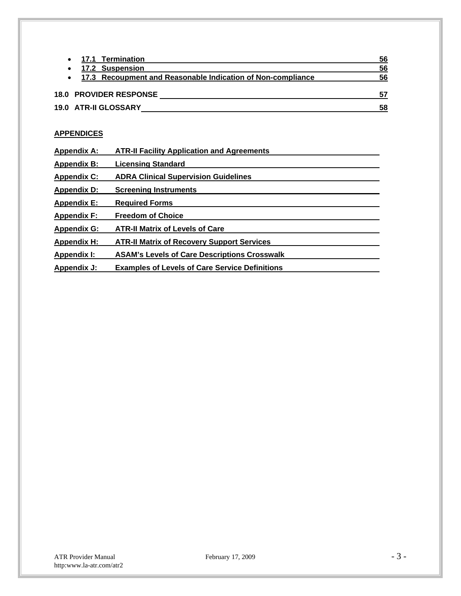| 17.1 Termination                                              | 56 |
|---------------------------------------------------------------|----|
| 17.2 Suspension                                               | 56 |
| • 17.3 Recoupment and Reasonable Indication of Non-compliance | 56 |
| <b>18.0 PROVIDER RESPONSE</b>                                 |    |
| 19.0 ATR-II GLOSSARY                                          | 58 |

#### **APPENDICES**

| <b>Appendix A:</b> | <b>ATR-II Facility Application and Agreements</b>     |  |
|--------------------|-------------------------------------------------------|--|
| <b>Appendix B:</b> | <b>Licensing Standard</b>                             |  |
| <b>Appendix C:</b> | <b>ADRA Clinical Supervision Guidelines</b>           |  |
| <b>Appendix D:</b> | <b>Screening Instruments</b>                          |  |
| <b>Appendix E:</b> | <b>Required Forms</b>                                 |  |
| <b>Appendix F:</b> | <b>Freedom of Choice</b>                              |  |
| <b>Appendix G:</b> | <b>ATR-II Matrix of Levels of Care</b>                |  |
| <b>Appendix H:</b> | <b>ATR-II Matrix of Recovery Support Services</b>     |  |
| Appendix I:        | <b>ASAM's Levels of Care Descriptions Crosswalk</b>   |  |
| Appendix J:        | <b>Examples of Levels of Care Service Definitions</b> |  |
|                    |                                                       |  |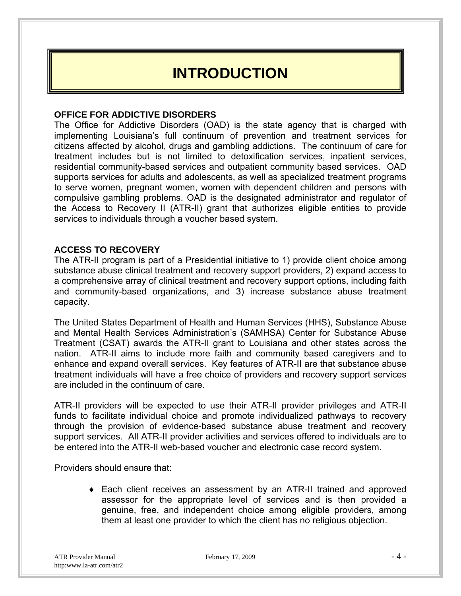### **INTRODUCTION**

#### **OFFICE FOR ADDICTIVE DISORDERS**

The Office for Addictive Disorders (OAD) is the state agency that is charged with implementing Louisiana's full continuum of prevention and treatment services for citizens affected by alcohol, drugs and gambling addictions. The continuum of care for treatment includes but is not limited to detoxification services, inpatient services, residential community-based services and outpatient community based services. OAD supports services for adults and adolescents, as well as specialized treatment programs to serve women, pregnant women, women with dependent children and persons with compulsive gambling problems. OAD is the designated administrator and regulator of the Access to Recovery II (ATR-II) grant that authorizes eligible entities to provide services to individuals through a voucher based system.

#### **ACCESS TO RECOVERY**

The ATR-II program is part of a Presidential initiative to 1) provide client choice among substance abuse clinical treatment and recovery support providers, 2) expand access to a comprehensive array of clinical treatment and recovery support options, including faith and community-based organizations, and 3) increase substance abuse treatment capacity.

The United States Department of Health and Human Services (HHS), Substance Abuse and Mental Health Services Administration's (SAMHSA) Center for Substance Abuse Treatment (CSAT) awards the ATR-II grant to Louisiana and other states across the nation. ATR-II aims to include more faith and community based caregivers and to enhance and expand overall services. Key features of ATR-II are that substance abuse treatment individuals will have a free choice of providers and recovery support services are included in the continuum of care.

ATR-II providers will be expected to use their ATR-II provider privileges and ATR-II funds to facilitate individual choice and promote individualized pathways to recovery through the provision of evidence-based substance abuse treatment and recovery support services. All ATR-II provider activities and services offered to individuals are to be entered into the ATR-II web-based voucher and electronic case record system.

Providers should ensure that:

 Each client receives an assessment by an ATR-II trained and approved assessor for the appropriate level of services and is then provided a genuine, free, and independent choice among eligible providers, among them at least one provider to which the client has no religious objection.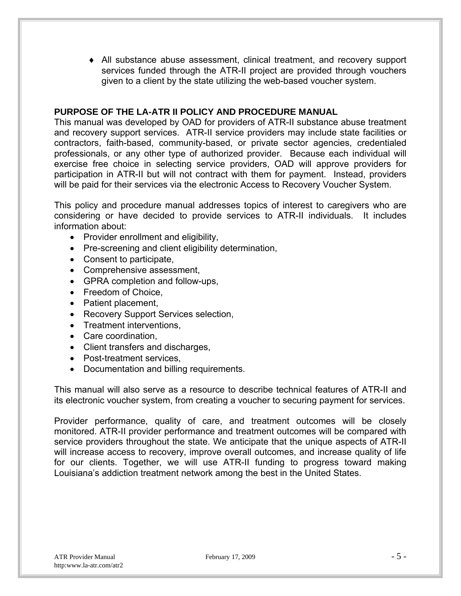All substance abuse assessment, clinical treatment, and recovery support services funded through the ATR-II project are provided through vouchers given to a client by the state utilizing the web-based voucher system.

#### **PURPOSE OF THE LA-ATR II POLICY AND PROCEDURE MANUAL**

This manual was developed by OAD for providers of ATR-II substance abuse treatment and recovery support services. ATR-II service providers may include state facilities or contractors, faith-based, community-based, or private sector agencies, credentialed professionals, or any other type of authorized provider. Because each individual will exercise free choice in selecting service providers, OAD will approve providers for participation in ATR-II but will not contract with them for payment. Instead, providers will be paid for their services via the electronic Access to Recovery Voucher System.

This policy and procedure manual addresses topics of interest to caregivers who are considering or have decided to provide services to ATR-II individuals. It includes information about:

- Provider enrollment and eligibility,
- Pre-screening and client eligibility determination,
- Consent to participate,
- Comprehensive assessment,
- GPRA completion and follow-ups,
- Freedom of Choice,
- Patient placement,
- Recovery Support Services selection,
- Treatment interventions,
- Care coordination.
- Client transfers and discharges,
- Post-treatment services,
- Documentation and billing requirements.

This manual will also serve as a resource to describe technical features of ATR-II and its electronic voucher system, from creating a voucher to securing payment for services.

Provider performance, quality of care, and treatment outcomes will be closely monitored. ATR-II provider performance and treatment outcomes will be compared with service providers throughout the state. We anticipate that the unique aspects of ATR-II will increase access to recovery, improve overall outcomes, and increase quality of life for our clients. Together, we will use ATR-II funding to progress toward making Louisiana's addiction treatment network among the best in the United States.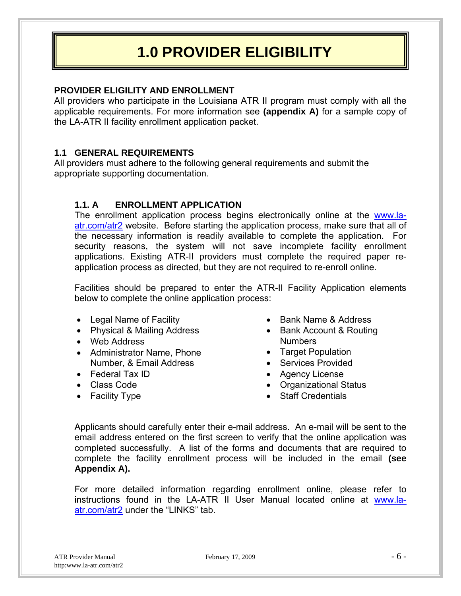### **1.0 PROVIDER ELIGIBILITY**

#### **PROVIDER ELIGILITY AND ENROLLMENT**

All providers who participate in the Louisiana ATR II program must comply with all the applicable requirements. For more information see **(appendix A)** for a sample copy of the LA-ATR II facility enrollment application packet.

#### **1.1 GENERAL REQUIREMENTS**

All providers must adhere to the following general requirements and submit the appropriate supporting documentation.

#### **1.1. A ENROLLMENT APPLICATION**

The enrollment application process begins electronically online at the www.laatr.com/atr2 website. Before starting the application process, make sure that all of the necessary information is readily available to complete the application. For security reasons, the system will not save incomplete facility enrollment applications. Existing ATR-II providers must complete the required paper reapplication process as directed, but they are not required to re-enroll online.

Facilities should be prepared to enter the ATR-II Facility Application elements below to complete the online application process:

- Legal Name of Facility
- Physical & Mailing Address
- Web Address
- Administrator Name, Phone Number, & Email Address
- Federal Tax ID
- Class Code
- Facility Type
- Bank Name & Address
- Bank Account & Routing **Numbers**
- Target Population
- Services Provided
- Agency License
- Organizational Status
- Staff Credentials

Applicants should carefully enter their e-mail address. An e-mail will be sent to the email address entered on the first screen to verify that the online application was completed successfully. A list of the forms and documents that are required to complete the facility enrollment process will be included in the email **(see Appendix A).** 

For more detailed information regarding enrollment online, please refer to instructions found in the LA-ATR II User Manual located online at www.laatr.com/atr2 under the "LINKS" tab.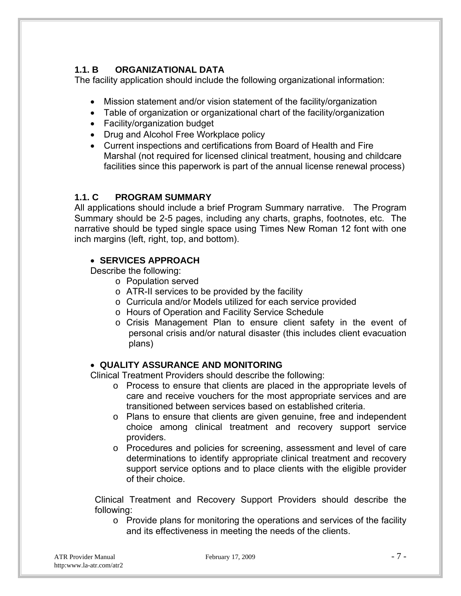### **1.1. B ORGANIZATIONAL DATA**

The facility application should include the following organizational information:

- Mission statement and/or vision statement of the facility/organization
- Table of organization or organizational chart of the facility/organization
- Facility/organization budget
- Drug and Alcohol Free Workplace policy
- Current inspections and certifications from Board of Health and Fire Marshal (not required for licensed clinical treatment, housing and childcare facilities since this paperwork is part of the annual license renewal process)

#### **1.1. C PROGRAM SUMMARY**

All applications should include a brief Program Summary narrative. The Program Summary should be 2-5 pages, including any charts, graphs, footnotes, etc. The narrative should be typed single space using Times New Roman 12 font with one inch margins (left, right, top, and bottom).

#### **SERVICES APPROACH**

Describe the following:

- o Population served
- o ATR-II services to be provided by the facility
- o Curricula and/or Models utilized for each service provided
- o Hours of Operation and Facility Service Schedule
- o Crisis Management Plan to ensure client safety in the event of personal crisis and/or natural disaster (this includes client evacuation plans)

#### **QUALITY ASSURANCE AND MONITORING**

Clinical Treatment Providers should describe the following:

- o Process to ensure that clients are placed in the appropriate levels of care and receive vouchers for the most appropriate services and are transitioned between services based on established criteria.
- o Plans to ensure that clients are given genuine, free and independent choice among clinical treatment and recovery support service providers.
- o Procedures and policies for screening, assessment and level of care determinations to identify appropriate clinical treatment and recovery support service options and to place clients with the eligible provider of their choice.

Clinical Treatment and Recovery Support Providers should describe the following:

o Provide plans for monitoring the operations and services of the facility and its effectiveness in meeting the needs of the clients.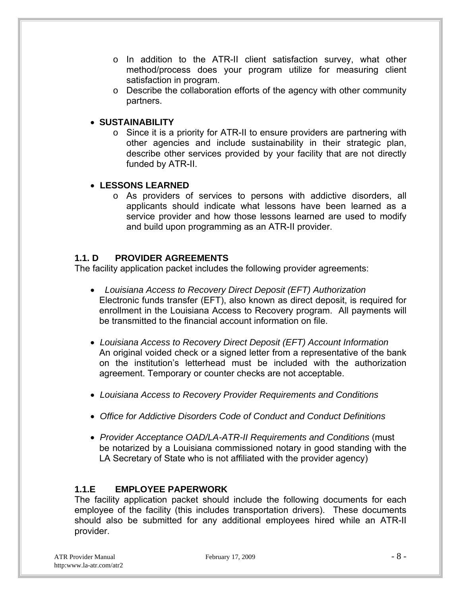- o In addition to the ATR-II client satisfaction survey, what other method/process does your program utilize for measuring client satisfaction in program.
- o Describe the collaboration efforts of the agency with other community partners.

#### **SUSTAINABILITY**

o Since it is a priority for ATR-II to ensure providers are partnering with other agencies and include sustainability in their strategic plan, describe other services provided by your facility that are not directly funded by ATR-II.

#### **LESSONS LEARNED**

o As providers of services to persons with addictive disorders, all applicants should indicate what lessons have been learned as a service provider and how those lessons learned are used to modify and build upon programming as an ATR-II provider.

#### **1.1. D PROVIDER AGREEMENTS**

The facility application packet includes the following provider agreements:

- *Louisiana Access to Recovery Direct Deposit (EFT) Authorization*  Electronic funds transfer (EFT), also known as direct deposit, is required for enrollment in the Louisiana Access to Recovery program. All payments will be transmitted to the financial account information on file.
- *Louisiana Access to Recovery Direct Deposit (EFT) Account Information*  An original voided check or a signed letter from a representative of the bank on the institution's letterhead must be included with the authorization agreement. Temporary or counter checks are not acceptable.
- *Louisiana Access to Recovery Provider Requirements and Conditions*
- *Office for Addictive Disorders Code of Conduct and Conduct Definitions*
- *Provider Acceptance OAD/LA-ATR-II Requirements and Conditions* (must be notarized by a Louisiana commissioned notary in good standing with the LA Secretary of State who is not affiliated with the provider agency)

#### **1.1.E EMPLOYEE PAPERWORK**

The facility application packet should include the following documents for each employee of the facility (this includes transportation drivers). These documents should also be submitted for any additional employees hired while an ATR-II provider.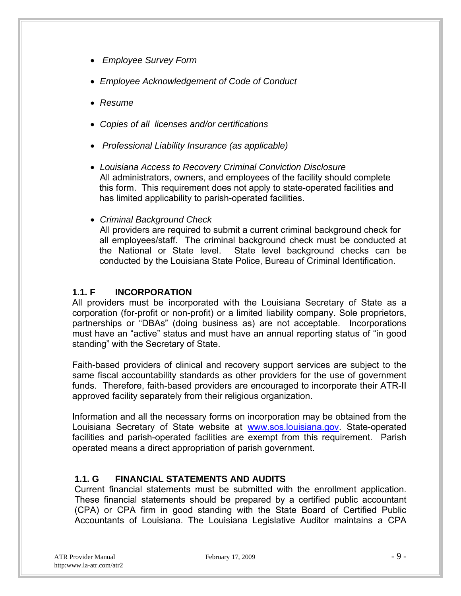- *Employee Survey Form*
- *Employee Acknowledgement of Code of Conduct*
- *Resume*
- *Copies of all licenses and/or certifications*
- *Professional Liability Insurance (as applicable)*
- *Louisiana Access to Recovery Criminal Conviction Disclosure*  All administrators, owners, and employees of the facility should complete this form. This requirement does not apply to state-operated facilities and has limited applicability to parish-operated facilities.
- *Criminal Background Check*

 All providers are required to submit a current criminal background check for all employees/staff. The criminal background check must be conducted at the National or State level. State level background checks can be conducted by the Louisiana State Police, Bureau of Criminal Identification.

#### **1.1. F INCORPORATION**

All providers must be incorporated with the Louisiana Secretary of State as a corporation (for-profit or non-profit) or a limited liability company. Sole proprietors, partnerships or "DBAs" (doing business as) are not acceptable. Incorporations must have an "active" status and must have an annual reporting status of "in good standing" with the Secretary of State.

Faith-based providers of clinical and recovery support services are subject to the same fiscal accountability standards as other providers for the use of government funds. Therefore, faith-based providers are encouraged to incorporate their ATR-II approved facility separately from their religious organization.

Information and all the necessary forms on incorporation may be obtained from the Louisiana Secretary of State website at www.sos.louisiana.gov. State-operated facilities and parish-operated facilities are exempt from this requirement. Parish operated means a direct appropriation of parish government.

#### **1.1. G FINANCIAL STATEMENTS AND AUDITS**

Current financial statements must be submitted with the enrollment application. These financial statements should be prepared by a certified public accountant (CPA) or CPA firm in good standing with the State Board of Certified Public Accountants of Louisiana. The Louisiana Legislative Auditor maintains a CPA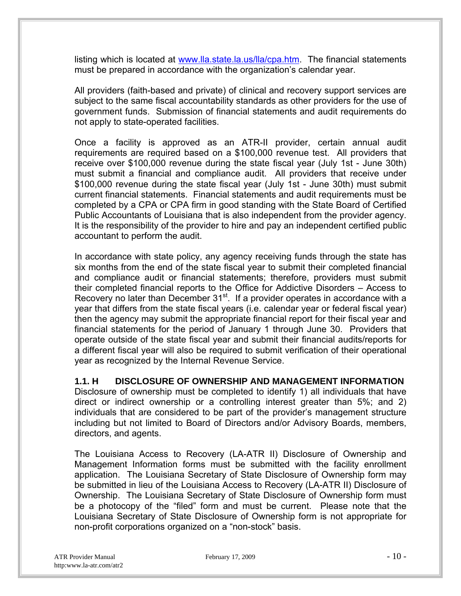listing which is located at www.lla.state.la.us/lla/cpa.htm. The financial statements must be prepared in accordance with the organization's calendar year.

All providers (faith-based and private) of clinical and recovery support services are subject to the same fiscal accountability standards as other providers for the use of government funds. Submission of financial statements and audit requirements do not apply to state-operated facilities.

Once a facility is approved as an ATR-II provider, certain annual audit requirements are required based on a \$100,000 revenue test. All providers that receive over \$100,000 revenue during the state fiscal year (July 1st - June 30th) must submit a financial and compliance audit. All providers that receive under \$100,000 revenue during the state fiscal year (July 1st - June 30th) must submit current financial statements. Financial statements and audit requirements must be completed by a CPA or CPA firm in good standing with the State Board of Certified Public Accountants of Louisiana that is also independent from the provider agency. It is the responsibility of the provider to hire and pay an independent certified public accountant to perform the audit.

In accordance with state policy, any agency receiving funds through the state has six months from the end of the state fiscal year to submit their completed financial and compliance audit or financial statements; therefore, providers must submit their completed financial reports to the Office for Addictive Disorders – Access to Recovery no later than December 31<sup>st</sup>. If a provider operates in accordance with a year that differs from the state fiscal years (i.e. calendar year or federal fiscal year) then the agency may submit the appropriate financial report for their fiscal year and financial statements for the period of January 1 through June 30. Providers that operate outside of the state fiscal year and submit their financial audits/reports for a different fiscal year will also be required to submit verification of their operational year as recognized by the Internal Revenue Service.

#### **1.1. H DISCLOSURE OF OWNERSHIP AND MANAGEMENT INFORMATION**

Disclosure of ownership must be completed to identify 1) all individuals that have direct or indirect ownership or a controlling interest greater than 5%; and 2) individuals that are considered to be part of the provider's management structure including but not limited to Board of Directors and/or Advisory Boards, members, directors, and agents.

The Louisiana Access to Recovery (LA-ATR II) Disclosure of Ownership and Management Information forms must be submitted with the facility enrollment application. The Louisiana Secretary of State Disclosure of Ownership form may be submitted in lieu of the Louisiana Access to Recovery (LA-ATR II) Disclosure of Ownership. The Louisiana Secretary of State Disclosure of Ownership form must be a photocopy of the "filed" form and must be current. Please note that the Louisiana Secretary of State Disclosure of Ownership form is not appropriate for non-profit corporations organized on a "non-stock" basis.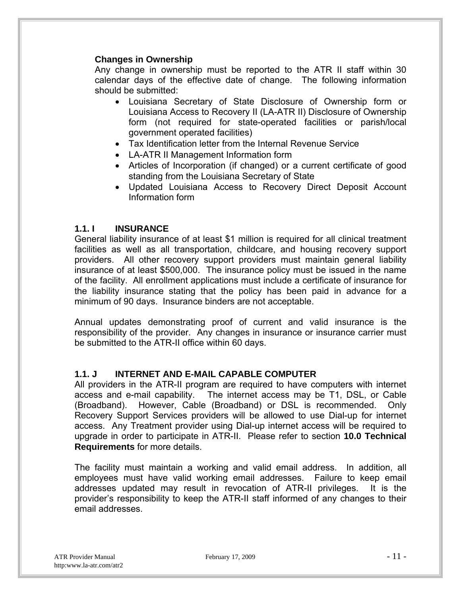#### **Changes in Ownership**

Any change in ownership must be reported to the ATR II staff within 30 calendar days of the effective date of change. The following information should be submitted:

- Louisiana Secretary of State Disclosure of Ownership form or Louisiana Access to Recovery II (LA-ATR II) Disclosure of Ownership form (not required for state-operated facilities or parish/local government operated facilities)
- Tax Identification letter from the Internal Revenue Service
- LA-ATR II Management Information form
- Articles of Incorporation (if changed) or a current certificate of good standing from the Louisiana Secretary of State
- Updated Louisiana Access to Recovery Direct Deposit Account Information form

#### **1.1. I INSURANCE**

General liability insurance of at least \$1 million is required for all clinical treatment facilities as well as all transportation, childcare, and housing recovery support providers. All other recovery support providers must maintain general liability insurance of at least \$500,000. The insurance policy must be issued in the name of the facility. All enrollment applications must include a certificate of insurance for the liability insurance stating that the policy has been paid in advance for a minimum of 90 days. Insurance binders are not acceptable.

Annual updates demonstrating proof of current and valid insurance is the responsibility of the provider. Any changes in insurance or insurance carrier must be submitted to the ATR-II office within 60 days.

#### **1.1. J INTERNET AND E-MAIL CAPABLE COMPUTER**

All providers in the ATR-II program are required to have computers with internet access and e-mail capability. The internet access may be T1, DSL, or Cable (Broadband). However, Cable (Broadband) or DSL is recommended. Only Recovery Support Services providers will be allowed to use Dial-up for internet access. Any Treatment provider using Dial-up internet access will be required to upgrade in order to participate in ATR-II. Please refer to section **10.0 Technical Requirements** for more details.

The facility must maintain a working and valid email address. In addition, all employees must have valid working email addresses. Failure to keep email addresses updated may result in revocation of ATR-II privileges. It is the provider's responsibility to keep the ATR-II staff informed of any changes to their email addresses.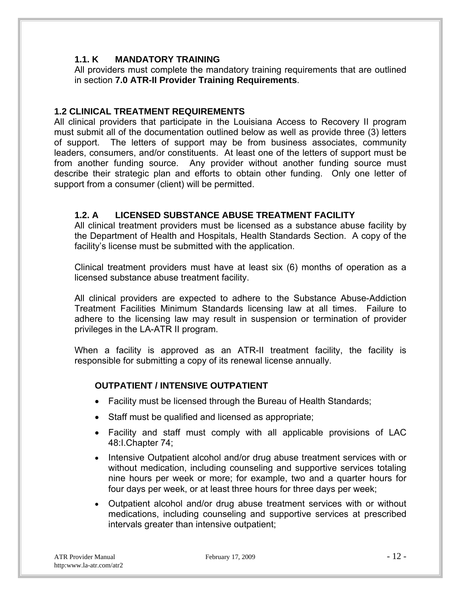#### **1.1. K MANDATORY TRAINING**

All providers must complete the mandatory training requirements that are outlined in section **7.0 ATR-II Provider Training Requirements**.

#### **1.2 CLINICAL TREATMENT REQUIREMENTS**

All clinical providers that participate in the Louisiana Access to Recovery II program must submit all of the documentation outlined below as well as provide three (3) letters of support. The letters of support may be from business associates, community leaders, consumers, and/or constituents. At least one of the letters of support must be from another funding source. Any provider without another funding source must describe their strategic plan and efforts to obtain other funding. Only one letter of support from a consumer (client) will be permitted.

#### **1.2. A LICENSED SUBSTANCE ABUSE TREATMENT FACILITY**

All clinical treatment providers must be licensed as a substance abuse facility by the Department of Health and Hospitals, Health Standards Section. A copy of the facility's license must be submitted with the application.

Clinical treatment providers must have at least six (6) months of operation as a licensed substance abuse treatment facility.

All clinical providers are expected to adhere to the Substance Abuse-Addiction Treatment Facilities Minimum Standards licensing law at all times. Failure to adhere to the licensing law may result in suspension or termination of provider privileges in the LA-ATR II program.

When a facility is approved as an ATR-II treatment facility, the facility is responsible for submitting a copy of its renewal license annually.

#### **OUTPATIENT / INTENSIVE OUTPATIENT**

- Facility must be licensed through the Bureau of Health Standards;
- Staff must be qualified and licensed as appropriate;
- Facility and staff must comply with all applicable provisions of LAC 48:I.Chapter 74;
- Intensive Outpatient alcohol and/or drug abuse treatment services with or without medication, including counseling and supportive services totaling nine hours per week or more; for example, two and a quarter hours for four days per week, or at least three hours for three days per week;
- Outpatient alcohol and/or drug abuse treatment services with or without medications, including counseling and supportive services at prescribed intervals greater than intensive outpatient;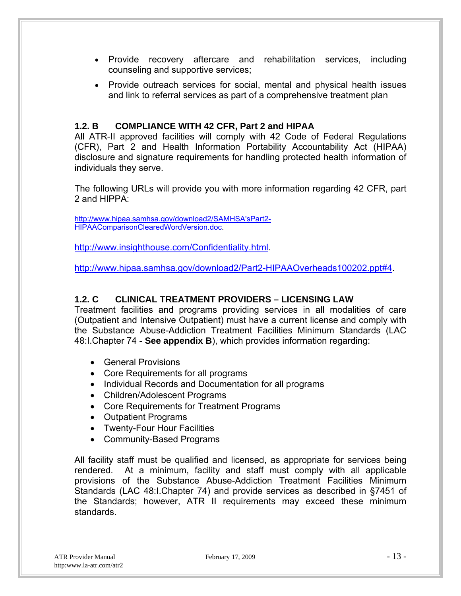- Provide recovery aftercare and rehabilitation services, including counseling and supportive services;
- Provide outreach services for social, mental and physical health issues and link to referral services as part of a comprehensive treatment plan

#### **1.2. B COMPLIANCE WITH 42 CFR, Part 2 and HIPAA**

All ATR-II approved facilities will comply with 42 Code of Federal Regulations (CFR), Part 2 and Health Information Portability Accountability Act (HIPAA) disclosure and signature requirements for handling protected health information of individuals they serve.

The following URLs will provide you with more information regarding 42 CFR, part 2 and HIPPA:

http://www.hipaa.samhsa.gov/download2/SAMHSA'sPart2- HIPAAComparisonClearedWordVersion.doc.

http://www.insighthouse.com/Confidentiality.html

http://www.hipaa.samhsa.gov/download2/Part2-HIPAAOverheads100202.ppt#4.

#### **1.2. C CLINICAL TREATMENT PROVIDERS – LICENSING LAW**

Treatment facilities and programs providing services in all modalities of care (Outpatient and Intensive Outpatient) must have a current license and comply with the Substance Abuse-Addiction Treatment Facilities Minimum Standards (LAC 48:I.Chapter 74 - **See appendix B**), which provides information regarding:

- General Provisions
- Core Requirements for all programs
- Individual Records and Documentation for all programs
- Children/Adolescent Programs
- Core Requirements for Treatment Programs
- Outpatient Programs
- Twenty-Four Hour Facilities
- Community-Based Programs

All facility staff must be qualified and licensed, as appropriate for services being rendered. At a minimum, facility and staff must comply with all applicable provisions of the Substance Abuse-Addiction Treatment Facilities Minimum Standards (LAC 48:I.Chapter 74) and provide services as described in §7451 of the Standards; however, ATR II requirements may exceed these minimum standards.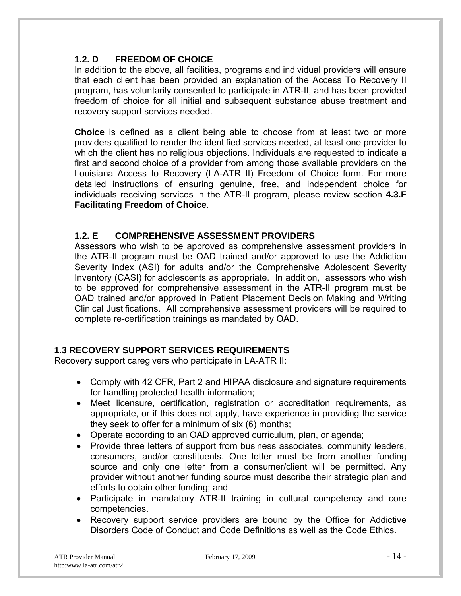#### **1.2. D FREEDOM OF CHOICE**

In addition to the above, all facilities, programs and individual providers will ensure that each client has been provided an explanation of the Access To Recovery II program, has voluntarily consented to participate in ATR-II, and has been provided freedom of choice for all initial and subsequent substance abuse treatment and recovery support services needed.

**Choice** is defined as a client being able to choose from at least two or more providers qualified to render the identified services needed, at least one provider to which the client has no religious objections. Individuals are requested to indicate a first and second choice of a provider from among those available providers on the Louisiana Access to Recovery (LA-ATR II) Freedom of Choice form. For more detailed instructions of ensuring genuine, free, and independent choice for individuals receiving services in the ATR-II program, please review section **4.3.F Facilitating Freedom of Choice**.

#### **1.2. E COMPREHENSIVE ASSESSMENT PROVIDERS**

Assessors who wish to be approved as comprehensive assessment providers in the ATR-II program must be OAD trained and/or approved to use the Addiction Severity Index (ASI) for adults and/or the Comprehensive Adolescent Severity Inventory (CASI) for adolescents as appropriate. In addition, assessors who wish to be approved for comprehensive assessment in the ATR-II program must be OAD trained and/or approved in Patient Placement Decision Making and Writing Clinical Justifications. All comprehensive assessment providers will be required to complete re-certification trainings as mandated by OAD.

#### **1.3 RECOVERY SUPPORT SERVICES REQUIREMENTS**

Recovery support caregivers who participate in LA-ATR II:

- Comply with 42 CFR, Part 2 and HIPAA disclosure and signature requirements for handling protected health information;
- Meet licensure, certification, registration or accreditation requirements, as appropriate, or if this does not apply, have experience in providing the service they seek to offer for a minimum of six (6) months;
- Operate according to an OAD approved curriculum, plan, or agenda;
- Provide three letters of support from business associates, community leaders, consumers, and/or constituents. One letter must be from another funding source and only one letter from a consumer/client will be permitted. Any provider without another funding source must describe their strategic plan and efforts to obtain other funding; and
- Participate in mandatory ATR-II training in cultural competency and core competencies.
- Recovery support service providers are bound by the Office for Addictive Disorders Code of Conduct and Code Definitions as well as the Code Ethics.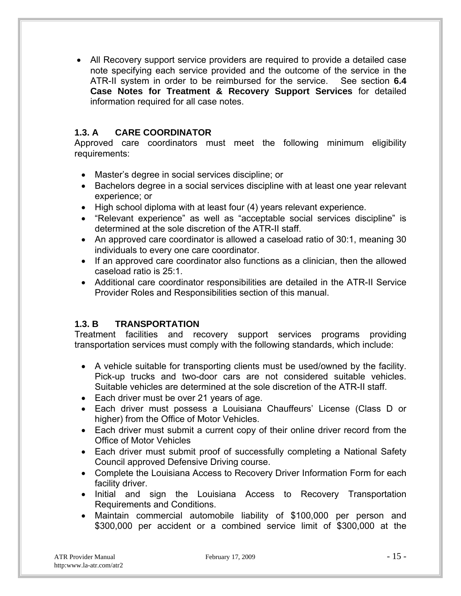All Recovery support service providers are required to provide a detailed case note specifying each service provided and the outcome of the service in the ATR-II system in order to be reimbursed for the service. See section **6.4 Case Notes for Treatment & Recovery Support Services** for detailed information required for all case notes.

#### **1.3. A CARE COORDINATOR**

Approved care coordinators must meet the following minimum eligibility requirements:

- Master's degree in social services discipline; or
- Bachelors degree in a social services discipline with at least one year relevant experience; or
- High school diploma with at least four (4) years relevant experience.
- "Relevant experience" as well as "acceptable social services discipline" is determined at the sole discretion of the ATR-II staff.
- An approved care coordinator is allowed a caseload ratio of 30:1, meaning 30 individuals to every one care coordinator.
- If an approved care coordinator also functions as a clinician, then the allowed caseload ratio is 25:1.
- Additional care coordinator responsibilities are detailed in the ATR-II Service Provider Roles and Responsibilities section of this manual.

#### **1.3. B TRANSPORTATION**

Treatment facilities and recovery support services programs providing transportation services must comply with the following standards, which include:

- A vehicle suitable for transporting clients must be used/owned by the facility. Pick-up trucks and two-door cars are not considered suitable vehicles. Suitable vehicles are determined at the sole discretion of the ATR-II staff.
- Each driver must be over 21 years of age.
- Each driver must possess a Louisiana Chauffeurs' License (Class D or higher) from the Office of Motor Vehicles.
- Each driver must submit a current copy of their online driver record from the Office of Motor Vehicles
- Each driver must submit proof of successfully completing a National Safety Council approved Defensive Driving course.
- Complete the Louisiana Access to Recovery Driver Information Form for each facility driver.
- Initial and sign the Louisiana Access to Recovery Transportation Requirements and Conditions.
- Maintain commercial automobile liability of \$100,000 per person and \$300,000 per accident or a combined service limit of \$300,000 at the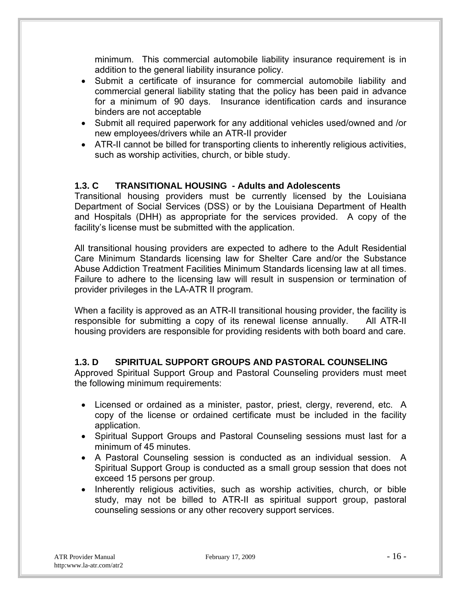minimum. This commercial automobile liability insurance requirement is in addition to the general liability insurance policy.

- Submit a certificate of insurance for commercial automobile liability and commercial general liability stating that the policy has been paid in advance for a minimum of 90 days. Insurance identification cards and insurance binders are not acceptable
- Submit all required paperwork for any additional vehicles used/owned and /or new employees/drivers while an ATR-II provider
- ATR-II cannot be billed for transporting clients to inherently religious activities, such as worship activities, church, or bible study.

#### **1.3. C TRANSITIONAL HOUSING - Adults and Adolescents**

Transitional housing providers must be currently licensed by the Louisiana Department of Social Services (DSS) or by the Louisiana Department of Health and Hospitals (DHH) as appropriate for the services provided. A copy of the facility's license must be submitted with the application.

All transitional housing providers are expected to adhere to the Adult Residential Care Minimum Standards licensing law for Shelter Care and/or the Substance Abuse Addiction Treatment Facilities Minimum Standards licensing law at all times. Failure to adhere to the licensing law will result in suspension or termination of provider privileges in the LA-ATR II program.

When a facility is approved as an ATR-II transitional housing provider, the facility is responsible for submitting a copy of its renewal license annually. All ATR-II housing providers are responsible for providing residents with both board and care.

#### **1.3. D SPIRITUAL SUPPORT GROUPS AND PASTORAL COUNSELING**

Approved Spiritual Support Group and Pastoral Counseling providers must meet the following minimum requirements:

- Licensed or ordained as a minister, pastor, priest, clergy, reverend, etc. A copy of the license or ordained certificate must be included in the facility application.
- Spiritual Support Groups and Pastoral Counseling sessions must last for a minimum of 45 minutes.
- A Pastoral Counseling session is conducted as an individual session. A Spiritual Support Group is conducted as a small group session that does not exceed 15 persons per group.
- Inherently religious activities, such as worship activities, church, or bible study, may not be billed to ATR-II as spiritual support group, pastoral counseling sessions or any other recovery support services.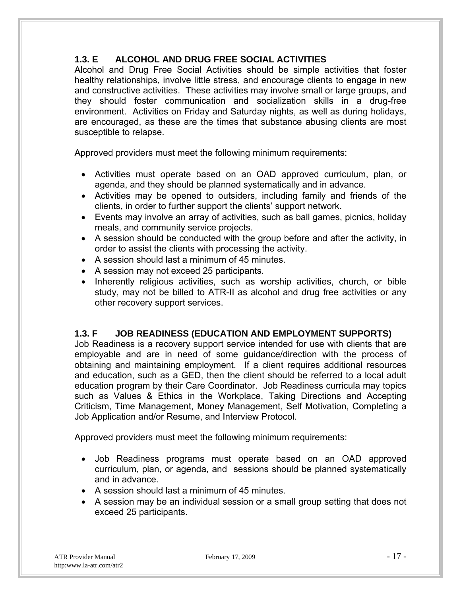### **1.3. E ALCOHOL AND DRUG FREE SOCIAL ACTIVITIES**

Alcohol and Drug Free Social Activities should be simple activities that foster healthy relationships, involve little stress, and encourage clients to engage in new and constructive activities. These activities may involve small or large groups, and they should foster communication and socialization skills in a drug-free environment. Activities on Friday and Saturday nights, as well as during holidays, are encouraged, as these are the times that substance abusing clients are most susceptible to relapse.

Approved providers must meet the following minimum requirements:

- Activities must operate based on an OAD approved curriculum, plan, or agenda, and they should be planned systematically and in advance.
- Activities may be opened to outsiders, including family and friends of the clients, in order to further support the clients' support network.
- Events may involve an array of activities, such as ball games, picnics, holiday meals, and community service projects.
- A session should be conducted with the group before and after the activity, in order to assist the clients with processing the activity.
- A session should last a minimum of 45 minutes.
- A session may not exceed 25 participants.
- Inherently religious activities, such as worship activities, church, or bible study, may not be billed to ATR-II as alcohol and drug free activities or any other recovery support services.

#### **1.3. F JOB READINESS (EDUCATION AND EMPLOYMENT SUPPORTS)**

Job Readiness is a recovery support service intended for use with clients that are employable and are in need of some guidance/direction with the process of obtaining and maintaining employment. If a client requires additional resources and education, such as a GED, then the client should be referred to a local adult education program by their Care Coordinator. Job Readiness curricula may topics such as Values & Ethics in the Workplace, Taking Directions and Accepting Criticism, Time Management, Money Management, Self Motivation, Completing a Job Application and/or Resume, and Interview Protocol.

Approved providers must meet the following minimum requirements:

- Job Readiness programs must operate based on an OAD approved curriculum, plan, or agenda, and sessions should be planned systematically and in advance.
- A session should last a minimum of 45 minutes.
- A session may be an individual session or a small group setting that does not exceed 25 participants.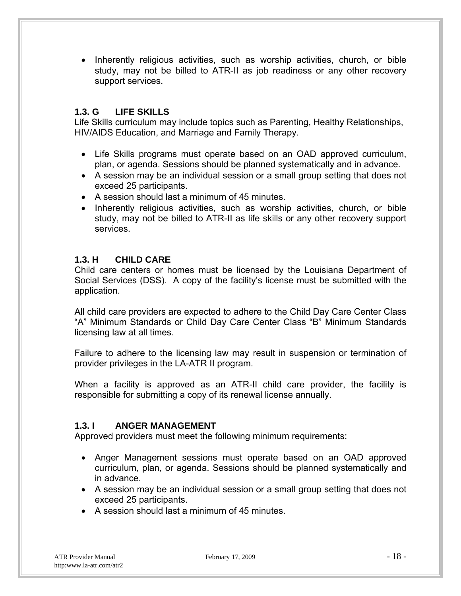• Inherently religious activities, such as worship activities, church, or bible study, may not be billed to ATR-II as job readiness or any other recovery support services.

#### **1.3. G LIFE SKILLS**

Life Skills curriculum may include topics such as Parenting, Healthy Relationships, HIV/AIDS Education, and Marriage and Family Therapy.

- Life Skills programs must operate based on an OAD approved curriculum, plan, or agenda. Sessions should be planned systematically and in advance.
- A session may be an individual session or a small group setting that does not exceed 25 participants.
- A session should last a minimum of 45 minutes.
- Inherently religious activities, such as worship activities, church, or bible study, may not be billed to ATR-II as life skills or any other recovery support services.

#### **1.3. H CHILD CARE**

Child care centers or homes must be licensed by the Louisiana Department of Social Services (DSS). A copy of the facility's license must be submitted with the application.

All child care providers are expected to adhere to the Child Day Care Center Class "A" Minimum Standards or Child Day Care Center Class "B" Minimum Standards licensing law at all times.

Failure to adhere to the licensing law may result in suspension or termination of provider privileges in the LA-ATR II program.

When a facility is approved as an ATR-II child care provider, the facility is responsible for submitting a copy of its renewal license annually.

#### **1.3. I ANGER MANAGEMENT**

Approved providers must meet the following minimum requirements:

- Anger Management sessions must operate based on an OAD approved curriculum, plan, or agenda. Sessions should be planned systematically and in advance.
- A session may be an individual session or a small group setting that does not exceed 25 participants.
- A session should last a minimum of 45 minutes.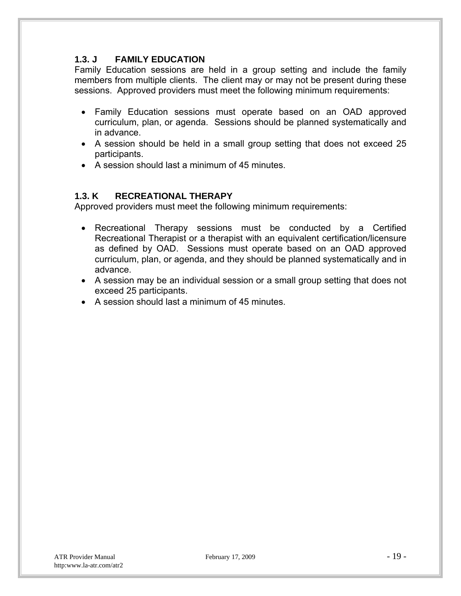#### **1.3. J FAMILY EDUCATION**

Family Education sessions are held in a group setting and include the family members from multiple clients. The client may or may not be present during these sessions. Approved providers must meet the following minimum requirements:

- Family Education sessions must operate based on an OAD approved curriculum, plan, or agenda. Sessions should be planned systematically and in advance.
- A session should be held in a small group setting that does not exceed 25 participants.
- A session should last a minimum of 45 minutes.

#### **1.3. K RECREATIONAL THERAPY**

Approved providers must meet the following minimum requirements:

- Recreational Therapy sessions must be conducted by a Certified Recreational Therapist or a therapist with an equivalent certification/licensure as defined by OAD. Sessions must operate based on an OAD approved curriculum, plan, or agenda, and they should be planned systematically and in advance.
- A session may be an individual session or a small group setting that does not exceed 25 participants.
- A session should last a minimum of 45 minutes.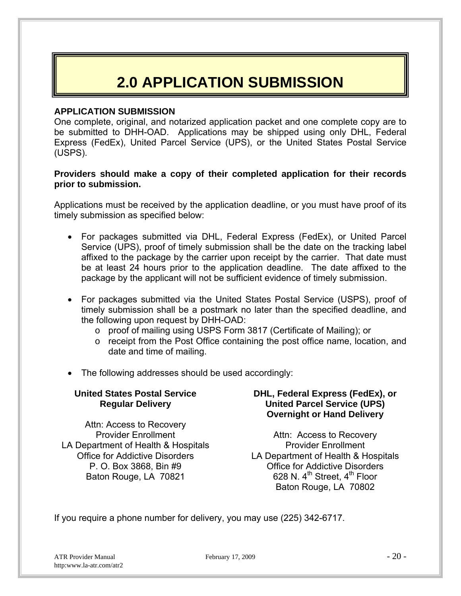### **2.0 APPLICATION SUBMISSION**

#### **APPLICATION SUBMISSION**

One complete, original, and notarized application packet and one complete copy are to be submitted to DHH-OAD. Applications may be shipped using only DHL, Federal Express (FedEx), United Parcel Service (UPS), or the United States Postal Service (USPS).

#### **Providers should make a copy of their completed application for their records prior to submission.**

Applications must be received by the application deadline, or you must have proof of its timely submission as specified below:

- For packages submitted via DHL, Federal Express (FedEx), or United Parcel Service (UPS), proof of timely submission shall be the date on the tracking label affixed to the package by the carrier upon receipt by the carrier. That date must be at least 24 hours prior to the application deadline. The date affixed to the package by the applicant will not be sufficient evidence of timely submission.
- For packages submitted via the United States Postal Service (USPS), proof of timely submission shall be a postmark no later than the specified deadline, and the following upon request by DHH-OAD:
	- o proof of mailing using USPS Form 3817 (Certificate of Mailing); or
	- o receipt from the Post Office containing the post office name, location, and date and time of mailing.
- The following addresses should be used accordingly:

#### **United States Postal Service Regular Delivery**  Attn: Access to Recovery Provider Enrollment LA Department of Health & Hospitals Office for Addictive Disorders P. O. Box 3868, Bin #9 Baton Rouge, LA 70821 **DHL, Federal Express (FedEx), or United Parcel Service (UPS) Overnight or Hand Delivery**  Attn: Access to Recovery Provider Enrollment LA Department of Health & Hospitals Office for Addictive Disorders 628 N.  $4^{\text{th}}$  Street,  $4^{\text{th}}$  Floor Baton Rouge, LA 70802

If you require a phone number for delivery, you may use (225) 342-6717.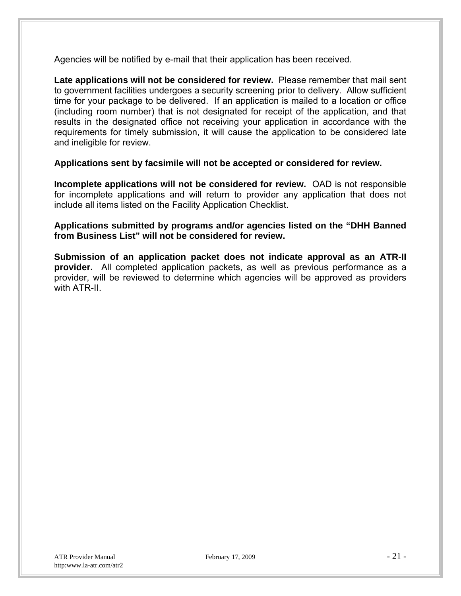Agencies will be notified by e-mail that their application has been received.

**Late applications will not be considered for review.** Please remember that mail sent to government facilities undergoes a security screening prior to delivery. Allow sufficient time for your package to be delivered. If an application is mailed to a location or office (including room number) that is not designated for receipt of the application, and that results in the designated office not receiving your application in accordance with the requirements for timely submission, it will cause the application to be considered late and ineligible for review.

**Applications sent by facsimile will not be accepted or considered for review.** 

**Incomplete applications will not be considered for review.** OAD is not responsible for incomplete applications and will return to provider any application that does not include all items listed on the Facility Application Checklist.

**Applications submitted by programs and/or agencies listed on the "DHH Banned from Business List" will not be considered for review.** 

**Submission of an application packet does not indicate approval as an ATR-II provider.** All completed application packets, as well as previous performance as a provider, will be reviewed to determine which agencies will be approved as providers with ATR-II.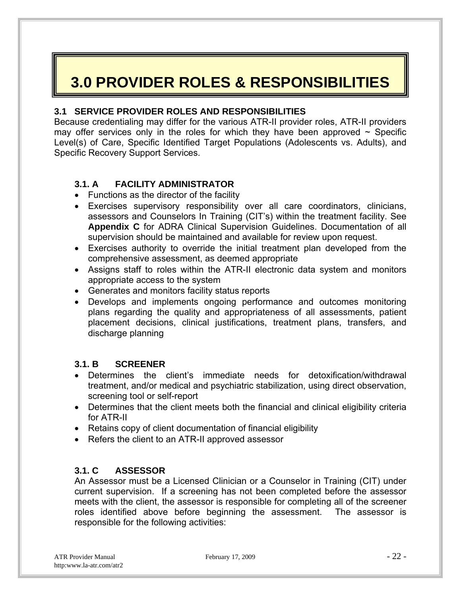## **3.0 PROVIDER ROLES & RESPONSIBILITIES**

#### **3.1 SERVICE PROVIDER ROLES AND RESPONSIBILITIES**

Because credentialing may differ for the various ATR-II provider roles, ATR-II providers may offer services only in the roles for which they have been approved  $\sim$  Specific Level(s) of Care, Specific Identified Target Populations (Adolescents vs. Adults), and Specific Recovery Support Services.

#### **3.1. A FACILITY ADMINISTRATOR**

- Functions as the director of the facility
- Exercises supervisory responsibility over all care coordinators, clinicians, assessors and Counselors In Training (CIT's) within the treatment facility. See **Appendix C** for ADRA Clinical Supervision Guidelines. Documentation of all supervision should be maintained and available for review upon request.
- Exercises authority to override the initial treatment plan developed from the comprehensive assessment, as deemed appropriate
- Assigns staff to roles within the ATR-II electronic data system and monitors appropriate access to the system
- Generates and monitors facility status reports
- Develops and implements ongoing performance and outcomes monitoring plans regarding the quality and appropriateness of all assessments, patient placement decisions, clinical justifications, treatment plans, transfers, and discharge planning

#### **3.1. B SCREENER**

- Determines the client's immediate needs for detoxification/withdrawal treatment, and/or medical and psychiatric stabilization, using direct observation, screening tool or self-report
- Determines that the client meets both the financial and clinical eligibility criteria for ATR-II
- Retains copy of client documentation of financial eligibility
- Refers the client to an ATR-II approved assessor

#### **3.1. C ASSESSOR**

An Assessor must be a Licensed Clinician or a Counselor in Training (CIT) under current supervision. If a screening has not been completed before the assessor meets with the client, the assessor is responsible for completing all of the screener roles identified above before beginning the assessment. The assessor is responsible for the following activities: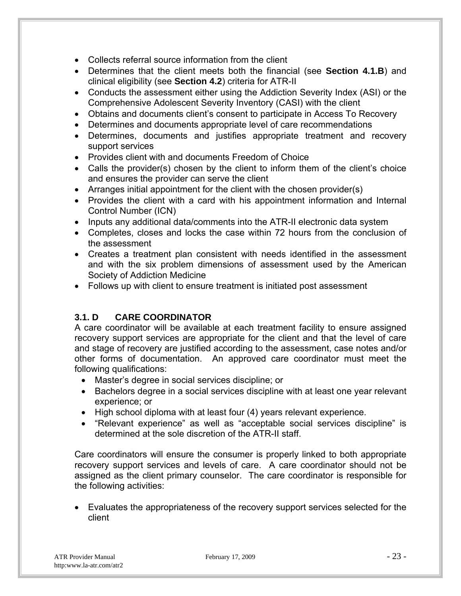- Collects referral source information from the client
- Determines that the client meets both the financial (see **Section 4.1.B**) and clinical eligibility (see **Section 4.2**) criteria for ATR-II
- Conducts the assessment either using the Addiction Severity Index (ASI) or the Comprehensive Adolescent Severity Inventory (CASI) with the client
- Obtains and documents client's consent to participate in Access To Recovery
- Determines and documents appropriate level of care recommendations
- Determines, documents and justifies appropriate treatment and recovery support services
- Provides client with and documents Freedom of Choice
- Calls the provider(s) chosen by the client to inform them of the client's choice and ensures the provider can serve the client
- Arranges initial appointment for the client with the chosen provider(s)
- Provides the client with a card with his appointment information and Internal Control Number (ICN)
- Inputs any additional data/comments into the ATR-II electronic data system
- Completes, closes and locks the case within 72 hours from the conclusion of the assessment
- Creates a treatment plan consistent with needs identified in the assessment and with the six problem dimensions of assessment used by the American Society of Addiction Medicine
- Follows up with client to ensure treatment is initiated post assessment

#### **3.1. D CARE COORDINATOR**

A care coordinator will be available at each treatment facility to ensure assigned recovery support services are appropriate for the client and that the level of care and stage of recovery are justified according to the assessment, case notes and/or other forms of documentation. An approved care coordinator must meet the following qualifications:

- Master's degree in social services discipline; or
- Bachelors degree in a social services discipline with at least one year relevant experience; or
- High school diploma with at least four (4) years relevant experience.
- "Relevant experience" as well as "acceptable social services discipline" is determined at the sole discretion of the ATR-II staff.

Care coordinators will ensure the consumer is properly linked to both appropriate recovery support services and levels of care. A care coordinator should not be assigned as the client primary counselor. The care coordinator is responsible for the following activities:

 Evaluates the appropriateness of the recovery support services selected for the client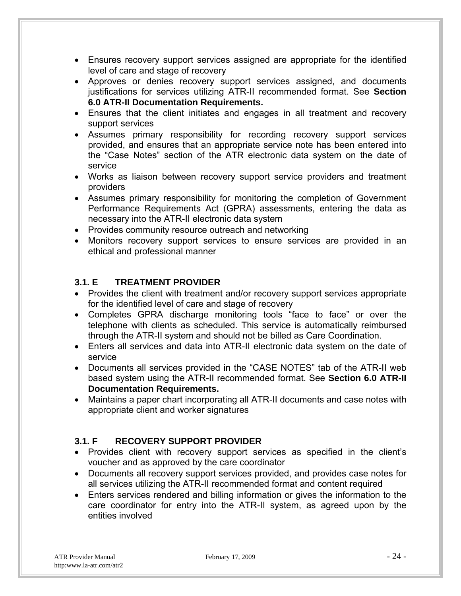- Ensures recovery support services assigned are appropriate for the identified level of care and stage of recovery
- Approves or denies recovery support services assigned, and documents justifications for services utilizing ATR-II recommended format. See **Section 6.0 ATR-II Documentation Requirements.**
- Ensures that the client initiates and engages in all treatment and recovery support services
- Assumes primary responsibility for recording recovery support services provided, and ensures that an appropriate service note has been entered into the "Case Notes" section of the ATR electronic data system on the date of service
- Works as liaison between recovery support service providers and treatment providers
- Assumes primary responsibility for monitoring the completion of Government Performance Requirements Act (GPRA) assessments, entering the data as necessary into the ATR-II electronic data system
- Provides community resource outreach and networking
- Monitors recovery support services to ensure services are provided in an ethical and professional manner

#### **3.1. E TREATMENT PROVIDER**

- Provides the client with treatment and/or recovery support services appropriate for the identified level of care and stage of recovery
- Completes GPRA discharge monitoring tools "face to face" or over the telephone with clients as scheduled. This service is automatically reimbursed through the ATR-II system and should not be billed as Care Coordination.
- Enters all services and data into ATR-II electronic data system on the date of service
- Documents all services provided in the "CASE NOTES" tab of the ATR-II web based system using the ATR-II recommended format. See **Section 6.0 ATR-II Documentation Requirements.**
- Maintains a paper chart incorporating all ATR-II documents and case notes with appropriate client and worker signatures

#### **3.1. F RECOVERY SUPPORT PROVIDER**

- Provides client with recovery support services as specified in the client's voucher and as approved by the care coordinator
- Documents all recovery support services provided, and provides case notes for all services utilizing the ATR-II recommended format and content required
- Enters services rendered and billing information or gives the information to the care coordinator for entry into the ATR-II system, as agreed upon by the entities involved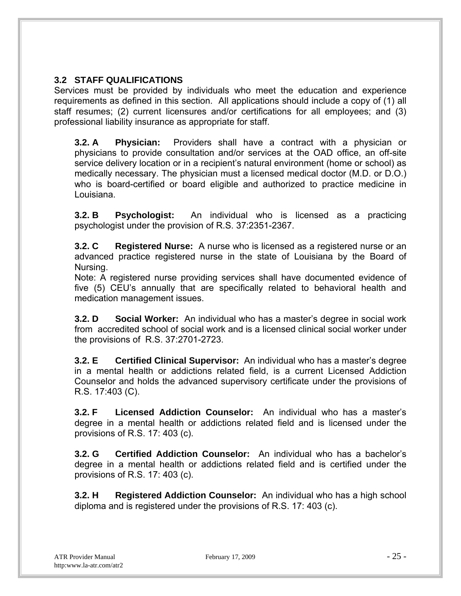#### **3.2 STAFF QUALIFICATIONS**

Services must be provided by individuals who meet the education and experience requirements as defined in this section. All applications should include a copy of (1) all staff resumes; (2) current licensures and/or certifications for all employees; and (3) professional liability insurance as appropriate for staff.

**3.2. A Physician:** Providers shall have a contract with a physician or physicians to provide consultation and/or services at the OAD office, an off-site service delivery location or in a recipient's natural environment (home or school) as medically necessary. The physician must a licensed medical doctor (M.D. or D.O.) who is board-certified or board eligible and authorized to practice medicine in Louisiana.

**3.2. B Psychologist:** An individual who is licensed as a practicing psychologist under the provision of R.S. 37:2351-2367.

**3.2. C Registered Nurse:** A nurse who is licensed as a registered nurse or an advanced practice registered nurse in the state of Louisiana by the Board of Nursing.

Note: A registered nurse providing services shall have documented evidence of five (5) CEU's annually that are specifically related to behavioral health and medication management issues.

**3.2. D Social Worker:** An individual who has a master's degree in social work from accredited school of social work and is a licensed clinical social worker under the provisions of R.S. 37:2701-2723.

**3.2. E Certified Clinical Supervisor:** An individual who has a master's degree in a mental health or addictions related field, is a current Licensed Addiction Counselor and holds the advanced supervisory certificate under the provisions of R.S. 17:403 (C).

**3.2. F Licensed Addiction Counselor:** An individual who has a master's degree in a mental health or addictions related field and is licensed under the provisions of R.S. 17: 403 (c).

**3.2. G Certified Addiction Counselor:** An individual who has a bachelor's degree in a mental health or addictions related field and is certified under the provisions of R.S. 17: 403 (c).

**3.2. H Registered Addiction Counselor:** An individual who has a high school diploma and is registered under the provisions of R.S. 17: 403 (c).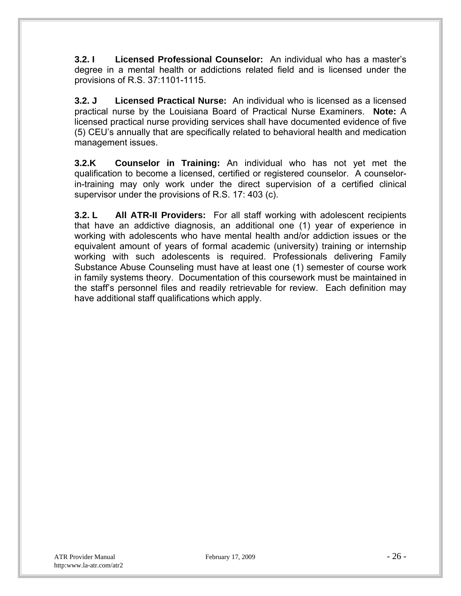**3.2. I** Licensed Professional Counselor: An individual who has a master's degree in a mental health or addictions related field and is licensed under the provisions of R.S. 37:1101-1115.

**3.2. J Licensed Practical Nurse:** An individual who is licensed as a licensed practical nurse by the Louisiana Board of Practical Nurse Examiners. **Note:** A licensed practical nurse providing services shall have documented evidence of five (5) CEU's annually that are specifically related to behavioral health and medication management issues.

**3.2.K Counselor in Training:** An individual who has not yet met the qualification to become a licensed, certified or registered counselor. A counselorin-training may only work under the direct supervision of a certified clinical supervisor under the provisions of R.S. 17: 403 (c).

**3.2. L All ATR-II Providers:** For all staff working with adolescent recipients that have an addictive diagnosis, an additional one (1) year of experience in working with adolescents who have mental health and/or addiction issues or the equivalent amount of years of formal academic (university) training or internship working with such adolescents is required. Professionals delivering Family Substance Abuse Counseling must have at least one (1) semester of course work in family systems theory. Documentation of this coursework must be maintained in the staff's personnel files and readily retrievable for review. Each definition may have additional staff qualifications which apply.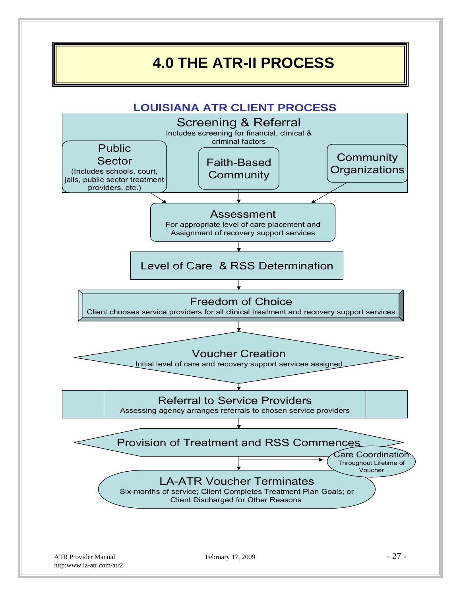### **4.0 THE ATR-II PROCESS**

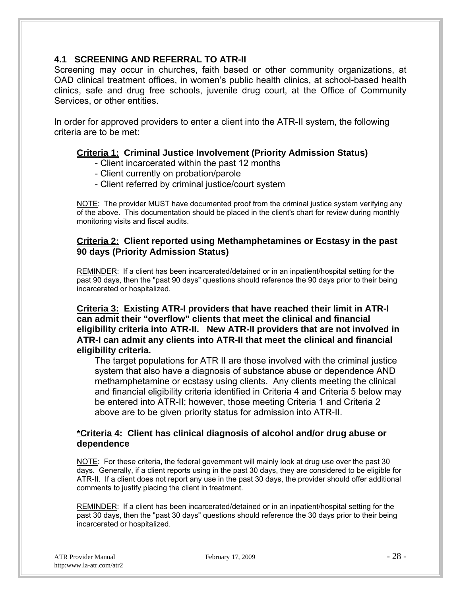#### **4.1 SCREENING AND REFERRAL TO ATR-II**

Screening may occur in churches, faith based or other community organizations, at OAD clinical treatment offices, in women's public health clinics, at school-based health clinics, safe and drug free schools, juvenile drug court, at the Office of Community Services, or other entities.

In order for approved providers to enter a client into the ATR-II system, the following criteria are to be met:

#### **Criteria 1: Criminal Justice Involvement (Priority Admission Status)**

- Client incarcerated within the past 12 months
- Client currently on probation/parole
- Client referred by criminal justice/court system

NOTE: The provider MUST have documented proof from the criminal justice system verifying any of the above. This documentation should be placed in the client's chart for review during monthly monitoring visits and fiscal audits.

#### **Criteria 2: Client reported using Methamphetamines or Ecstasy in the past 90 days (Priority Admission Status)**

REMINDER: If a client has been incarcerated/detained or in an inpatient/hospital setting for the past 90 days, then the "past 90 days" questions should reference the 90 days prior to their being incarcerated or hospitalized.

**Criteria 3: Existing ATR-I providers that have reached their limit in ATR-I can admit their "overflow" clients that meet the clinical and financial eligibility criteria into ATR-II. New ATR-II providers that are not involved in ATR-I can admit any clients into ATR-II that meet the clinical and financial eligibility criteria.** 

The target populations for ATR II are those involved with the criminal justice system that also have a diagnosis of substance abuse or dependence AND methamphetamine or ecstasy using clients. Any clients meeting the clinical and financial eligibility criteria identified in Criteria 4 and Criteria 5 below may be entered into ATR-II; however, those meeting Criteria 1 and Criteria 2 above are to be given priority status for admission into ATR-II.

#### **\*Criteria 4: Client has clinical diagnosis of alcohol and/or drug abuse or dependence**

NOTE: For these criteria, the federal government will mainly look at drug use over the past 30 days. Generally, if a client reports using in the past 30 days, they are considered to be eligible for ATR-II. If a client does not report any use in the past 30 days, the provider should offer additional comments to justify placing the client in treatment.

REMINDER: If a client has been incarcerated/detained or in an inpatient/hospital setting for the past 30 days, then the "past 30 days" questions should reference the 30 days prior to their being incarcerated or hospitalized.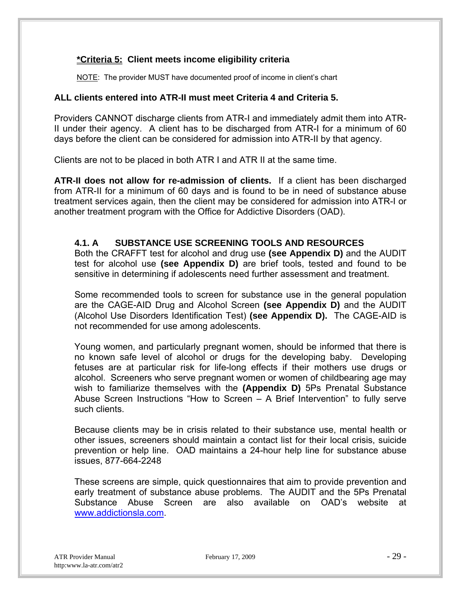#### **\*Criteria 5: Client meets income eligibility criteria**

NOTE: The provider MUST have documented proof of income in client's chart

#### **ALL clients entered into ATR-II must meet Criteria 4 and Criteria 5.**

Providers CANNOT discharge clients from ATR-I and immediately admit them into ATR-II under their agency. A client has to be discharged from ATR-I for a minimum of 60 days before the client can be considered for admission into ATR-II by that agency.

Clients are not to be placed in both ATR I and ATR II at the same time.

**ATR-II does not allow for re-admission of clients.** If a client has been discharged from ATR-II for a minimum of 60 days and is found to be in need of substance abuse treatment services again, then the client may be considered for admission into ATR-I or another treatment program with the Office for Addictive Disorders (OAD).

#### **4.1. A SUBSTANCE USE SCREENING TOOLS AND RESOURCES**

Both the CRAFFT test for alcohol and drug use **(see Appendix D)** and the AUDIT test for alcohol use **(see Appendix D)** are brief tools, tested and found to be sensitive in determining if adolescents need further assessment and treatment.

Some recommended tools to screen for substance use in the general population are the CAGE-AID Drug and Alcohol Screen **(see Appendix D)** and the AUDIT (Alcohol Use Disorders Identification Test) **(see Appendix D).** The CAGE-AID is not recommended for use among adolescents.

Young women, and particularly pregnant women, should be informed that there is no known safe level of alcohol or drugs for the developing baby. Developing fetuses are at particular risk for life-long effects if their mothers use drugs or alcohol. Screeners who serve pregnant women or women of childbearing age may wish to familiarize themselves with the **(Appendix D)** 5Ps Prenatal Substance Abuse Screen Instructions "How to Screen – A Brief Intervention" to fully serve such clients.

Because clients may be in crisis related to their substance use, mental health or other issues, screeners should maintain a contact list for their local crisis, suicide prevention or help line. OAD maintains a 24-hour help line for substance abuse issues, 877-664-2248

These screens are simple, quick questionnaires that aim to provide prevention and early treatment of substance abuse problems. The AUDIT and the 5Ps Prenatal Substance Abuse Screen are also available on OAD's website at www.addictionsla.com.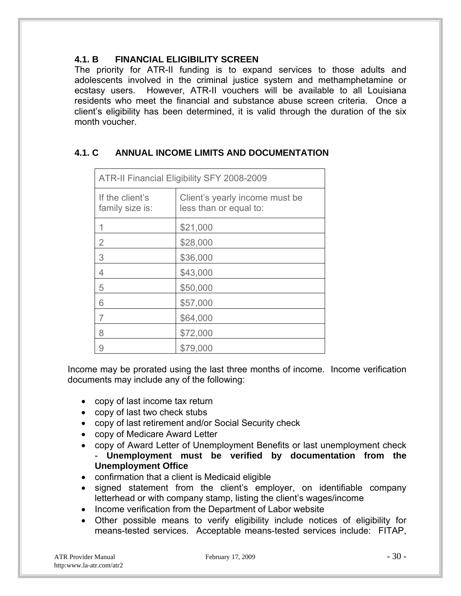#### **4.1. B FINANCIAL ELIGIBILITY SCREEN**

The priority for ATR-II funding is to expand services to those adults and adolescents involved in the criminal justice system and methamphetamine or ecstasy users. However, ATR-II vouchers will be available to all Louisiana residents who meet the financial and substance abuse screen criteria. Once a client's eligibility has been determined, it is valid through the duration of the six month voucher.

### **4.1. C ANNUAL INCOME LIMITS AND DOCUMENTATION**

| ATR-II Financial Eligibility SFY 2008-2009 |                                                          |  |
|--------------------------------------------|----------------------------------------------------------|--|
| If the client's<br>family size is:         | Client's yearly income must be<br>less than or equal to: |  |
|                                            | \$21,000                                                 |  |
| 2                                          | \$28,000                                                 |  |
| 3                                          | \$36,000                                                 |  |
| 4                                          | \$43,000                                                 |  |
| 5                                          | \$50,000                                                 |  |
| 6                                          | \$57,000                                                 |  |
|                                            | \$64,000                                                 |  |
| 8                                          | \$72,000                                                 |  |
| 9                                          | \$79,000                                                 |  |

Income may be prorated using the last three months of income. Income verification documents may include any of the following:

- copy of last income tax return
- copy of last two check stubs
- copy of last retirement and/or Social Security check
- copy of Medicare Award Letter
- copy of Award Letter of Unemployment Benefits or last unemployment check - **Unemployment must be verified by documentation from the Unemployment Office**
- confirmation that a client is Medicaid eligible
- signed statement from the client's employer, on identifiable company letterhead or with company stamp, listing the client's wages/income
- Income verification from the Department of Labor website
- Other possible means to verify eligibility include notices of eligibility for means-tested services. Acceptable means-tested services include: FITAP,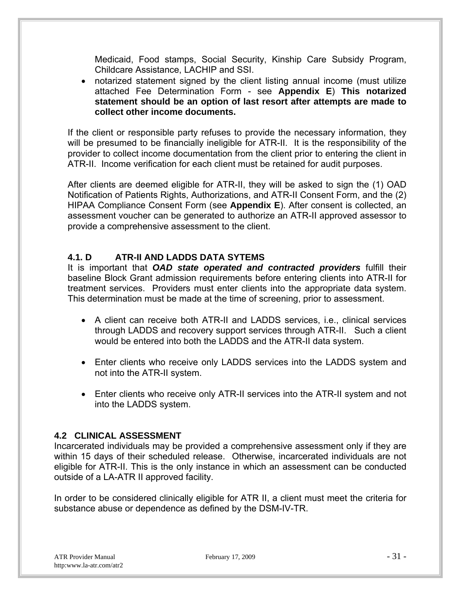Medicaid, Food stamps, Social Security, Kinship Care Subsidy Program, Childcare Assistance, LACHIP and SSI.

 notarized statement signed by the client listing annual income (must utilize attached Fee Determination Form - see **Appendix E**) **This notarized statement should be an option of last resort after attempts are made to collect other income documents.** 

If the client or responsible party refuses to provide the necessary information, they will be presumed to be financially ineligible for ATR-II. It is the responsibility of the provider to collect income documentation from the client prior to entering the client in ATR-II. Income verification for each client must be retained for audit purposes.

After clients are deemed eligible for ATR-II, they will be asked to sign the (1) OAD Notification of Patients Rights, Authorizations, and ATR-II Consent Form, and the (2) HIPAA Compliance Consent Form (see **Appendix E**). After consent is collected, an assessment voucher can be generated to authorize an ATR-II approved assessor to provide a comprehensive assessment to the client.

#### **4.1. D ATR-II AND LADDS DATA SYTEMS**

It is important that *OAD state operated and contracted providers* fulfill their baseline Block Grant admission requirements before entering clients into ATR-II for treatment services. Providers must enter clients into the appropriate data system. This determination must be made at the time of screening, prior to assessment.

- A client can receive both ATR-II and LADDS services, i.e., clinical services through LADDS and recovery support services through ATR-II. Such a client would be entered into both the LADDS and the ATR-II data system.
- Enter clients who receive only LADDS services into the LADDS system and not into the ATR-II system.
- Enter clients who receive only ATR-II services into the ATR-II system and not into the LADDS system.

#### **4.2 CLINICAL ASSESSMENT**

Incarcerated individuals may be provided a comprehensive assessment only if they are within 15 days of their scheduled release. Otherwise, incarcerated individuals are not eligible for ATR-II. This is the only instance in which an assessment can be conducted outside of a LA-ATR II approved facility.

In order to be considered clinically eligible for ATR II, a client must meet the criteria for substance abuse or dependence as defined by the DSM-IV-TR.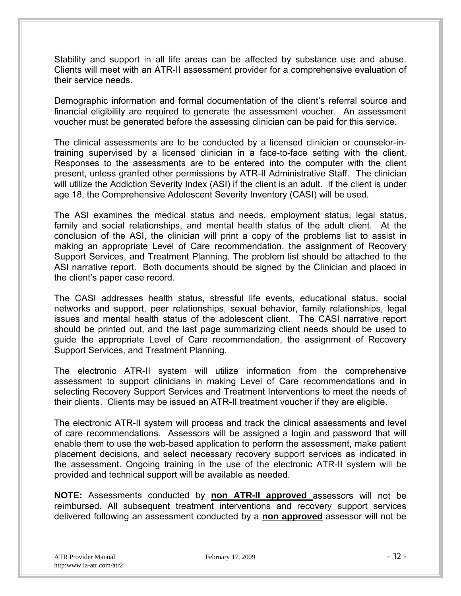Stability and support in all life areas can be affected by substance use and abuse. Clients will meet with an ATR-II assessment provider for a comprehensive evaluation of their service needs.

Demographic information and formal documentation of the client's referral source and financial eligibility are required to generate the assessment voucher. An assessment voucher must be generated before the assessing clinician can be paid for this service.

The clinical assessments are to be conducted by a licensed clinician or counselor-intraining supervised by a licensed clinician in a face-to-face setting with the client. Responses to the assessments are to be entered into the computer with the client present, unless granted other permissions by ATR-II Administrative Staff. The clinician will utilize the Addiction Severity Index (ASI) if the client is an adult. If the client is under age 18, the Comprehensive Adolescent Severity Inventory (CASI) will be used.

The ASI examines the medical status and needs, employment status, legal status, family and social relationships, and mental health status of the adult client. At the conclusion of the ASI, the clinician will print a copy of the problems list to assist in making an appropriate Level of Care recommendation, the assignment of Recovery Support Services, and Treatment Planning. The problem list should be attached to the ASI narrative report. Both documents should be signed by the Clinician and placed in the client's paper case record.

The CASI addresses health status, stressful life events, educational status, social networks and support, peer relationships, sexual behavior, family relationships, legal issues and mental health status of the adolescent client. The CASI narrative report should be printed out, and the last page summarizing client needs should be used to guide the appropriate Level of Care recommendation, the assignment of Recovery Support Services, and Treatment Planning.

The electronic ATR-II system will utilize information from the comprehensive assessment to support clinicians in making Level of Care recommendations and in selecting Recovery Support Services and Treatment Interventions to meet the needs of their clients. Clients may be issued an ATR-II treatment voucher if they are eligible.

The electronic ATR-II system will process and track the clinical assessments and level of care recommendations. Assessors will be assigned a login and password that will enable them to use the web-based application to perform the assessment, make patient placement decisions, and select necessary recovery support services as indicated in the assessment. Ongoing training in the use of the electronic ATR-II system will be provided and technical support will be available as needed.

**NOTE:** Assessments conducted by **non ATR-II approved** assessors will not be reimbursed. All subsequent treatment interventions and recovery support services delivered following an assessment conducted by a **non approved** assessor will not be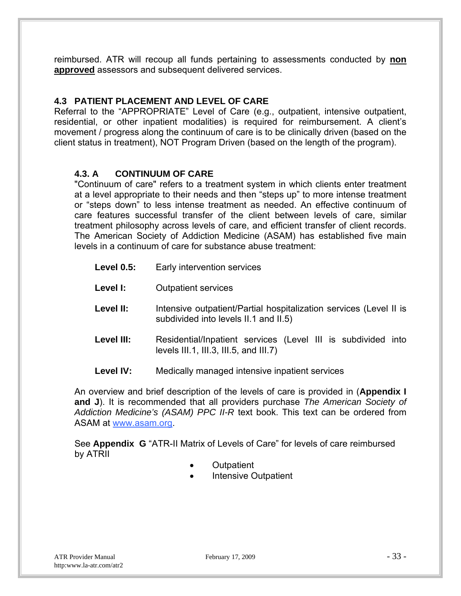reimbursed. ATR will recoup all funds pertaining to assessments conducted by **non approved** assessors and subsequent delivered services.

#### **4.3 PATIENT PLACEMENT AND LEVEL OF CARE**

Referral to the "APPROPRIATE" Level of Care (e.g., outpatient, intensive outpatient, residential, or other inpatient modalities) is required for reimbursement. A client's movement / progress along the continuum of care is to be clinically driven (based on the client status in treatment), NOT Program Driven (based on the length of the program).

#### **4.3. A CONTINUUM OF CARE**

"Continuum of care" refers to a treatment system in which clients enter treatment at a level appropriate to their needs and then "steps up" to more intense treatment or "steps down" to less intense treatment as needed. An effective continuum of care features successful transfer of the client between levels of care, similar treatment philosophy across levels of care, and efficient transfer of client records. The American Society of Addiction Medicine (ASAM) has established five main levels in a continuum of care for substance abuse treatment:

- Level 0.5: Early intervention services
- Level I: Outpatient services
- Level II: Intensive outpatient/Partial hospitalization services (Level II is subdivided into levels II.1 and II.5)
- Level III: Residential/Inpatient services (Level III is subdivided into levels III.1, III.3, III.5, and III.7)
- **Level IV:** Medically managed intensive inpatient services

An overview and brief description of the levels of care is provided in (**Appendix I and J**). It is recommended that all providers purchase *The American Society of Addiction Medicine's (ASAM) PPC II-R* text book. This text can be ordered from ASAM at www.asam.org.

See **Appendix G** "ATR-II Matrix of Levels of Care" for levels of care reimbursed by ATRII

- Outpatient
- Intensive Outpatient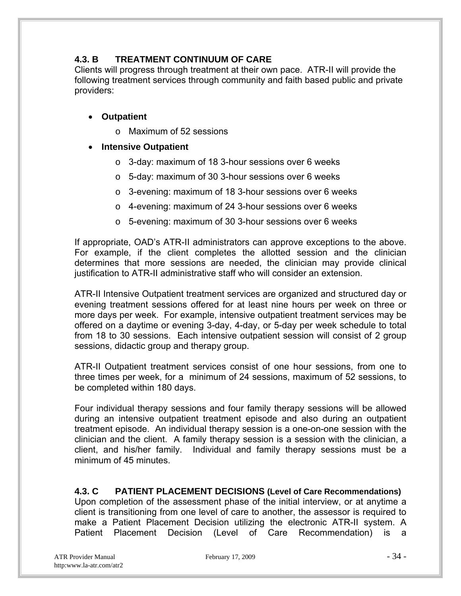#### **4.3. B TREATMENT CONTINUUM OF CARE**

Clients will progress through treatment at their own pace. ATR-II will provide the following treatment services through community and faith based public and private providers:

#### **Outpatient**

o Maximum of 52 sessions

#### **Intensive Outpatient**

- o 3-day: maximum of 18 3-hour sessions over 6 weeks
- o 5-day: maximum of 30 3-hour sessions over 6 weeks
- o 3-evening: maximum of 18 3-hour sessions over 6 weeks
- o 4-evening: maximum of 24 3-hour sessions over 6 weeks
- o 5-evening: maximum of 30 3-hour sessions over 6 weeks

If appropriate, OAD's ATR-II administrators can approve exceptions to the above. For example, if the client completes the allotted session and the clinician determines that more sessions are needed, the clinician may provide clinical justification to ATR-II administrative staff who will consider an extension.

ATR-II Intensive Outpatient treatment services are organized and structured day or evening treatment sessions offered for at least nine hours per week on three or more days per week. For example, intensive outpatient treatment services may be offered on a daytime or evening 3-day, 4-day, or 5-day per week schedule to total from 18 to 30 sessions. Each intensive outpatient session will consist of 2 group sessions, didactic group and therapy group.

ATR-II Outpatient treatment services consist of one hour sessions, from one to three times per week, for a minimum of 24 sessions, maximum of 52 sessions, to be completed within 180 days.

Four individual therapy sessions and four family therapy sessions will be allowed during an intensive outpatient treatment episode and also during an outpatient treatment episode. An individual therapy session is a one-on-one session with the clinician and the client. A family therapy session is a session with the clinician, a client, and his/her family. Individual and family therapy sessions must be a minimum of 45 minutes.

#### **4.3. C PATIENT PLACEMENT DECISIONS (Level of Care Recommendations)**

Upon completion of the assessment phase of the initial interview, or at anytime a client is transitioning from one level of care to another, the assessor is required to make a Patient Placement Decision utilizing the electronic ATR-II system. A Patient Placement Decision (Level of Care Recommendation) is a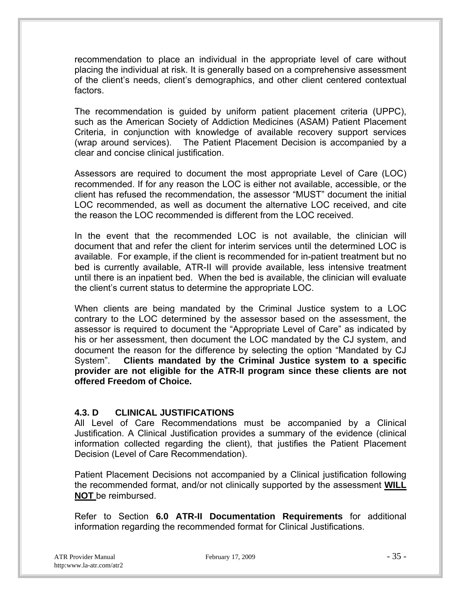recommendation to place an individual in the appropriate level of care without placing the individual at risk. It is generally based on a comprehensive assessment of the client's needs, client's demographics, and other client centered contextual factors.

The recommendation is guided by uniform patient placement criteria (UPPC), such as the American Society of Addiction Medicines (ASAM) Patient Placement Criteria, in conjunction with knowledge of available recovery support services (wrap around services). The Patient Placement Decision is accompanied by a clear and concise clinical justification.

Assessors are required to document the most appropriate Level of Care (LOC) recommended. If for any reason the LOC is either not available, accessible, or the client has refused the recommendation, the assessor "MUST" document the initial LOC recommended, as well as document the alternative LOC received, and cite the reason the LOC recommended is different from the LOC received.

In the event that the recommended LOC is not available, the clinician will document that and refer the client for interim services until the determined LOC is available. For example, if the client is recommended for in-patient treatment but no bed is currently available, ATR-II will provide available, less intensive treatment until there is an inpatient bed. When the bed is available, the clinician will evaluate the client's current status to determine the appropriate LOC.

When clients are being mandated by the Criminal Justice system to a LOC contrary to the LOC determined by the assessor based on the assessment, the assessor is required to document the "Appropriate Level of Care" as indicated by his or her assessment, then document the LOC mandated by the CJ system, and document the reason for the difference by selecting the option "Mandated by CJ System". **Clients mandated by the Criminal Justice system to a specific provider are not eligible for the ATR-II program since these clients are not offered Freedom of Choice.**

#### **4.3. D CLINICAL JUSTIFICATIONS**

All Level of Care Recommendations must be accompanied by a Clinical Justification. A Clinical Justification provides a summary of the evidence (clinical information collected regarding the client), that justifies the Patient Placement Decision (Level of Care Recommendation).

Patient Placement Decisions not accompanied by a Clinical justification following the recommended format, and/or not clinically supported by the assessment **WILL NOT** be reimbursed.

Refer to Section **6.0 ATR-II Documentation Requirements** for additional information regarding the recommended format for Clinical Justifications.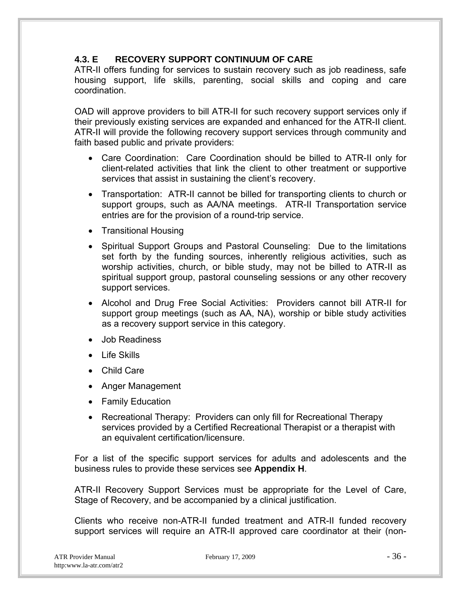## **4.3. E RECOVERY SUPPORT CONTINUUM OF CARE**

ATR-II offers funding for services to sustain recovery such as job readiness, safe housing support, life skills, parenting, social skills and coping and care coordination.

OAD will approve providers to bill ATR-II for such recovery support services only if their previously existing services are expanded and enhanced for the ATR-II client. ATR-II will provide the following recovery support services through community and faith based public and private providers:

- Care Coordination: Care Coordination should be billed to ATR-II only for client-related activities that link the client to other treatment or supportive services that assist in sustaining the client's recovery.
- Transportation: ATR-II cannot be billed for transporting clients to church or support groups, such as AA/NA meetings. ATR-II Transportation service entries are for the provision of a round-trip service.
- Transitional Housing
- Spiritual Support Groups and Pastoral Counseling: Due to the limitations set forth by the funding sources, inherently religious activities, such as worship activities, church, or bible study, may not be billed to ATR-II as spiritual support group, pastoral counseling sessions or any other recovery support services.
- Alcohol and Drug Free Social Activities: Providers cannot bill ATR-II for support group meetings (such as AA, NA), worship or bible study activities as a recovery support service in this category.
- Job Readiness
- $\bullet$  Life Skills
- Child Care
- Anger Management
- Family Education
- Recreational Therapy: Providers can only fill for Recreational Therapy services provided by a Certified Recreational Therapist or a therapist with an equivalent certification/licensure.

For a list of the specific support services for adults and adolescents and the business rules to provide these services see **Appendix H**.

ATR-II Recovery Support Services must be appropriate for the Level of Care, Stage of Recovery, and be accompanied by a clinical justification.

Clients who receive non-ATR-II funded treatment and ATR-II funded recovery support services will require an ATR-II approved care coordinator at their (non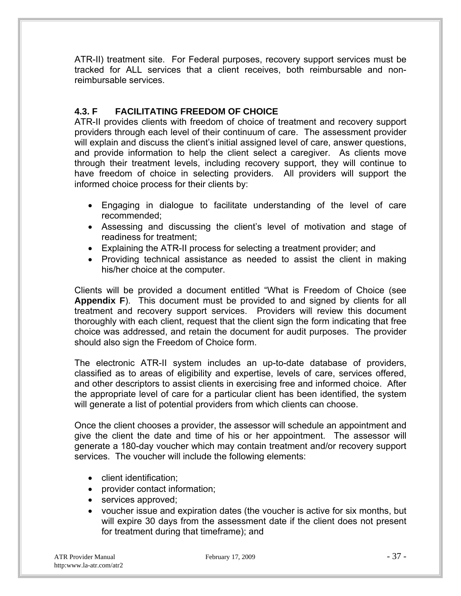ATR-II) treatment site. For Federal purposes, recovery support services must be tracked for ALL services that a client receives, both reimbursable and nonreimbursable services.

## **4.3. F FACILITATING FREEDOM OF CHOICE**

ATR-II provides clients with freedom of choice of treatment and recovery support providers through each level of their continuum of care. The assessment provider will explain and discuss the client's initial assigned level of care, answer questions, and provide information to help the client select a caregiver. As clients move through their treatment levels, including recovery support, they will continue to have freedom of choice in selecting providers. All providers will support the informed choice process for their clients by:

- Engaging in dialogue to facilitate understanding of the level of care recommended;
- Assessing and discussing the client's level of motivation and stage of readiness for treatment;
- Explaining the ATR-II process for selecting a treatment provider; and
- Providing technical assistance as needed to assist the client in making his/her choice at the computer.

Clients will be provided a document entitled "What is Freedom of Choice (see **Appendix F**). This document must be provided to and signed by clients for all treatment and recovery support services. Providers will review this document thoroughly with each client, request that the client sign the form indicating that free choice was addressed, and retain the document for audit purposes. The provider should also sign the Freedom of Choice form.

The electronic ATR-II system includes an up-to-date database of providers, classified as to areas of eligibility and expertise, levels of care, services offered, and other descriptors to assist clients in exercising free and informed choice. After the appropriate level of care for a particular client has been identified, the system will generate a list of potential providers from which clients can choose.

Once the client chooses a provider, the assessor will schedule an appointment and give the client the date and time of his or her appointment. The assessor will generate a 180-day voucher which may contain treatment and/or recovery support services. The voucher will include the following elements:

- client identification:
- provider contact information;
- services approved;
- voucher issue and expiration dates (the voucher is active for six months, but will expire 30 days from the assessment date if the client does not present for treatment during that timeframe); and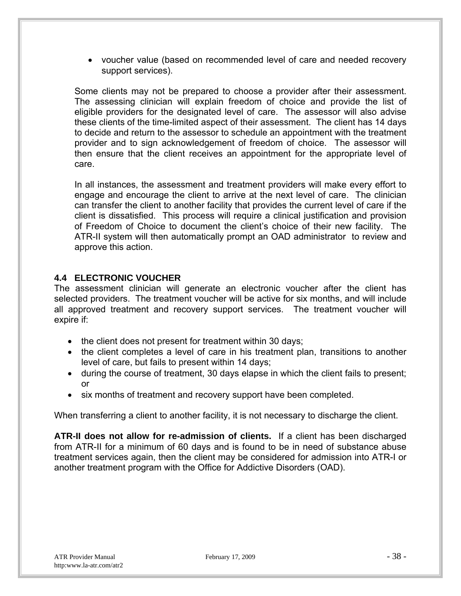voucher value (based on recommended level of care and needed recovery support services).

Some clients may not be prepared to choose a provider after their assessment. The assessing clinician will explain freedom of choice and provide the list of eligible providers for the designated level of care. The assessor will also advise these clients of the time-limited aspect of their assessment. The client has 14 days to decide and return to the assessor to schedule an appointment with the treatment provider and to sign acknowledgement of freedom of choice. The assessor will then ensure that the client receives an appointment for the appropriate level of care.

In all instances, the assessment and treatment providers will make every effort to engage and encourage the client to arrive at the next level of care. The clinician can transfer the client to another facility that provides the current level of care if the client is dissatisfied. This process will require a clinical justification and provision of Freedom of Choice to document the client's choice of their new facility. The ATR-II system will then automatically prompt an OAD administrator to review and approve this action.

## **4.4 ELECTRONIC VOUCHER**

The assessment clinician will generate an electronic voucher after the client has selected providers. The treatment voucher will be active for six months, and will include all approved treatment and recovery support services. The treatment voucher will expire if:

- the client does not present for treatment within 30 days;
- the client completes a level of care in his treatment plan, transitions to another level of care, but fails to present within 14 days;
- during the course of treatment, 30 days elapse in which the client fails to present; or
- six months of treatment and recovery support have been completed.

When transferring a client to another facility, it is not necessary to discharge the client.

**ATR-II does not allow for re-admission of clients.** If a client has been discharged from ATR-II for a minimum of 60 days and is found to be in need of substance abuse treatment services again, then the client may be considered for admission into ATR-I or another treatment program with the Office for Addictive Disorders (OAD).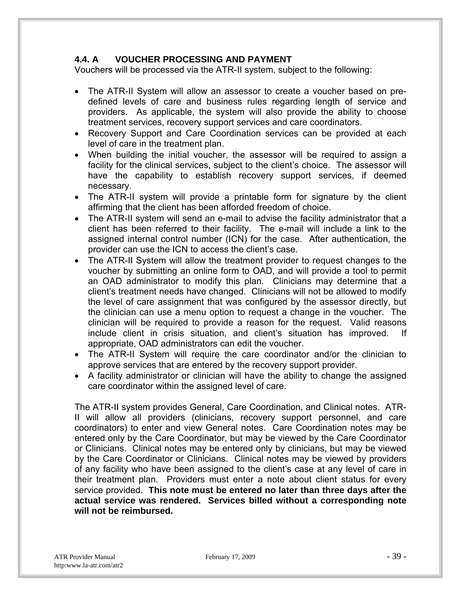## **4.4. A VOUCHER PROCESSING AND PAYMENT**

Vouchers will be processed via the ATR-II system, subject to the following:

- The ATR-II System will allow an assessor to create a voucher based on predefined levels of care and business rules regarding length of service and providers. As applicable, the system will also provide the ability to choose treatment services, recovery support services and care coordinators.
- Recovery Support and Care Coordination services can be provided at each level of care in the treatment plan.
- When building the initial voucher, the assessor will be required to assign a facility for the clinical services, subject to the client's choice. The assessor will have the capability to establish recovery support services, if deemed necessary.
- The ATR-II system will provide a printable form for signature by the client affirming that the client has been afforded freedom of choice.
- The ATR-II system will send an e-mail to advise the facility administrator that a client has been referred to their facility. The e-mail will include a link to the assigned internal control number (ICN) for the case. After authentication, the provider can use the ICN to access the client's case.
- The ATR-II System will allow the treatment provider to request changes to the voucher by submitting an online form to OAD, and will provide a tool to permit an OAD administrator to modify this plan. Clinicians may determine that a client's treatment needs have changed. Clinicians will not be allowed to modify the level of care assignment that was configured by the assessor directly, but the clinician can use a menu option to request a change in the voucher. The clinician will be required to provide a reason for the request. Valid reasons include client in crisis situation, and client's situation has improved. If appropriate, OAD administrators can edit the voucher.
- The ATR-II System will require the care coordinator and/or the clinician to approve services that are entered by the recovery support provider.
- A facility administrator or clinician will have the ability to change the assigned care coordinator within the assigned level of care.

The ATR-II system provides General, Care Coordination, and Clinical notes. ATR-II will allow all providers (clinicians, recovery support personnel, and care coordinators) to enter and view General notes. Care Coordination notes may be entered only by the Care Coordinator, but may be viewed by the Care Coordinator or Clinicians. Clinical notes may be entered only by clinicians, but may be viewed by the Care Coordinator or Clinicians. Clinical notes may be viewed by providers of any facility who have been assigned to the client's case at any level of care in their treatment plan. Providers must enter a note about client status for every service provided. **This note must be entered no later than three days after the actual service was rendered. Services billed without a corresponding note will not be reimbursed.**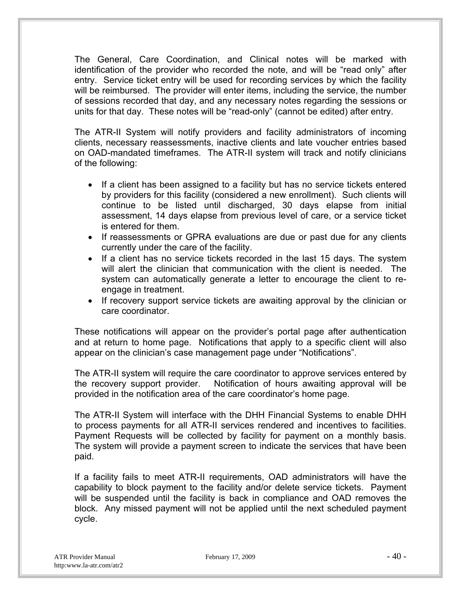The General, Care Coordination, and Clinical notes will be marked with identification of the provider who recorded the note, and will be "read only" after entry. Service ticket entry will be used for recording services by which the facility will be reimbursed. The provider will enter items, including the service, the number of sessions recorded that day, and any necessary notes regarding the sessions or units for that day. These notes will be "read-only" (cannot be edited) after entry.

The ATR-II System will notify providers and facility administrators of incoming clients, necessary reassessments, inactive clients and late voucher entries based on OAD-mandated timeframes. The ATR-II system will track and notify clinicians of the following:

- If a client has been assigned to a facility but has no service tickets entered by providers for this facility (considered a new enrollment). Such clients will continue to be listed until discharged, 30 days elapse from initial assessment, 14 days elapse from previous level of care, or a service ticket is entered for them.
- If reassessments or GPRA evaluations are due or past due for any clients currently under the care of the facility.
- If a client has no service tickets recorded in the last 15 days. The system will alert the clinician that communication with the client is needed. The system can automatically generate a letter to encourage the client to reengage in treatment.
- If recovery support service tickets are awaiting approval by the clinician or care coordinator.

These notifications will appear on the provider's portal page after authentication and at return to home page. Notifications that apply to a specific client will also appear on the clinician's case management page under "Notifications".

The ATR-II system will require the care coordinator to approve services entered by the recovery support provider. Notification of hours awaiting approval will be provided in the notification area of the care coordinator's home page.

The ATR-II System will interface with the DHH Financial Systems to enable DHH to process payments for all ATR-II services rendered and incentives to facilities. Payment Requests will be collected by facility for payment on a monthly basis. The system will provide a payment screen to indicate the services that have been paid.

If a facility fails to meet ATR-II requirements, OAD administrators will have the capability to block payment to the facility and/or delete service tickets. Payment will be suspended until the facility is back in compliance and OAD removes the block. Any missed payment will not be applied until the next scheduled payment cycle.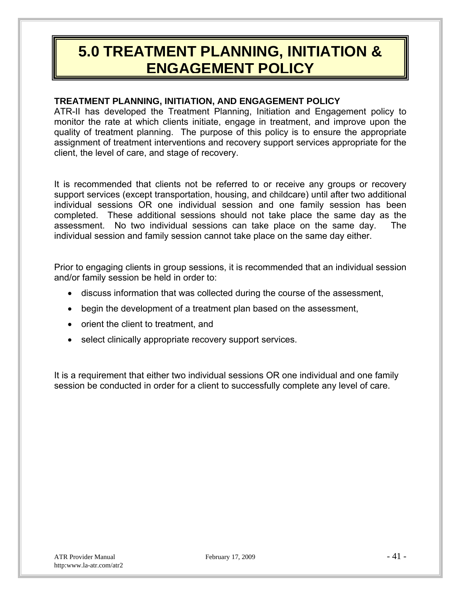## **5.0 TREATMENT PLANNING, INITIATION & ENGAGEMENT POLICY**

## **TREATMENT PLANNING, INITIATION, AND ENGAGEMENT POLICY**

ATR-II has developed the Treatment Planning, Initiation and Engagement policy to monitor the rate at which clients initiate, engage in treatment, and improve upon the quality of treatment planning. The purpose of this policy is to ensure the appropriate assignment of treatment interventions and recovery support services appropriate for the client, the level of care, and stage of recovery.

It is recommended that clients not be referred to or receive any groups or recovery support services (except transportation, housing, and childcare) until after two additional individual sessions OR one individual session and one family session has been completed. These additional sessions should not take place the same day as the assessment. No two individual sessions can take place on the same day. The individual session and family session cannot take place on the same day either.

Prior to engaging clients in group sessions, it is recommended that an individual session and/or family session be held in order to:

- discuss information that was collected during the course of the assessment,
- begin the development of a treatment plan based on the assessment,
- orient the client to treatment, and
- select clinically appropriate recovery support services.

It is a requirement that either two individual sessions OR one individual and one family session be conducted in order for a client to successfully complete any level of care.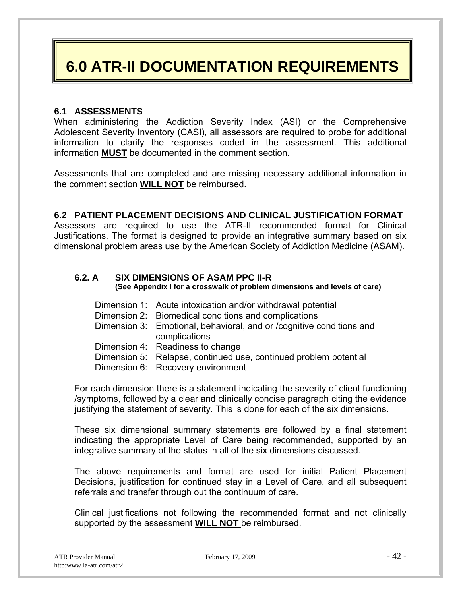## **6.0 ATR-II DOCUMENTATION REQUIREMENTS**

#### **6.1 ASSESSMENTS**

When administering the Addiction Severity Index (ASI) or the Comprehensive Adolescent Severity Inventory (CASI), all assessors are required to probe for additional information to clarify the responses coded in the assessment. This additional information **MUST** be documented in the comment section.

Assessments that are completed and are missing necessary additional information in the comment section **WILL NOT** be reimbursed.

#### **6.2 PATIENT PLACEMENT DECISIONS AND CLINICAL JUSTIFICATION FORMAT**

Assessors are required to use the ATR-II recommended format for Clinical Justifications. The format is designed to provide an integrative summary based on six dimensional problem areas use by the American Society of Addiction Medicine (ASAM).

## **6.2. A SIX DIMENSIONS OF ASAM PPC II-R (See Appendix I for a crosswalk of problem dimensions and levels of care)**

- Dimension 1: Acute intoxication and/or withdrawal potential
- Dimension 2: Biomedical conditions and complications
- Dimension 3: Emotional, behavioral, and or /cognitive conditions and complications
- Dimension 4: Readiness to change
- Dimension 5: Relapse, continued use, continued problem potential
- Dimension 6: Recovery environment

For each dimension there is a statement indicating the severity of client functioning /symptoms, followed by a clear and clinically concise paragraph citing the evidence justifying the statement of severity. This is done for each of the six dimensions.

These six dimensional summary statements are followed by a final statement indicating the appropriate Level of Care being recommended, supported by an integrative summary of the status in all of the six dimensions discussed.

The above requirements and format are used for initial Patient Placement Decisions, justification for continued stay in a Level of Care, and all subsequent referrals and transfer through out the continuum of care.

Clinical justifications not following the recommended format and not clinically supported by the assessment **WILL NOT** be reimbursed.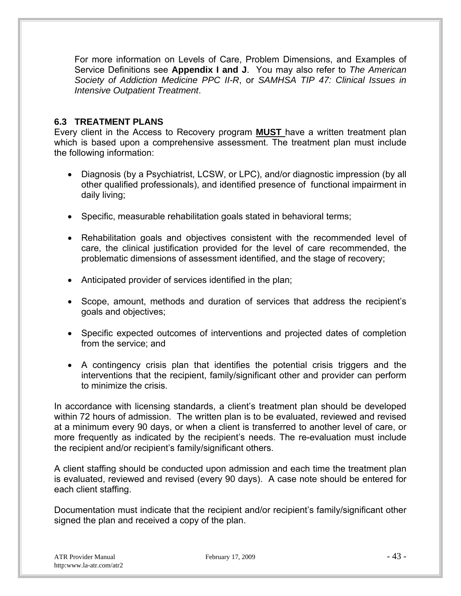For more information on Levels of Care, Problem Dimensions, and Examples of Service Definitions see **Appendix I and J**. You may also refer to *The American Society of Addiction Medicine PPC II-R*, or *SAMHSA TIP 47: Clinical Issues in Intensive Outpatient Treatment*.

## **6.3 TREATMENT PLANS**

Every client in the Access to Recovery program **MUST** have a written treatment plan which is based upon a comprehensive assessment. The treatment plan must include the following information:

- Diagnosis (by a Psychiatrist, LCSW, or LPC), and/or diagnostic impression (by all other qualified professionals), and identified presence of functional impairment in daily living;
- Specific, measurable rehabilitation goals stated in behavioral terms;
- Rehabilitation goals and objectives consistent with the recommended level of care, the clinical justification provided for the level of care recommended, the problematic dimensions of assessment identified, and the stage of recovery;
- Anticipated provider of services identified in the plan;
- Scope, amount, methods and duration of services that address the recipient's goals and objectives;
- Specific expected outcomes of interventions and projected dates of completion from the service; and
- A contingency crisis plan that identifies the potential crisis triggers and the interventions that the recipient, family/significant other and provider can perform to minimize the crisis.

In accordance with licensing standards, a client's treatment plan should be developed within 72 hours of admission. The written plan is to be evaluated, reviewed and revised at a minimum every 90 days, or when a client is transferred to another level of care, or more frequently as indicated by the recipient's needs. The re-evaluation must include the recipient and/or recipient's family/significant others.

A client staffing should be conducted upon admission and each time the treatment plan is evaluated, reviewed and revised (every 90 days). A case note should be entered for each client staffing.

Documentation must indicate that the recipient and/or recipient's family/significant other signed the plan and received a copy of the plan.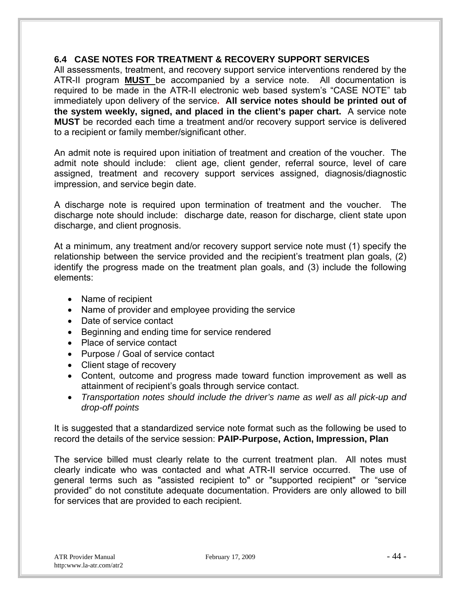#### **6.4 CASE NOTES FOR TREATMENT & RECOVERY SUPPORT SERVICES**

All assessments, treatment, and recovery support service interventions rendered by the ATR-II program **MUST** be accompanied by a service note. All documentation is required to be made in the ATR-II electronic web based system's "CASE NOTE" tab immediately upon delivery of the service**. All service notes should be printed out of the system weekly, signed, and placed in the client's paper chart.** A service note **MUST** be recorded each time a treatment and/or recovery support service is delivered to a recipient or family member/significant other.

An admit note is required upon initiation of treatment and creation of the voucher. The admit note should include: client age, client gender, referral source, level of care assigned, treatment and recovery support services assigned, diagnosis/diagnostic impression, and service begin date.

A discharge note is required upon termination of treatment and the voucher. The discharge note should include: discharge date, reason for discharge, client state upon discharge, and client prognosis.

At a minimum, any treatment and/or recovery support service note must (1) specify the relationship between the service provided and the recipient's treatment plan goals, (2) identify the progress made on the treatment plan goals, and (3) include the following elements:

- Name of recipient
- Name of provider and employee providing the service
- Date of service contact
- Beginning and ending time for service rendered
- Place of service contact
- Purpose / Goal of service contact
- Client stage of recovery
- Content, outcome and progress made toward function improvement as well as attainment of recipient's goals through service contact.
- *Transportation notes should include the driver's name as well as all pick-up and drop-off points*

It is suggested that a standardized service note format such as the following be used to record the details of the service session: **PAIP-Purpose, Action, Impression, Plan** 

The service billed must clearly relate to the current treatment plan. All notes must clearly indicate who was contacted and what ATR-II service occurred. The use of general terms such as "assisted recipient to" or "supported recipient" or "service provided" do not constitute adequate documentation. Providers are only allowed to bill for services that are provided to each recipient.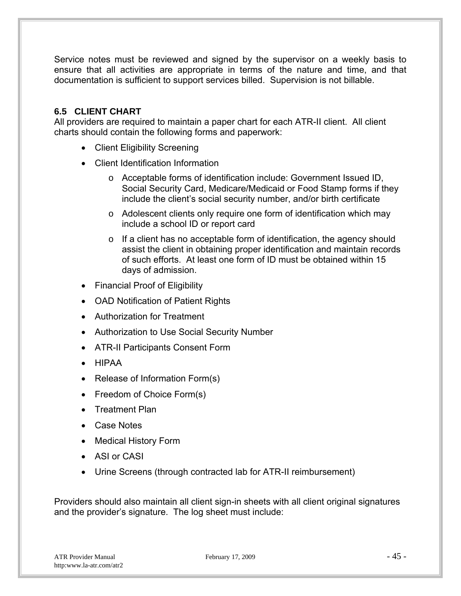Service notes must be reviewed and signed by the supervisor on a weekly basis to ensure that all activities are appropriate in terms of the nature and time, and that documentation is sufficient to support services billed. Supervision is not billable.

## **6.5 CLIENT CHART**

All providers are required to maintain a paper chart for each ATR-II client. All client charts should contain the following forms and paperwork:

- Client Eligibility Screening
- Client Identification Information
	- o Acceptable forms of identification include: Government Issued ID, Social Security Card, Medicare/Medicaid or Food Stamp forms if they include the client's social security number, and/or birth certificate
	- o Adolescent clients only require one form of identification which may include a school ID or report card
	- o If a client has no acceptable form of identification, the agency should assist the client in obtaining proper identification and maintain records of such efforts. At least one form of ID must be obtained within 15 days of admission.
- Financial Proof of Eligibility
- OAD Notification of Patient Rights
- Authorization for Treatment
- Authorization to Use Social Security Number
- ATR-II Participants Consent Form
- HIPAA
- Release of Information Form(s)
- Freedom of Choice Form(s)
- Treatment Plan
- Case Notes
- Medical History Form
- ASI or CASI
- Urine Screens (through contracted lab for ATR-II reimbursement)

Providers should also maintain all client sign-in sheets with all client original signatures and the provider's signature. The log sheet must include: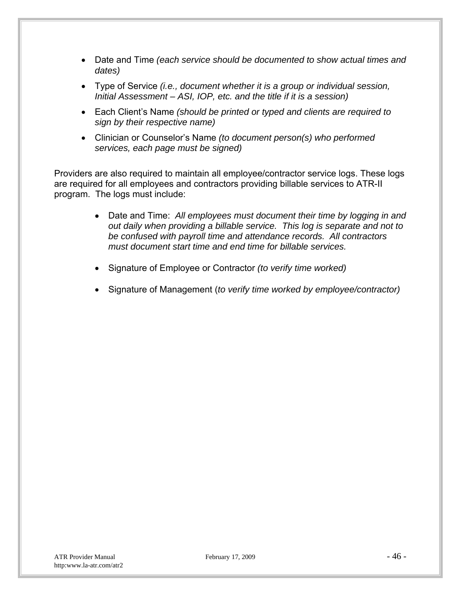- Date and Time *(each service should be documented to show actual times and dates)*
- Type of Service *(i.e., document whether it is a group or individual session, Initial Assessment – ASI, IOP, etc. and the title if it is a session)*
- Each Client's Name *(should be printed or typed and clients are required to sign by their respective name)*
- Clinician or Counselor's Name *(to document person(s) who performed services, each page must be signed)*

Providers are also required to maintain all employee/contractor service logs. These logs are required for all employees and contractors providing billable services to ATR-II program. The logs must include:

- Date and Time: *All employees must document their time by logging in and out daily when providing a billable service. This log is separate and not to be confused with payroll time and attendance records. All contractors must document start time and end time for billable services.*
- Signature of Employee or Contractor *(to verify time worked)*
- Signature of Management (*to verify time worked by employee/contractor)*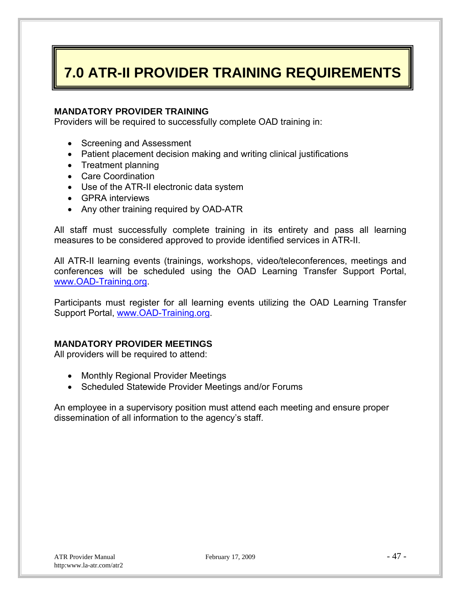## **7.0 ATR-II PROVIDER TRAINING REQUIREMENTS**

#### **MANDATORY PROVIDER TRAINING**

Providers will be required to successfully complete OAD training in:

- Screening and Assessment
- Patient placement decision making and writing clinical justifications
- Treatment planning
- Care Coordination
- Use of the ATR-II electronic data system
- GPRA interviews
- Any other training required by OAD-ATR

All staff must successfully complete training in its entirety and pass all learning measures to be considered approved to provide identified services in ATR-II.

All ATR-II learning events (trainings, workshops, video/teleconferences, meetings and conferences will be scheduled using the OAD Learning Transfer Support Portal, www.OAD-Training.org.

Participants must register for all learning events utilizing the OAD Learning Transfer Support Portal, www.OAD-Training.org.

## **MANDATORY PROVIDER MEETINGS**

All providers will be required to attend:

- Monthly Regional Provider Meetings
- Scheduled Statewide Provider Meetings and/or Forums

An employee in a supervisory position must attend each meeting and ensure proper dissemination of all information to the agency's staff.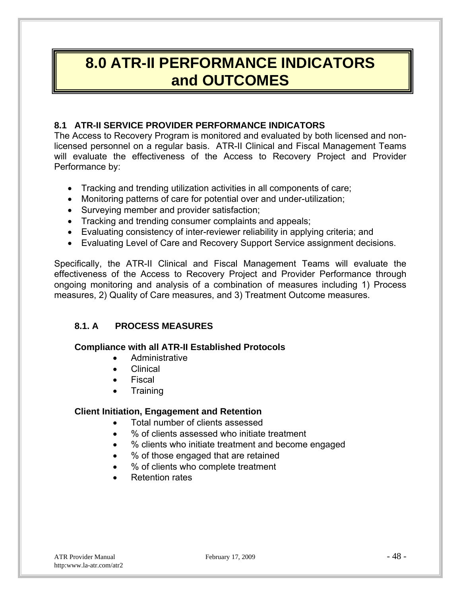## **8.0 ATR-II PERFORMANCE INDICATORS and OUTCOMES**

## **8.1 ATR-II SERVICE PROVIDER PERFORMANCE INDICATORS**

The Access to Recovery Program is monitored and evaluated by both licensed and nonlicensed personnel on a regular basis. ATR-II Clinical and Fiscal Management Teams will evaluate the effectiveness of the Access to Recovery Project and Provider Performance by:

- Tracking and trending utilization activities in all components of care;
- Monitoring patterns of care for potential over and under-utilization;
- Surveying member and provider satisfaction:
- Tracking and trending consumer complaints and appeals;
- Evaluating consistency of inter-reviewer reliability in applying criteria; and
- Evaluating Level of Care and Recovery Support Service assignment decisions.

Specifically, the ATR-II Clinical and Fiscal Management Teams will evaluate the effectiveness of the Access to Recovery Project and Provider Performance through ongoing monitoring and analysis of a combination of measures including 1) Process measures, 2) Quality of Care measures, and 3) Treatment Outcome measures.

## **8.1. A PROCESS MEASURES**

## **Compliance with all ATR-II Established Protocols**

- Administrative
- Clinical
- Fiscal
- **Training**

## **Client Initiation, Engagement and Retention**

- Total number of clients assessed
- % of clients assessed who initiate treatment
- % clients who initiate treatment and become engaged
- % of those engaged that are retained
- % of clients who complete treatment
- Retention rates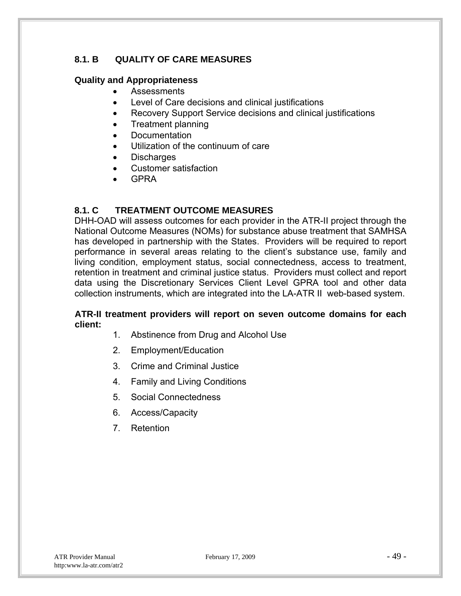## **8.1. B QUALITY OF CARE MEASURES**

## **Quality and Appropriateness**

- Assessments
- Level of Care decisions and clinical justifications
- Recovery Support Service decisions and clinical justifications
- Treatment planning
- **Documentation**
- Utilization of the continuum of care
- Discharges
- Customer satisfaction
- GPRA

## **8.1. C TREATMENT OUTCOME MEASURES**

DHH-OAD will assess outcomes for each provider in the ATR-II project through the National Outcome Measures (NOMs) for substance abuse treatment that SAMHSA has developed in partnership with the States. Providers will be required to report performance in several areas relating to the client's substance use, family and living condition, employment status, social connectedness, access to treatment, retention in treatment and criminal justice status. Providers must collect and report data using the Discretionary Services Client Level GPRA tool and other data collection instruments, which are integrated into the LA-ATR II web-based system.

#### **ATR-II treatment providers will report on seven outcome domains for each client:**

- 1. Abstinence from Drug and Alcohol Use
- 2. Employment/Education
- 3. Crime and Criminal Justice
- 4. Family and Living Conditions
- 5. Social Connectedness
- 6. Access/Capacity
- 7. Retention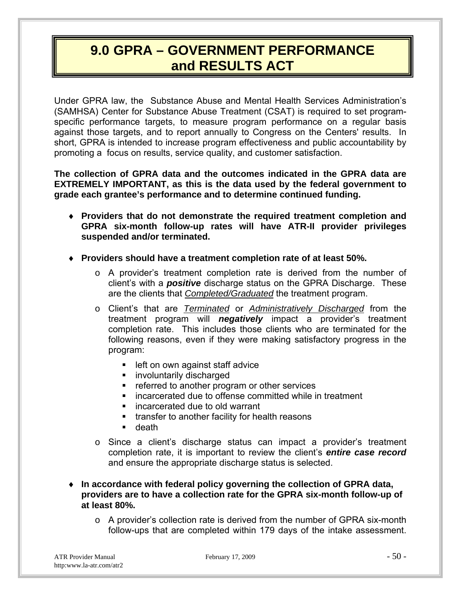## **9.0 GPRA – GOVERNMENT PERFORMANCE and RESULTS ACT**

Under GPRA law, the Substance Abuse and Mental Health Services Administration's (SAMHSA) Center for Substance Abuse Treatment (CSAT) is required to set programspecific performance targets, to measure program performance on a regular basis against those targets, and to report annually to Congress on the Centers' results. In short, GPRA is intended to increase program effectiveness and public accountability by promoting a focus on results, service quality, and customer satisfaction.

**The collection of GPRA data and the outcomes indicated in the GPRA data are EXTREMELY IMPORTANT, as this is the data used by the federal government to grade each grantee's performance and to determine continued funding.**

- **Providers that do not demonstrate the required treatment completion and GPRA six-month follow-up rates will have ATR-II provider privileges suspended and/or terminated.**
- **Providers should have a treatment completion rate of at least 50%.** 
	- o A provider's treatment completion rate is derived from the number of client's with a *positive* discharge status on the GPRA Discharge. These are the clients that *Completed/Graduated* the treatment program.
	- o Client's that are *Terminated* or *Administratively Discharged* from the treatment program will *negatively* impact a provider's treatment completion rate. This includes those clients who are terminated for the following reasons, even if they were making satisfactory progress in the program:
		- **EXECUTE:** left on own against staff advice
		- **EXECUTE:** involuntarily discharged
		- referred to another program or other services
		- incarcerated due to offense committed while in treatment
		- **EXECUTE:** incarcerated due to old warrant
		- **transfer to another facility for health reasons**
		- **death**
	- $\circ$  Since a client's discharge status can impact a provider's treatment completion rate, it is important to review the client's *entire case record* and ensure the appropriate discharge status is selected.
- **In accordance with federal policy governing the collection of GPRA data, providers are to have a collection rate for the GPRA six-month follow-up of at least 80%.** 
	- o A provider's collection rate is derived from the number of GPRA six-month follow-ups that are completed within 179 days of the intake assessment.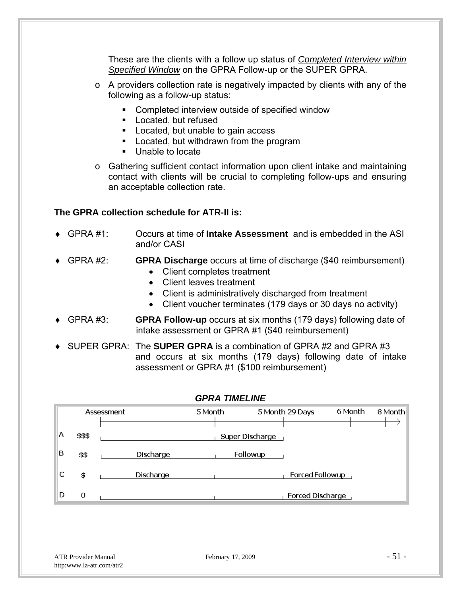These are the clients with a follow up status of *Completed Interview within Specified Window* on the GPRA Follow-up or the SUPER GPRA.

- o A providers collection rate is negatively impacted by clients with any of the following as a follow-up status:
	- **EXECOMPLEE COMPLETED INTER** Completed interview outside of specified window
	- **Located, but refused**
	- **Located, but unable to gain access**
	- **Located, but withdrawn from the program**
	- **Unable to locate**
- o Gathering sufficient contact information upon client intake and maintaining contact with clients will be crucial to completing follow-ups and ensuring an acceptable collection rate.

## **The GPRA collection schedule for ATR-II is:**

- GPRA #1: Occurs at time of **Intake Assessment** and is embedded in the ASI and/or CASI
- GPRA #2: **GPRA Discharge** occurs at time of discharge (\$40 reimbursement) Client completes treatment
	- Client leaves treatment
	- Client is administratively discharged from treatment
	- Client voucher terminates (179 days or 30 days no activity)
- GPRA #3: **GPRA Follow-up** occurs at six months (179 days) following date of intake assessment or GPRA #1 (\$40 reimbursement)
- SUPER GPRA: The **SUPER GPRA** is a combination of GPRA #2 and GPRA #3 and occurs at six months (179 days) following date of intake assessment or GPRA #1 (\$100 reimbursement)

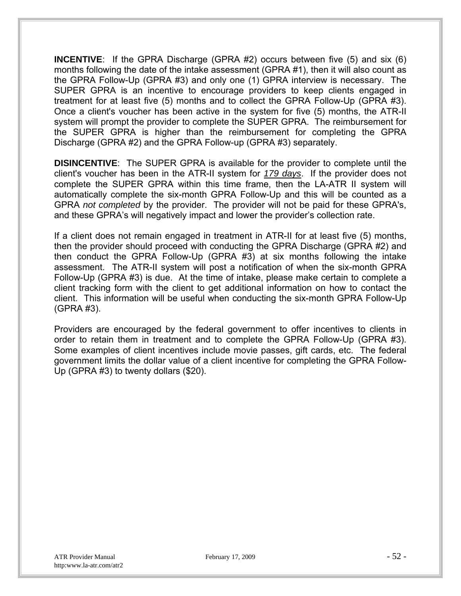**INCENTIVE**: If the GPRA Discharge (GPRA #2) occurs between five (5) and six (6) months following the date of the intake assessment (GPRA #1), then it will also count as the GPRA Follow-Up (GPRA #3) and only one (1) GPRA interview is necessary. The SUPER GPRA is an incentive to encourage providers to keep clients engaged in treatment for at least five (5) months and to collect the GPRA Follow-Up (GPRA #3). Once a client's voucher has been active in the system for five (5) months, the ATR-II system will prompt the provider to complete the SUPER GPRA. The reimbursement for the SUPER GPRA is higher than the reimbursement for completing the GPRA Discharge (GPRA #2) and the GPRA Follow-up (GPRA #3) separately.

**DISINCENTIVE**: The SUPER GPRA is available for the provider to complete until the client's voucher has been in the ATR-II system for *179 days*. If the provider does not complete the SUPER GPRA within this time frame, then the LA-ATR II system will automatically complete the six-month GPRA Follow-Up and this will be counted as a GPRA *not completed* by the provider. The provider will not be paid for these GPRA's, and these GPRA's will negatively impact and lower the provider's collection rate.

If a client does not remain engaged in treatment in ATR-II for at least five (5) months, then the provider should proceed with conducting the GPRA Discharge (GPRA #2) and then conduct the GPRA Follow-Up (GPRA #3) at six months following the intake assessment. The ATR-II system will post a notification of when the six-month GPRA Follow-Up (GPRA #3) is due. At the time of intake, please make certain to complete a client tracking form with the client to get additional information on how to contact the client. This information will be useful when conducting the six-month GPRA Follow-Up (GPRA #3).

Providers are encouraged by the federal government to offer incentives to clients in order to retain them in treatment and to complete the GPRA Follow-Up (GPRA #3). Some examples of client incentives include movie passes, gift cards, etc. The federal government limits the dollar value of a client incentive for completing the GPRA Follow-Up (GPRA #3) to twenty dollars (\$20).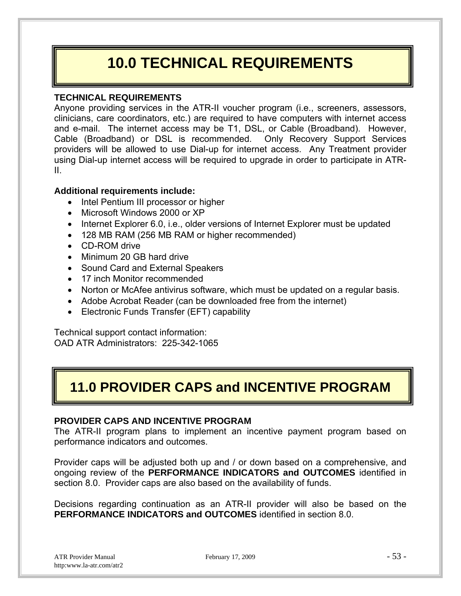## **10.0 TECHNICAL REQUIREMENTS**

## **TECHNICAL REQUIREMENTS**

Anyone providing services in the ATR-II voucher program (i.e., screeners, assessors, clinicians, care coordinators, etc.) are required to have computers with internet access and e-mail. The internet access may be T1, DSL, or Cable (Broadband). However, Cable (Broadband) or DSL is recommended. Only Recovery Support Services providers will be allowed to use Dial-up for internet access. Any Treatment provider using Dial-up internet access will be required to upgrade in order to participate in ATR-II.

## **Additional requirements include:**

- Intel Pentium III processor or higher
- Microsoft Windows 2000 or XP
- Internet Explorer 6.0, i.e., older versions of Internet Explorer must be updated
- 128 MB RAM (256 MB RAM or higher recommended)
- CD-ROM drive
- Minimum 20 GB hard drive
- Sound Card and External Speakers
- 17 inch Monitor recommended
- Norton or McAfee antivirus software, which must be updated on a regular basis.
- Adobe Acrobat Reader (can be downloaded free from the internet)
- Electronic Funds Transfer (EFT) capability

Technical support contact information: OAD ATR Administrators: 225-342-1065

## **11.0 PROVIDER CAPS and INCENTIVE PROGRAM**

## **PROVIDER CAPS AND INCENTIVE PROGRAM**

The ATR-II program plans to implement an incentive payment program based on performance indicators and outcomes.

Provider caps will be adjusted both up and / or down based on a comprehensive, and ongoing review of the **PERFORMANCE INDICATORS and OUTCOMES** identified in section 8.0. Provider caps are also based on the availability of funds.

Decisions regarding continuation as an ATR-II provider will also be based on the **PERFORMANCE INDICATORS and OUTCOMES** identified in section 8.0.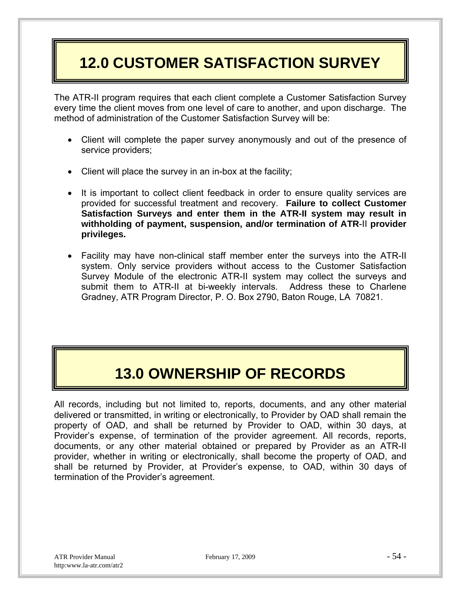## **12.0 CUSTOMER SATISFACTION SURVEY**

The ATR-II program requires that each client complete a Customer Satisfaction Survey every time the client moves from one level of care to another, and upon discharge. The method of administration of the Customer Satisfaction Survey will be:

- Client will complete the paper survey anonymously and out of the presence of service providers;
- Client will place the survey in an in-box at the facility;
- It is important to collect client feedback in order to ensure quality services are provided for successful treatment and recovery. **Failure to collect Customer Satisfaction Surveys and enter them in the ATR-II system may result in withholding of payment, suspension, and/or termination of ATR**-II **provider privileges.**
- Facility may have non-clinical staff member enter the surveys into the ATR-II system. Only service providers without access to the Customer Satisfaction Survey Module of the electronic ATR-II system may collect the surveys and submit them to ATR-II at bi-weekly intervals. Address these to Charlene Gradney, ATR Program Director, P. O. Box 2790, Baton Rouge, LA 70821.

## **13.0 OWNERSHIP OF RECORDS**

All records, including but not limited to, reports, documents, and any other material delivered or transmitted, in writing or electronically, to Provider by OAD shall remain the property of OAD, and shall be returned by Provider to OAD, within 30 days, at Provider's expense, of termination of the provider agreement. All records, reports, documents, or any other material obtained or prepared by Provider as an ATR-II provider, whether in writing or electronically, shall become the property of OAD, and shall be returned by Provider, at Provider's expense, to OAD, within 30 days of termination of the Provider's agreement.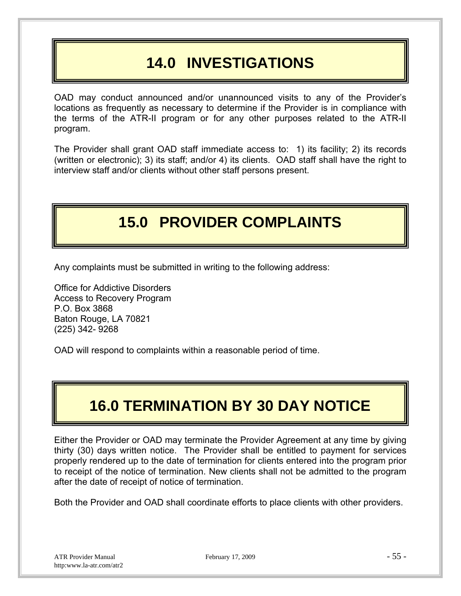## **14.0 INVESTIGATIONS**

OAD may conduct announced and/or unannounced visits to any of the Provider's locations as frequently as necessary to determine if the Provider is in compliance with the terms of the ATR-II program or for any other purposes related to the ATR-II program.

The Provider shall grant OAD staff immediate access to: 1) its facility; 2) its records (written or electronic); 3) its staff; and/or 4) its clients. OAD staff shall have the right to interview staff and/or clients without other staff persons present.

## **15.0 PROVIDER COMPLAINTS**

Any complaints must be submitted in writing to the following address:

Office for Addictive Disorders Access to Recovery Program P.O. Box 3868 Baton Rouge, LA 70821 (225) 342- 9268

OAD will respond to complaints within a reasonable period of time.

## **16.0 TERMINATION BY 30 DAY NOTICE**

Either the Provider or OAD may terminate the Provider Agreement at any time by giving thirty (30) days written notice. The Provider shall be entitled to payment for services properly rendered up to the date of termination for clients entered into the program prior to receipt of the notice of termination. New clients shall not be admitted to the program after the date of receipt of notice of termination.

Both the Provider and OAD shall coordinate efforts to place clients with other providers.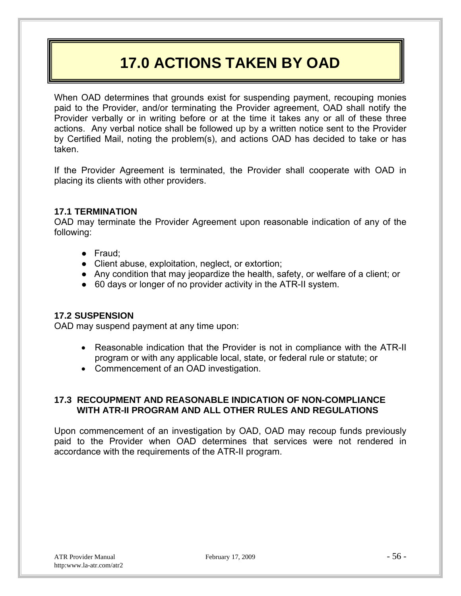## **17.0 ACTIONS TAKEN BY OAD**

When OAD determines that grounds exist for suspending payment, recouping monies paid to the Provider, and/or terminating the Provider agreement, OAD shall notify the Provider verbally or in writing before or at the time it takes any or all of these three actions. Any verbal notice shall be followed up by a written notice sent to the Provider by Certified Mail, noting the problem(s), and actions OAD has decided to take or has taken.

If the Provider Agreement is terminated, the Provider shall cooperate with OAD in placing its clients with other providers.

#### **17.1 TERMINATION**

OAD may terminate the Provider Agreement upon reasonable indication of any of the following:

- Fraud;
- Client abuse, exploitation, neglect, or extortion;
- Any condition that may jeopardize the health, safety, or welfare of a client; or
- 60 days or longer of no provider activity in the ATR-II system.

#### **17.2 SUSPENSION**

OAD may suspend payment at any time upon:

- Reasonable indication that the Provider is not in compliance with the ATR-II program or with any applicable local, state, or federal rule or statute; or
- Commencement of an OAD investigation.

## **17.3 RECOUPMENT AND REASONABLE INDICATION OF NON-COMPLIANCE WITH ATR-II PROGRAM AND ALL OTHER RULES AND REGULATIONS**

Upon commencement of an investigation by OAD, OAD may recoup funds previously paid to the Provider when OAD determines that services were not rendered in accordance with the requirements of the ATR-II program.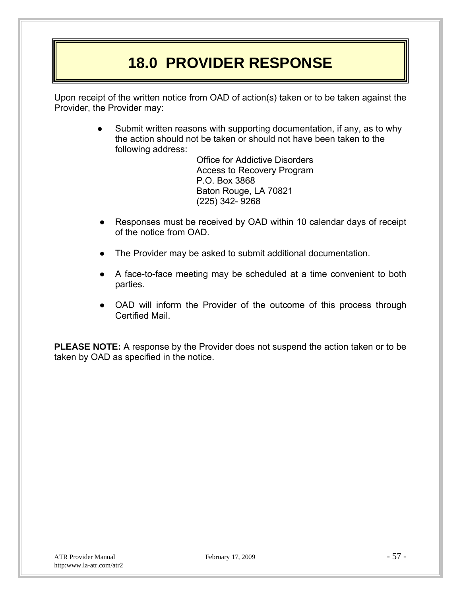## **18.0 PROVIDER RESPONSE**

Upon receipt of the written notice from OAD of action(s) taken or to be taken against the Provider, the Provider may:

> Submit written reasons with supporting documentation, if any, as to why the action should not be taken or should not have been taken to the following address:

> > Office for Addictive Disorders Access to Recovery Program P.O. Box 3868 Baton Rouge, LA 70821 (225) 342- 9268

- Responses must be received by OAD within 10 calendar days of receipt of the notice from OAD.
- The Provider may be asked to submit additional documentation.
- A face-to-face meeting may be scheduled at a time convenient to both parties.
- OAD will inform the Provider of the outcome of this process through Certified Mail.

**PLEASE NOTE:** A response by the Provider does not suspend the action taken or to be taken by OAD as specified in the notice.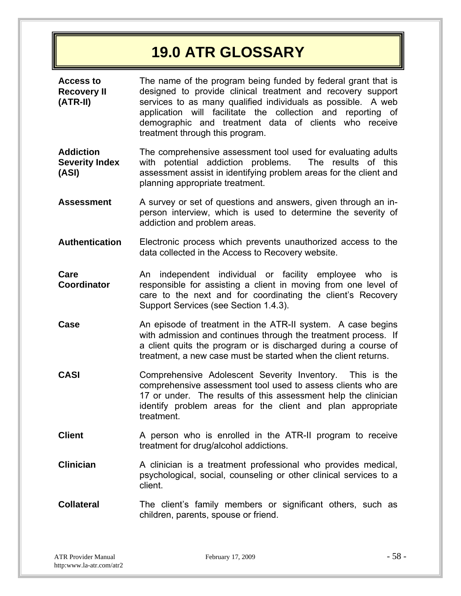## **19.0 ATR GLOSSARY**

**Access to Recovery II (ATR-II)**  The name of the program being funded by federal grant that is designed to provide clinical treatment and recovery support services to as many qualified individuals as possible. A web application will facilitate the collection and reporting of demographic and treatment data of clients who receive treatment through this program.

**Addiction Severity Index (ASI)**  The comprehensive assessment tool used for evaluating adults with potential addiction problems. The results of this assessment assist in identifying problem areas for the client and planning appropriate treatment.

- **Assessment** A survey or set of questions and answers, given through an inperson interview, which is used to determine the severity of addiction and problem areas.
- **Authentication** Electronic process which prevents unauthorized access to the data collected in the Access to Recovery website.
- **Care Coordinator**  An independent individual or facility employee who is responsible for assisting a client in moving from one level of care to the next and for coordinating the client's Recovery Support Services (see Section 1.4.3).
- **Case An episode of treatment in the ATR-II system.** A case begins with admission and continues through the treatment process. If a client quits the program or is discharged during a course of treatment, a new case must be started when the client returns.
- **CASI** Comprehensive Adolescent Severity Inventory. This is the comprehensive assessment tool used to assess clients who are 17 or under. The results of this assessment help the clinician identify problem areas for the client and plan appropriate treatment.
- **Client** A person who is enrolled in the ATR-II program to receive treatment for drug/alcohol addictions.
- **Clinician** A clinician is a treatment professional who provides medical, psychological, social, counseling or other clinical services to a client.
- **Collateral** The client's family members or significant others, such as children, parents, spouse or friend.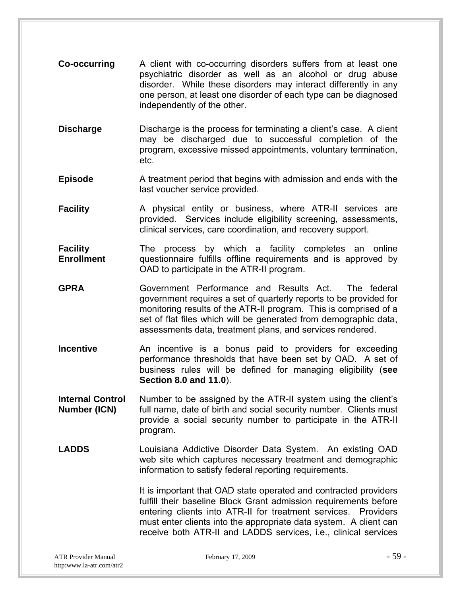- **Co-occurring** A client with co-occurring disorders suffers from at least one psychiatric disorder as well as an alcohol or drug abuse disorder. While these disorders may interact differently in any one person, at least one disorder of each type can be diagnosed independently of the other.
- **Discharge** Discharge is the process for terminating a client's case. A client may be discharged due to successful completion of the program, excessive missed appointments, voluntary termination, etc.
- **Episode** A treatment period that begins with admission and ends with the last voucher service provided.
- **Facility** A physical entity or business, where ATR-II services are provided. Services include eligibility screening, assessments, clinical services, care coordination, and recovery support.
- **Facility Enrollment**  The process by which a facility completes an online questionnaire fulfills offline requirements and is approved by OAD to participate in the ATR-II program.
- **GPRA** Government Performance and Results Act. The federal government requires a set of quarterly reports to be provided for monitoring results of the ATR-II program. This is comprised of a set of flat files which will be generated from demographic data, assessments data, treatment plans, and services rendered.
- **Incentive An** incentive is a bonus paid to providers for exceeding performance thresholds that have been set by OAD. A set of business rules will be defined for managing eligibility (**see Section 8.0 and 11.0**).
- **Internal Control Number (ICN)**  Number to be assigned by the ATR-II system using the client's full name, date of birth and social security number. Clients must provide a social security number to participate in the ATR-II program.
- **LADDS** Louisiana Addictive Disorder Data System. An existing OAD web site which captures necessary treatment and demographic information to satisfy federal reporting requirements.

It is important that OAD state operated and contracted providers fulfill their baseline Block Grant admission requirements before entering clients into ATR-II for treatment services. Providers must enter clients into the appropriate data system. A client can receive both ATR-II and LADDS services, i.e., clinical services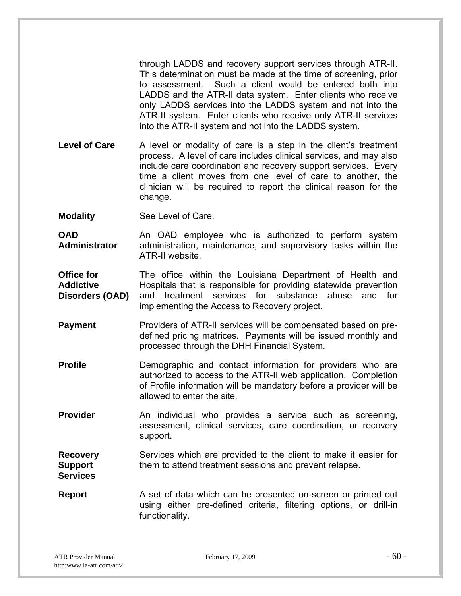through LADDS and recovery support services through ATR-II. This determination must be made at the time of screening, prior to assessment. Such a client would be entered both into LADDS and the ATR-II data system. Enter clients who receive only LADDS services into the LADDS system and not into the ATR-II system. Enter clients who receive only ATR-II services into the ATR-II system and not into the LADDS system.

Level of Care A level or modality of care is a step in the client's treatment process. A level of care includes clinical services, and may also include care coordination and recovery support services. Every time a client moves from one level of care to another, the clinician will be required to report the clinical reason for the change.

**Modality** See Level of Care.

**OAD Administrator**  An OAD employee who is authorized to perform system administration, maintenance, and supervisory tasks within the ATR-II website.

**Office for Addictive Disorders (OAD)**  The office within the Louisiana Department of Health and Hospitals that is responsible for providing statewide prevention and treatment services for substance abuse and for implementing the Access to Recovery project.

- **Payment** Providers of ATR-II services will be compensated based on predefined pricing matrices. Payments will be issued monthly and processed through the DHH Financial System.
- **Profile Demographic and contact information for providers who are** authorized to access to the ATR-II web application. Completion of Profile information will be mandatory before a provider will be allowed to enter the site.
- **Provider An individual who provides a service such as screening,** assessment, clinical services, care coordination, or recovery support.

#### **Recovery Support Services**  Services which are provided to the client to make it easier for them to attend treatment sessions and prevent relapse.

**Report** A set of data which can be presented on-screen or printed out using either pre-defined criteria, filtering options, or drill-in functionality.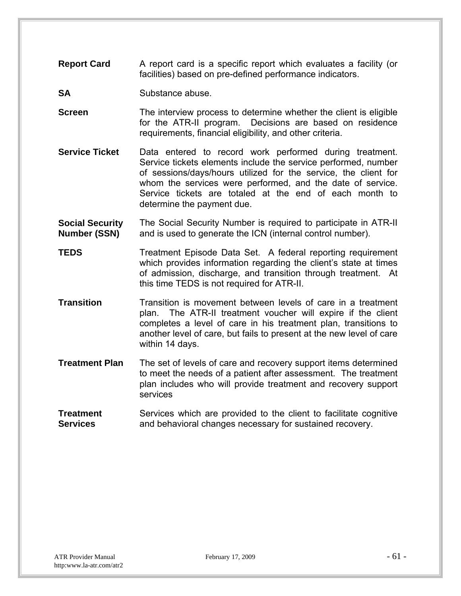- **Report Card** A report card is a specific report which evaluates a facility (or facilities) based on pre-defined performance indicators.
- **SA** Substance abuse.
- **Screen** The interview process to determine whether the client is eligible for the ATR-II program. Decisions are based on residence requirements, financial eligibility, and other criteria.
- **Service Ticket** Data entered to record work performed during treatment. Service tickets elements include the service performed, number of sessions/days/hours utilized for the service, the client for whom the services were performed, and the date of service. Service tickets are totaled at the end of each month to determine the payment due.
- **Social Security Number (SSN)**  The Social Security Number is required to participate in ATR-II and is used to generate the ICN (internal control number).
- **TEDS** Treatment Episode Data Set. A federal reporting requirement which provides information regarding the client's state at times of admission, discharge, and transition through treatment. At this time TEDS is not required for ATR-II.
- **Transition** Transition is movement between levels of care in a treatment plan. The ATR-II treatment voucher will expire if the client completes a level of care in his treatment plan, transitions to another level of care, but fails to present at the new level of care within 14 days.
- **Treatment Plan** The set of levels of care and recovery support items determined to meet the needs of a patient after assessment. The treatment plan includes who will provide treatment and recovery support services
- **Treatment Services**  Services which are provided to the client to facilitate cognitive and behavioral changes necessary for sustained recovery.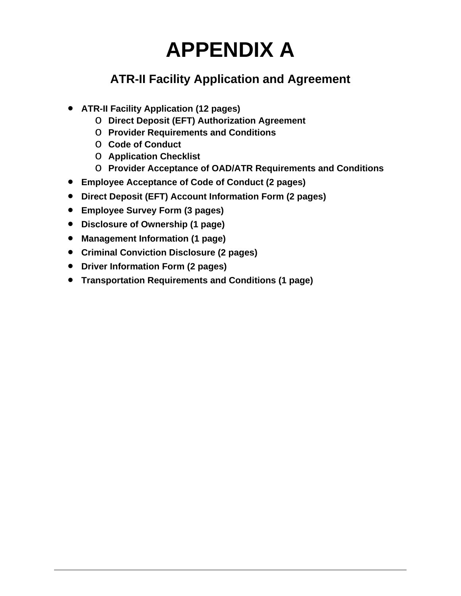## **APPENDIX A**

## **ATR-II Facility Application and Agreement**

- **ATR-II Facility Application (12 pages)**
	- o **Direct Deposit (EFT) Authorization Agreement**
	- o **Provider Requirements and Conditions**
	- o **Code of Conduct**
	- o **Application Checklist**
	- o **Provider Acceptance of OAD/ATR Requirements and Conditions**
- **Employee Acceptance of Code of Conduct (2 pages)**
- **Direct Deposit (EFT) Account Information Form (2 pages)**
- **Employee Survey Form (3 pages)**
- **Disclosure of Ownership (1 page)**
- **Management Information (1 page)**
- **Criminal Conviction Disclosure (2 pages)**
- **Driver Information Form (2 pages)**
- **Transportation Requirements and Conditions (1 page)**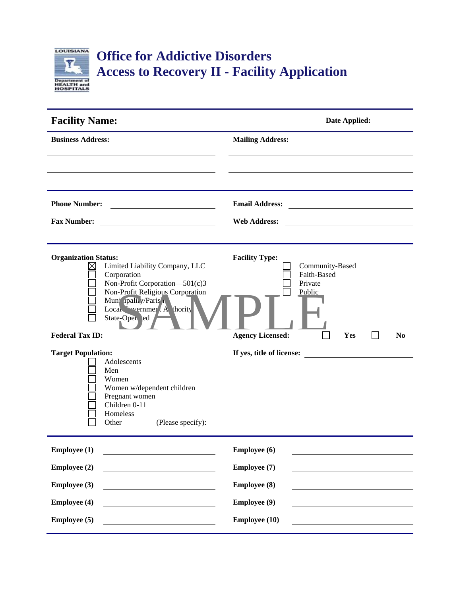

| <b>Facility Name:</b>                                                                                                                                                                                                                           | Date Applied:                                                                                                                                     |  |  |
|-------------------------------------------------------------------------------------------------------------------------------------------------------------------------------------------------------------------------------------------------|---------------------------------------------------------------------------------------------------------------------------------------------------|--|--|
| <b>Business Address:</b>                                                                                                                                                                                                                        | <b>Mailing Address:</b>                                                                                                                           |  |  |
|                                                                                                                                                                                                                                                 |                                                                                                                                                   |  |  |
| <b>Phone Number:</b>                                                                                                                                                                                                                            | <b>Email Address:</b>                                                                                                                             |  |  |
| <b>Fax Number:</b>                                                                                                                                                                                                                              | <b>Web Address:</b>                                                                                                                               |  |  |
| <b>Organization Status:</b><br>Limited Liability Company, LLC<br>Corporation<br>Non-Profit Corporation-501(c)3<br>Non-Profit Religious Corporation<br>Muni ipah y/Paris!<br>Local vernmer A thority<br>State-Open ted<br><b>Federal Tax ID:</b> | <b>Facility Type:</b><br>Community-Based<br>Faith-Based<br>Private<br>Public<br><b>Agency Licensed:</b><br>Yes<br>N <sub>0</sub>                  |  |  |
| <b>Target Population:</b><br>Adolescents<br>Men<br>Women<br>Women w/dependent children<br>Pregnant women<br>Children 0-11<br>Homeless<br>Other<br>(Please specify):                                                                             | If yes, title of license:<br><u> 1980 - Jan Barbara Barat, prima popular popular popular popular popular popular popular popular popular popu</u> |  |  |
| <b>Employee</b> (1)                                                                                                                                                                                                                             | Employee (6)                                                                                                                                      |  |  |
| <b>Employee (2)</b>                                                                                                                                                                                                                             | Employee (7)                                                                                                                                      |  |  |
| <b>Employee</b> (3)                                                                                                                                                                                                                             | <b>Employee (8)</b>                                                                                                                               |  |  |
| <b>Employee (4)</b>                                                                                                                                                                                                                             | <b>Employee (9)</b>                                                                                                                               |  |  |
| <b>Employee</b> (5)                                                                                                                                                                                                                             | <b>Employee (10)</b>                                                                                                                              |  |  |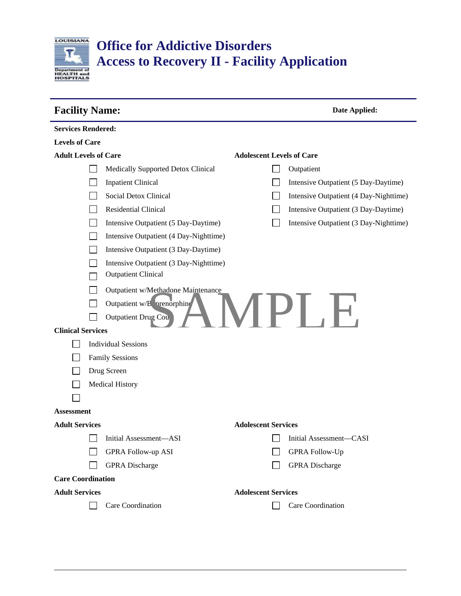

## **Office for Addictive Disorders Access to Recovery II - Facility Application**

| <b>Facility Name:</b>       |                                        | Date Applied:                          |                                  |                                        |
|-----------------------------|----------------------------------------|----------------------------------------|----------------------------------|----------------------------------------|
| <b>Services Rendered:</b>   |                                        |                                        |                                  |                                        |
| <b>Levels of Care</b>       |                                        |                                        |                                  |                                        |
| <b>Adult Levels of Care</b> |                                        |                                        | <b>Adolescent Levels of Care</b> |                                        |
|                             |                                        | Medically Supported Detox Clinical     |                                  | Outpatient                             |
|                             |                                        | <b>Inpatient Clinical</b>              |                                  | Intensive Outpatient (5 Day-Daytime)   |
|                             |                                        | Social Detox Clinical                  |                                  | Intensive Outpatient (4 Day-Nighttime) |
|                             |                                        | Residential Clinical                   |                                  | Intensive Outpatient (3 Day-Daytime)   |
|                             |                                        | Intensive Outpatient (5 Day-Daytime)   |                                  | Intensive Outpatient (3 Day-Nighttime) |
|                             | Intensive Outpatient (4 Day-Nighttime) |                                        |                                  |                                        |
|                             | Intensive Outpatient (3 Day-Daytime)   |                                        |                                  |                                        |
|                             |                                        | Intensive Outpatient (3 Day-Nighttime) |                                  |                                        |
|                             |                                        | <b>Outpatient Clinical</b>             |                                  |                                        |
|                             |                                        | Outpatient w/Methadone Maintenance     |                                  |                                        |
|                             | Outpatient w/B vrenorphine             |                                        |                                  |                                        |
|                             |                                        | Outpatient Drug Cou                    |                                  | IPI .I                                 |
| <b>Clinical Services</b>    |                                        |                                        |                                  |                                        |
|                             |                                        | <b>Individual Sessions</b>             |                                  |                                        |
|                             |                                        | <b>Family Sessions</b>                 |                                  |                                        |
|                             | Drug Screen                            |                                        |                                  |                                        |
|                             | <b>Medical History</b>                 |                                        |                                  |                                        |
|                             |                                        |                                        |                                  |                                        |
| <b>Assessment</b>           |                                        |                                        |                                  |                                        |
| <b>Adult Services</b>       |                                        |                                        | <b>Adolescent Services</b>       |                                        |
|                             |                                        | Initial Assessment-ASI                 |                                  | Initial Assessment-CASI                |
|                             |                                        | <b>GPRA Follow-up ASI</b>              |                                  | <b>GPRA Follow-Up</b>                  |
|                             |                                        | <b>GPRA</b> Discharge                  |                                  | <b>GPRA</b> Discharge                  |
| <b>Care Coordination</b>    |                                        |                                        |                                  |                                        |
| <b>Adult Services</b>       |                                        |                                        | <b>Adolescent Services</b>       |                                        |
|                             |                                        | Care Coordination                      |                                  | Care Coordination                      |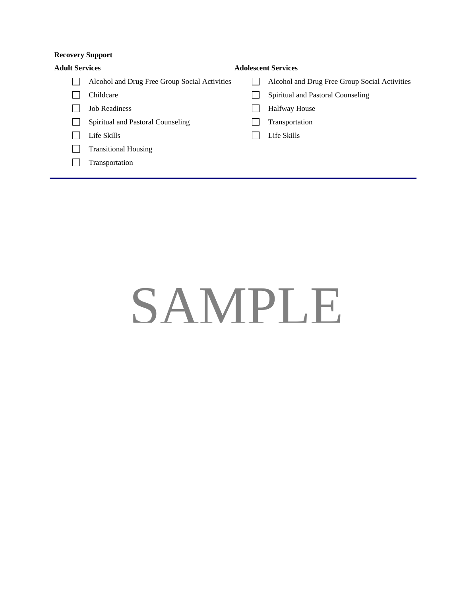#### **Recovery Support**

| <b>Adult Services</b> |                                               | <b>Adolescent Services</b>                    |
|-----------------------|-----------------------------------------------|-----------------------------------------------|
|                       | Alcohol and Drug Free Group Social Activities | Alcohol and Drug Free Group Social Activities |
|                       | Childcare                                     | Spiritual and Pastoral Counseling             |
|                       | <b>Job Readiness</b>                          | <b>Halfway House</b>                          |
|                       | Spiritual and Pastoral Counseling             | Transportation                                |
|                       | Life Skills                                   | Life Skills                                   |
|                       | <b>Transitional Housing</b>                   |                                               |
|                       | Transportation                                |                                               |
|                       |                                               |                                               |

# SAMPLE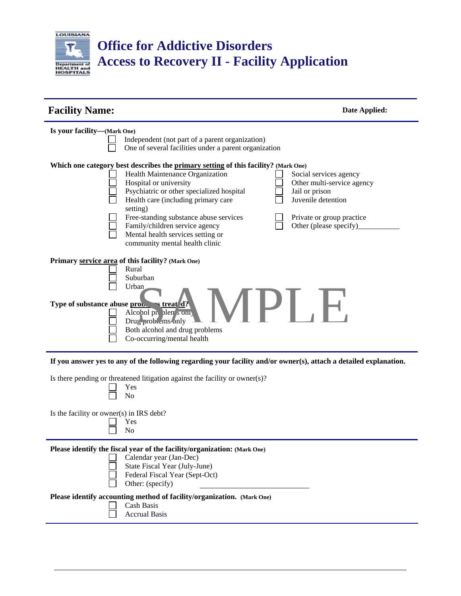

## **Office for Addictive Disorders Access to Recovery II - Facility Application**

| <b>Facility Name:</b><br>Date Applied:                                                                                                                                                                                                                                                                                                                                                             |                                                                                                                                                     |
|----------------------------------------------------------------------------------------------------------------------------------------------------------------------------------------------------------------------------------------------------------------------------------------------------------------------------------------------------------------------------------------------------|-----------------------------------------------------------------------------------------------------------------------------------------------------|
| Is your facility—(Mark One)<br>Independent (not part of a parent organization)<br>One of several facilities under a parent organization                                                                                                                                                                                                                                                            |                                                                                                                                                     |
| Which one category best describes the primary setting of this facility? (Mark One)<br>Health Maintenance Organization<br>Hospital or university<br>Psychiatric or other specialized hospital<br>Health care (including primary care<br>setting)<br>Free-standing substance abuse services<br>Family/children service agency<br>Mental health services setting or<br>community mental health clinic | Social services agency<br>Other multi-service agency<br>Jail or prison<br>Juvenile detention<br>Private or group practice<br>Other (please specify) |
| Primary service area of this facility? (Mark One)<br>Rural<br>Suburban<br>Urban.<br>Type of substance abuse prob. streat d?<br>Alcohol pr blem s om<br>Drug problems only<br>Both alcohol and drug problems<br>Co-occurring/mental health                                                                                                                                                          | I PL .H.                                                                                                                                            |
| If you answer yes to any of the following regarding your facility and/or owner(s), attach a detailed explanation.<br>Is there pending or threatened litigation against the facility or owner(s)?<br>Yes<br>N <sub>0</sub>                                                                                                                                                                          |                                                                                                                                                     |

Is the facility or owner(s) in IRS debt?

Yes No  $\Box$ 

**Please identify the fiscal year of the facility/organization: (Mark One)**

| $\Box$ | Calendar year (Jan-Dec) |  |  |
|--------|-------------------------|--|--|
|        |                         |  |  |

- State Fiscal Year (July-June)
- Federal Fiscal Year (Sept-Oct)
- Other: (specify)

## **Please identify accounting method of facility/organization. (Mark One)**

- Cash Basis  $\perp$ Accrual Basis  $\Box$ 
	-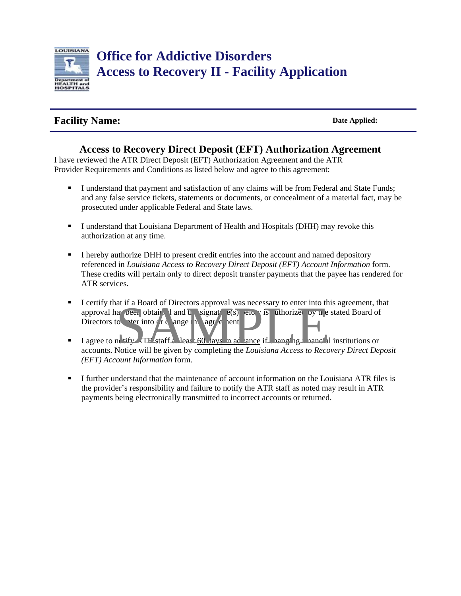

## **Facility Name:** Date Applied:

## **Access to Recovery Direct Deposit (EFT) Authorization Agreement**

I have reviewed the ATR Direct Deposit (EFT) Authorization Agreement and the ATR Provider Requirements and Conditions as listed below and agree to this agreement:

- I understand that payment and satisfaction of any claims will be from Federal and State Funds; and any false service tickets, statements or documents, or concealment of a material fact, may be prosecuted under applicable Federal and State laws.
- I understand that Louisiana Department of Health and Hospitals (DHH) may revoke this authorization at any time.
- I hereby authorize DHH to present credit entries into the account and named depository referenced in *Louisiana Access to Recovery Direct Deposit (EFT) Account Information* form. These credits will pertain only to direct deposit transfer payments that the payee has rendered for ATR services.
- I certify that if a Board of Directors approval was necessary to enter into this agreement, that approval has been obtained and the signature  $\epsilon(s)$  elocy is uthorized by the stated Board of Directors to the into  $\alpha$  change this agreement. at if a Board of Directors approval was necessary to enter into the contract of the signature of the same into the contract of the same into the contract of the same into the same of the contract of the same into the same
- I agree to notify ATF staff at least 60 days in a cance if panel generated institutions or accounts. Notice will be given by completing the *Louisiana Access to Recovery Direct Deposit (EFT) Account Information* form.
- I further understand that the maintenance of account information on the Louisiana ATR files is the provider's responsibility and failure to notify the ATR staff as noted may result in ATR payments being electronically transmitted to incorrect accounts or returned.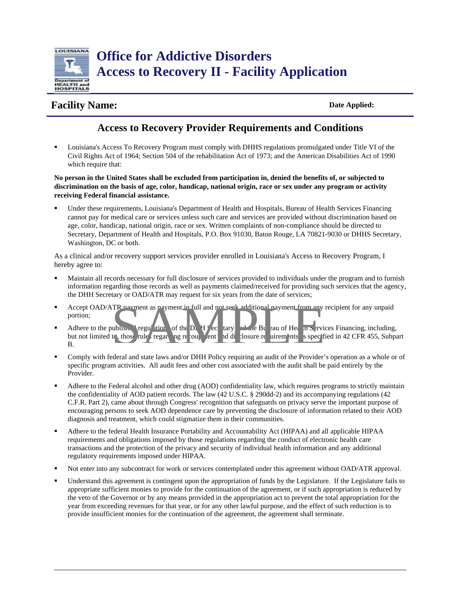

## **Facility Name:** Date Applied:

## **Access to Recovery Provider Requirements and Conditions**

 Louisiana's Access To Recovery Program must comply with DHHS regulations promulgated under Title VI of the Civil Rights Act of 1964; Section 504 of the rehabilitation Act of 1973; and the American Disabilities Act of 1990 which require that:

**No person in the United States shall be excluded from participation in, denied the benefits of, or subjected to discrimination on the basis of age, color, handicap, national origin, race or sex under any program or activity receiving Federal financial assistance.** 

 Under these requirements, Louisiana's Department of Health and Hospitals, Bureau of Health Services Financing cannot pay for medical care or services unless such care and services are provided without discrimination based on age, color, handicap, national origin, race or sex. Written complaints of non-compliance should be directed to Secretary, Department of Health and Hospitals, P.O. Box 91030, Baton Rouge, LA 70821-9030 or DHHS Secretary, Washington, DC or both.

As a clinical and/or recovery support services provider enrolled in Louisiana's Access to Recovery Program, I hereby agree to:

- Maintain all records necessary for full disclosure of services provided to individuals under the program and to furnish information regarding those records as well as payments claimed/received for providing such services that the agency, the DHH Secretary or OAD/ATR may request for six years from the date of services;
- Accept OAD/ATR payment as payment in full and not seek additional payment from any recipient for any unpaid portion;
- Adhere to the published regulation of the D. H  $\frac{f}{c}$  tary and the Bureau of Health Services Financing, including, but not limited th, those rules regarding recoupled and disclosure requirements as specified in 42 CFR 455, Subpart B. TR payment as payment in full and not seek additional payment from any<br>ublis. I regulation of the D. H  $\frac{1}{2}$ ec tary and the Bl eau of He in Se view.<br>It , those rule regard ng recoup tent and displayed in the second sec
- Comply with federal and state laws and/or DHH Policy requiring an audit of the Provider's operation as a whole or of specific program activities. All audit fees and other cost associated with the audit shall be paid entirely by the Provider.
- Adhere to the Federal alcohol and other drug (AOD) confidentiality law, which requires programs to strictly maintain the confidentiality of AOD patient records. The law (42 U.S.C. § 290dd-2) and its accompanying regulations (42 C.F.R. Part 2), came about through Congress' recognition that safeguards on privacy serve the important purpose of encouraging persons to seek AOD dependence care by preventing the disclosure of information related to their AOD diagnosis and treatment, which could stigmatize them in their communities.
- Adhere to the federal Health Insurance Portability and Accountability Act (HIPAA) and all applicable HIPAA requirements and obligations imposed by those regulations regarding the conduct of electronic health care transactions and the protection of the privacy and security of individual health information and any additional regulatory requirements imposed under HIPAA.
- Not enter into any subcontract for work or services contemplated under this agreement without OAD/ATR approval.
- Understand this agreement is contingent upon the appropriation of funds by the Legislature. If the Legislature fails to appropriate sufficient monies to provide for the continuation of the agreement, or if such appropriation is reduced by the veto of the Governor or by any means provided in the appropriation act to prevent the total appropriation for the year from exceeding revenues for that year, or for any other lawful purpose, and the effect of such reduction is to provide insufficient monies for the continuation of the agreement, the agreement shall terminate.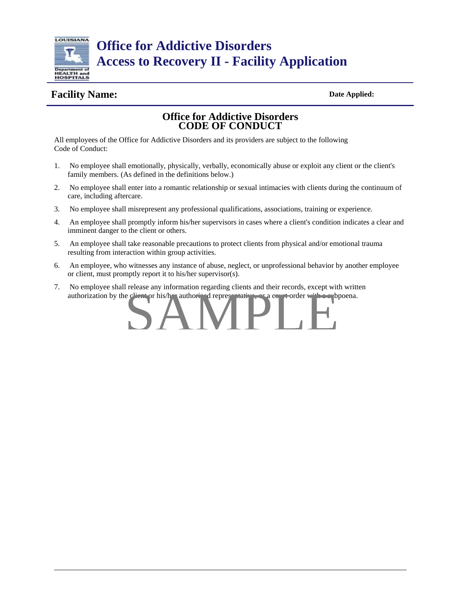

**Office for Addictive Disorders Access to Recovery II - Facility Application** 

## **Facility Name:** Date Applied:

### **Office for Addictive Disorders CODE OF CONDUCT**

All employees of the Office for Addictive Disorders and its providers are subject to the following Code of Conduct:

- 1. No employee shall emotionally, physically, verbally, economically abuse or exploit any client or the client's family members. (As defined in the definitions below.)
- 2. No employee shall enter into a romantic relationship or sexual intimacies with clients during the continuum of care, including aftercare.
- 3. No employee shall misrepresent any professional qualifications, associations, training or experience.
- 4. An employee shall promptly inform his/her supervisors in cases where a client's condition indicates a clear and imminent danger to the client or others.
- 5. An employee shall take reasonable precautions to protect clients from physical and/or emotional trauma resulting from interaction within group activities.
- 6. An employee, who witnesses any instance of abuse, neglect, or unprofessional behavior by another employee or client, must promptly report it to his/her supervisor(s).
- 7. No employee shall release any information regarding clients and their records, except with written authorization by the client or his/her authorized representative, or a court order with a subpoena.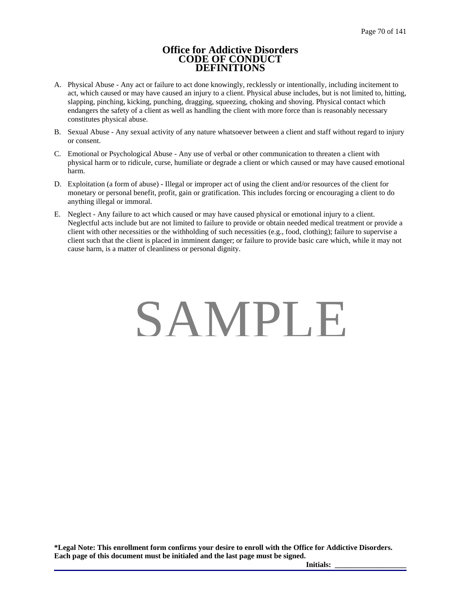#### **Office for Addictive Disorders CODE OF CONDUCT DEFINITIONS**

- A. Physical Abuse Any act or failure to act done knowingly, recklessly or intentionally, including incitement to act, which caused or may have caused an injury to a client. Physical abuse includes, but is not limited to, hitting, slapping, pinching, kicking, punching, dragging, squeezing, choking and shoving. Physical contact which endangers the safety of a client as well as handling the client with more force than is reasonably necessary constitutes physical abuse.
- B. Sexual Abuse Any sexual activity of any nature whatsoever between a client and staff without regard to injury or consent.
- C. Emotional or Psychological Abuse Any use of verbal or other communication to threaten a client with physical harm or to ridicule, curse, humiliate or degrade a client or which caused or may have caused emotional harm.
- D. Exploitation (a form of abuse) Illegal or improper act of using the client and/or resources of the client for monetary or personal benefit, profit, gain or gratification. This includes forcing or encouraging a client to do anything illegal or immoral.
- E. Neglect Any failure to act which caused or may have caused physical or emotional injury to a client. Neglectful acts include but are not limited to failure to provide or obtain needed medical treatment or provide a client with other necessities or the withholding of such necessities (e.g., food, clothing); failure to supervise a client such that the client is placed in imminent danger; or failure to provide basic care which, while it may not cause harm, is a matter of cleanliness or personal dignity.

## SAMPLE

**\*Legal Note: This enrollment form confirms your desire to enroll with the Office for Addictive Disorders. Each page of this document must be initialed and the last page must be signed.** 

**Initials: \_\_\_\_\_\_\_\_\_\_\_\_\_\_\_\_\_\_\_**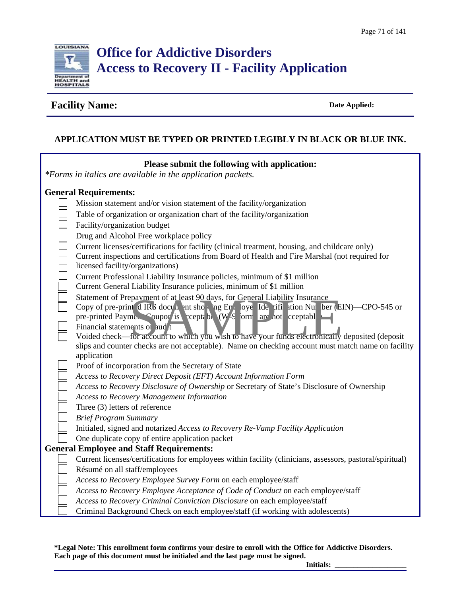

## **Facility Name:** Date Applied: Date Applied:

## **APPLICATION MUST BE TYPED OR PRINTED LEGIBLY IN BLACK OR BLUE INK.**

| Please submit the following with application:<br>*Forms in italics are available in the application packets.                                                                                       |
|----------------------------------------------------------------------------------------------------------------------------------------------------------------------------------------------------|
| <b>General Requirements:</b>                                                                                                                                                                       |
| Mission statement and/or vision statement of the facility/organization                                                                                                                             |
| Table of organization or organization chart of the facility/organization                                                                                                                           |
| Facility/organization budget                                                                                                                                                                       |
| Drug and Alcohol Free workplace policy                                                                                                                                                             |
| Current licenses/certifications for facility (clinical treatment, housing, and childcare only)                                                                                                     |
| Current inspections and certifications from Board of Health and Fire Marshal (not required for                                                                                                     |
| licensed facility/organizations)                                                                                                                                                                   |
| Current Professional Liability Insurance policies, minimum of \$1 million                                                                                                                          |
| Current General Liability Insurance policies, minimum of \$1 million                                                                                                                               |
| Statement of Prepayment of at least 90 days, for General Liability Insurance<br>Copy of pre-print d IRS docu <sub>t</sub> ent shop ing Er <sub>1</sub> loye Ide, ifi ation Nu ber (EIN)—CPO-545 or |
| pre-printed Payme. Coupon is ccept b. (W-9 orn are not cceptabl                                                                                                                                    |
| Financial statements o aud t                                                                                                                                                                       |
| Voided check—for account to which you wish to have your funds electronically deposited (deposit                                                                                                    |
| slips and counter checks are not acceptable). Name on checking account must match name on facility                                                                                                 |
| application                                                                                                                                                                                        |
| Proof of incorporation from the Secretary of State                                                                                                                                                 |
| Access to Recovery Direct Deposit (EFT) Account Information Form                                                                                                                                   |
| Access to Recovery Disclosure of Ownership or Secretary of State's Disclosure of Ownership                                                                                                         |
| <b>Access to Recovery Management Information</b><br>Three (3) letters of reference                                                                                                                 |
| <b>Brief Program Summary</b>                                                                                                                                                                       |
| Initialed, signed and notarized Access to Recovery Re-Vamp Facility Application                                                                                                                    |
| One duplicate copy of entire application packet                                                                                                                                                    |
| <b>General Employee and Staff Requirements:</b>                                                                                                                                                    |
| Current licenses/certifications for employees within facility (clinicians, assessors, pastoral/spiritual)                                                                                          |
| Résumé on all staff/employees                                                                                                                                                                      |
| Access to Recovery Employee Survey Form on each employee/staff                                                                                                                                     |
| Access to Recovery Employee Acceptance of Code of Conduct on each employee/staff                                                                                                                   |
| Access to Recovery Criminal Conviction Disclosure on each employee/staff                                                                                                                           |
| Criminal Background Check on each employee/staff (if working with adolescents)                                                                                                                     |

**\*Legal Note: This enrollment form confirms your desire to enroll with the Office for Addictive Disorders. Each page of this document must be initialed and the last page must be signed.** 

**Initials: \_\_\_\_\_\_\_\_\_\_\_\_\_\_\_\_\_\_\_**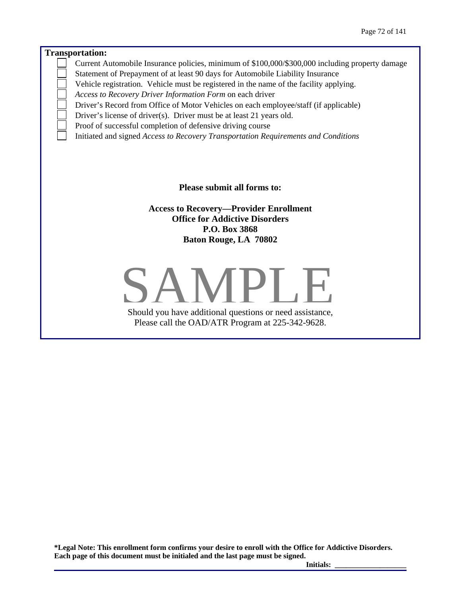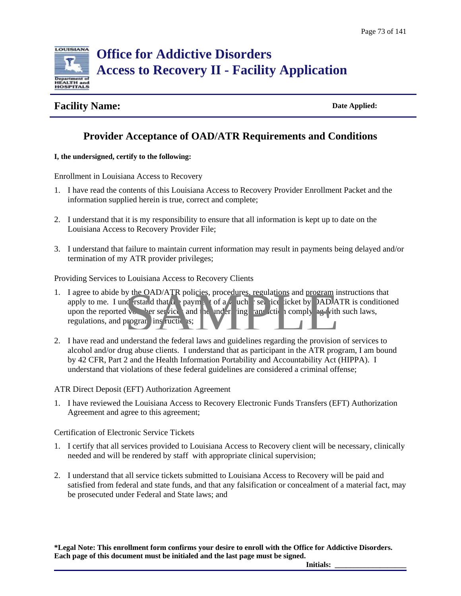

### **Facility Name:** Date Applied:

### **Provider Acceptance of OAD/ATR Requirements and Conditions**

#### **I, the undersigned, certify to the following:**

Enrollment in Louisiana Access to Recovery

- 1. I have read the contents of this Louisiana Access to Recovery Provider Enrollment Packet and the information supplied herein is true, correct and complete;
- 2. I understand that it is my responsibility to ensure that all information is kept up to date on the Louisiana Access to Recovery Provider File;
- 3. I understand that failure to maintain current information may result in payments being delayed and/or termination of my ATR provider privileges;

Providing Services to Louisiana Access to Recovery Clients

- 1. I agree to abide by the OAD/ATR policies, procedures, regulations and program instructions that apply to me. I understand that the payment of a voucher service ticket by OAD/ATR is conditioned upon the reported voucher services and the underlying transaction complying with such laws, regulations, and program instructions; y the OAD/ATR policies, procedures. regulations and program is<br>de rstal d that a e payment of a cuche iser ice icket by DAD/A<br>l ve there ser ice and the under ing an action comply and ite<br>program instructions;
- 2. I have read and understand the federal laws and guidelines regarding the provision of services to alcohol and/or drug abuse clients. I understand that as participant in the ATR program, I am bound by 42 CFR, Part 2 and the Health Information Portability and Accountability Act (HIPPA). I understand that violations of these federal guidelines are considered a criminal offense;

ATR Direct Deposit (EFT) Authorization Agreement

1. I have reviewed the Louisiana Access to Recovery Electronic Funds Transfers (EFT) Authorization Agreement and agree to this agreement;

Certification of Electronic Service Tickets

- 1. I certify that all services provided to Louisiana Access to Recovery client will be necessary, clinically needed and will be rendered by staff with appropriate clinical supervision;
- 2. I understand that all service tickets submitted to Louisiana Access to Recovery will be paid and satisfied from federal and state funds, and that any falsification or concealment of a material fact, may be prosecuted under Federal and State laws; and

**\*Legal Note: This enrollment form confirms your desire to enroll with the Office for Addictive Disorders. Each page of this document must be initialed and the last page must be signed.**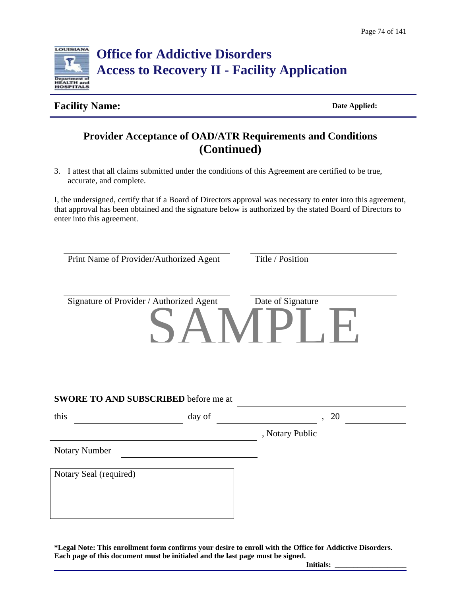

### **Facility Name:** Date Applied:

# **Provider Acceptance of OAD/ATR Requirements and Conditions (Continued)**

3. I attest that all claims submitted under the conditions of this Agreement are certified to be true, accurate, and complete.

I, the undersigned, certify that if a Board of Directors approval was necessary to enter into this agreement, that approval has been obtained and the signature below is authorized by the stated Board of Directors to enter into this agreement.

| Print Name of Provider/Authorized Agent      |        | Title / Position  |
|----------------------------------------------|--------|-------------------|
| Signature of Provider / Authorized Agent     |        | Date of Signature |
|                                              |        | I B<br>. .        |
|                                              |        |                   |
|                                              |        |                   |
|                                              |        |                   |
|                                              | day of | 20                |
| SWORE TO AND SUBSCRIBED before me at<br>this |        | , Notary Public   |
| <b>Notary Number</b>                         |        |                   |
|                                              |        |                   |
| Notary Seal (required)                       |        |                   |
|                                              |        |                   |
|                                              |        |                   |

**\*Legal Note: This enrollment form confirms your desire to enroll with the Office for Addictive Disorders. Each page of this document must be initialed and the last page must be signed.**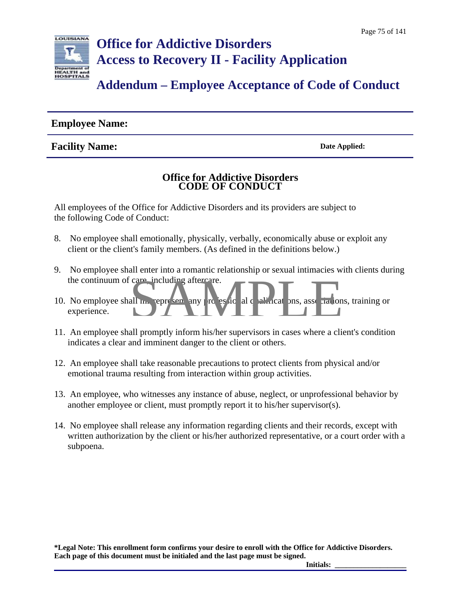

### **Employee Name:**

### **Facility Name:** Date Applied:

### **Office for Addictive Disorders CODE OF CONDUCT**

All employees of the Office for Addictive Disorders and its providers are subject to the following Code of Conduct:

- 8. No employee shall emotionally, physically, verbally, economically abuse or exploit any client or the client's family members. (As defined in the definitions below.)
- 9. No employee shall enter into a romantic relationship or sexual intimacies with clients during the continuum of care, including aftercare.
- 10. No employee shall metappresent any professional qualifications, associations, training or experience. care including aftercare.
- 11. An employee shall promptly inform his/her supervisors in cases where a client's condition indicates a clear and imminent danger to the client or others.
- 12. An employee shall take reasonable precautions to protect clients from physical and/or emotional trauma resulting from interaction within group activities.
- 13. An employee, who witnesses any instance of abuse, neglect, or unprofessional behavior by another employee or client, must promptly report it to his/her supervisor(s).
- 14. No employee shall release any information regarding clients and their records, except with written authorization by the client or his/her authorized representative, or a court order with a subpoena.

**\*Legal Note: This enrollment form confirms your desire to enroll with the Office for Addictive Disorders. Each page of this document must be initialed and the last page must be signed.**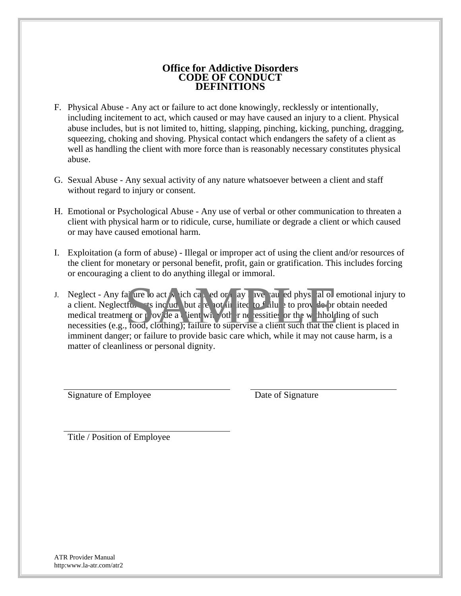### **Office for Addictive Disorders CODE OF CONDUCT DEFINITIONS**

- F. Physical Abuse Any act or failure to act done knowingly, recklessly or intentionally, including incitement to act, which caused or may have caused an injury to a client. Physical abuse includes, but is not limited to, hitting, slapping, pinching, kicking, punching, dragging, squeezing, choking and shoving. Physical contact which endangers the safety of a client as well as handling the client with more force than is reasonably necessary constitutes physical abuse.
- G. Sexual Abuse Any sexual activity of any nature whatsoever between a client and staff without regard to injury or consent.
- H. Emotional or Psychological Abuse Any use of verbal or other communication to threaten a client with physical harm or to ridicule, curse, humiliate or degrade a client or which caused or may have caused emotional harm.
- I. Exploitation (a form of abuse) Illegal or improper act of using the client and/or resources of the client for monetary or personal benefit, profit, gain or gratification. This includes forcing or encouraging a client to do anything illegal or immoral.
- J. Neglect Any failure to act y, sich caused or may ave at ed physical or emotional injury to a client. Neglectful acts include but are not limited to failure to provide  $\epsilon$  robtain needed medical treatment or provide a client with other necessities or the withholding of such necessities (e.g., food, clothing); failure to supervise a client such that the client is placed in imminent danger; or failure to provide basic care which, while it may not cause harm, is a matter of cleanliness or personal dignity. ai ure o act y vich ca. ed or, ay ave au ed phys al or diffuse to fail to fail to prove the relation of the prove the prove the prove to the prove the prove to contain the contract of the prove the prove the prove that the

Signature of Employee Date of Signature

Title / Position of Employee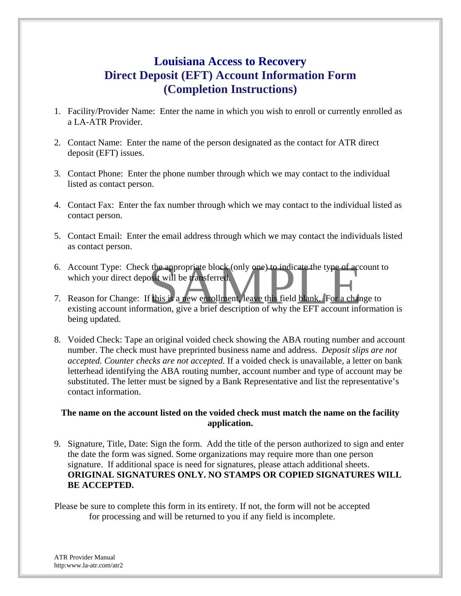# **Louisiana Access to Recovery Direct Deposit (EFT) Account Information Form (Completion Instructions)**

- 1. Facility/Provider Name: Enter the name in which you wish to enroll or currently enrolled as a LA-ATR Provider.
- 2. Contact Name: Enter the name of the person designated as the contact for ATR direct deposit (EFT) issues.
- 3. Contact Phone: Enter the phone number through which we may contact to the individual listed as contact person.
- 4. Contact Fax: Enter the fax number through which we may contact to the individual listed as contact person.
- 5. Contact Email: Enter the email address through which we may contact the individuals listed as contact person.
- 6. Account Type: Check the appropriate block (only one) to indicate the type of account to which your direct deposit will be transferred.
- Account Type: Check the appropriate block (only one) to indicate the type of account to<br>which your direct deposit will be transferred<br>Reason for Change: If this is a new enrollment, leave this field blank. For a change to<br> 7. Reason for Change: If this is a new enrollment, leave this field blank. For a change to being updated.
- 8. Voided Check: Tape an original voided check showing the ABA routing number and account number. The check must have preprinted business name and address. *Deposit slips are not accepted. Counter checks are not accepted.* If a voided check is unavailable, a letter on bank letterhead identifying the ABA routing number, account number and type of account may be substituted. The letter must be signed by a Bank Representative and list the representative's contact information.

### **The name on the account listed on the voided check must match the name on the facility application.**

9. Signature, Title, Date: Sign the form. Add the title of the person authorized to sign and enter the date the form was signed. Some organizations may require more than one person signature. If additional space is need for signatures, please attach additional sheets. **ORIGINAL SIGNATURES ONLY. NO STAMPS OR COPIED SIGNATURES WILL BE ACCEPTED.** 

Please be sure to complete this form in its entirety. If not, the form will not be accepted for processing and will be returned to you if any field is incomplete.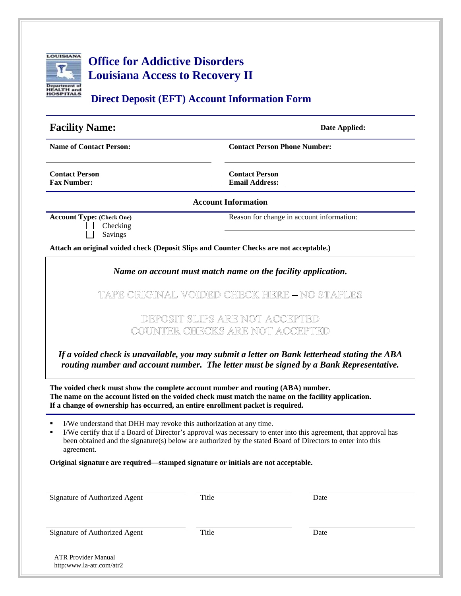

| <b>Direct Deposit (EFT) Account Information Form</b> |                                                |  |
|------------------------------------------------------|------------------------------------------------|--|
| <b>Facility Name:</b>                                | Date Applied:                                  |  |
| <b>Name of Contact Person:</b>                       | <b>Contact Person Phone Number:</b>            |  |
| <b>Contact Person</b><br><b>Fax Number:</b>          | <b>Contact Person</b><br><b>Email Address:</b> |  |
|                                                      | <b>Account Information</b>                     |  |

Checking Savings

**Account Type:** (Check One) **Reason for change in account information:** 

**Attach an original voided check (Deposit Slips and Counter Checks are not acceptable.)** 

*Name on account must match name on the facility application.* 

TAPE ORIGINAL VOIDED CHIECK HIERE - NO STAPLES

DEPOSIT SLIPS ARE NOT ACCEPTED COUNTER CHECKS ARE NOT ACCEPTED

*If a voided check is unavailable, you may submit a letter on Bank letterhead stating the ABA routing number and account number. The letter must be signed by a Bank Representative.* 

**The voided check must show the complete account number and routing (ABA) number. The name on the account listed on the voided check must match the name on the facility application. If a change of ownership has occurred, an entire enrollment packet is required.** 

I/We understand that DHH may revoke this authorization at any time.

 I/We certify that if a Board of Director's approval was necessary to enter into this agreement, that approval has been obtained and the signature(s) below are authorized by the stated Board of Directors to enter into this agreement.

**Original signature are required—stamped signature or initials are not acceptable.** 

| Signature of Authorized Agent                          | Title | Date |  |
|--------------------------------------------------------|-------|------|--|
| Signature of Authorized Agent                          | Title | Date |  |
| <b>ATR Provider Manual</b><br>http:www.la-atr.com/atr2 |       |      |  |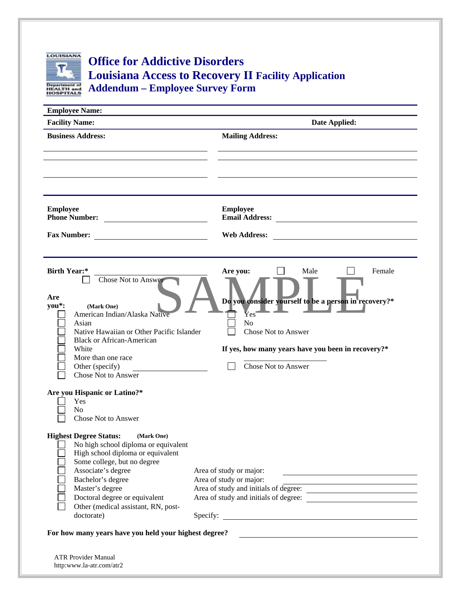

# **Office for Addictive Disorders Louisiana Access to Recovery II Facility Application Addendum – Employee Survey Form**

| <b>Employee Name:</b>                                                                                                                                                                                                                                                                                       |                                                                                                                                                                                                                                                 |
|-------------------------------------------------------------------------------------------------------------------------------------------------------------------------------------------------------------------------------------------------------------------------------------------------------------|-------------------------------------------------------------------------------------------------------------------------------------------------------------------------------------------------------------------------------------------------|
| <b>Facility Name:</b>                                                                                                                                                                                                                                                                                       | Date Applied:                                                                                                                                                                                                                                   |
| <b>Business Address:</b>                                                                                                                                                                                                                                                                                    | <b>Mailing Address:</b>                                                                                                                                                                                                                         |
| <b>Employee</b><br>Phone Number:<br><b>Fax Number:</b>                                                                                                                                                                                                                                                      | <b>Employee</b><br>Email Address:<br><b>Web Address:</b>                                                                                                                                                                                        |
| <b>Birth Year:*</b><br>Chose Not to Answer<br>Are<br>you*:<br>(Mark One)<br>American Indian/Alaska Native<br>Asian<br>Native Hawaiian or Other Pacific Islander<br><b>Black or African-American</b><br>White<br>More than one race<br>Other (specify)<br><b>Chose Not to Answer</b>                         | Are you:<br>Male<br>Female<br>Do you consider yourself to be a person in recovery?*<br>$\mathbf{\bar{Y}es}$<br>N <sub>o</sub><br><b>Chose Not to Answer</b><br>If yes, how many years have you been in recovery?*<br><b>Chose Not to Answer</b> |
| Are you Hispanic or Latino?*<br>Yes<br>N <sub>o</sub><br><b>Chose Not to Answer</b>                                                                                                                                                                                                                         |                                                                                                                                                                                                                                                 |
| <b>Highest Degree Status:</b><br>(Mark One)<br>No high school diploma or equivalent<br>High school diploma or equivalent<br>Some college, but no degree<br>Associate's degree<br>Bachelor's degree<br>Master's degree<br>Doctoral degree or equivalent<br>Other (medical assistant, RN, post-<br>doctorate) | Area of study or major:<br>Area of study or major:<br>Area of study and initials of degree:<br>Specify:<br><u> 1989 - Johann Harry Communication (b. 1989)</u>                                                                                  |
| For how many years have you held your highest degree?                                                                                                                                                                                                                                                       |                                                                                                                                                                                                                                                 |
| <b>ATR Provider Manual</b><br>http:www.la-atr.com/atr2                                                                                                                                                                                                                                                      |                                                                                                                                                                                                                                                 |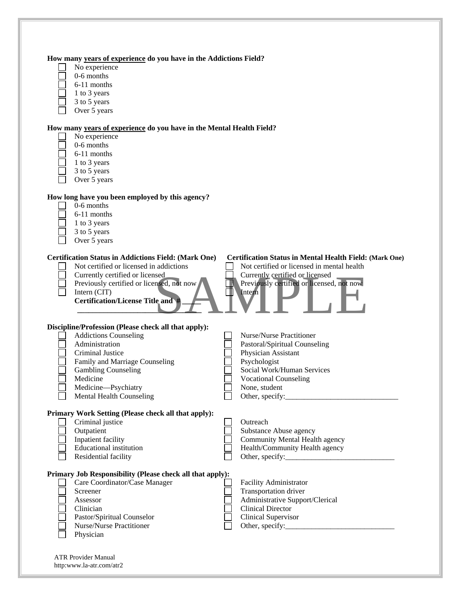| No experience<br>0-6 months                                          |                                           |                                                                |
|----------------------------------------------------------------------|-------------------------------------------|----------------------------------------------------------------|
| 6-11 months                                                          |                                           |                                                                |
| 1 to 3 years                                                         |                                           |                                                                |
| 3 to 5 years                                                         |                                           |                                                                |
| Over 5 years                                                         |                                           |                                                                |
|                                                                      |                                           |                                                                |
| How many years of experience do you have in the Mental Health Field? |                                           |                                                                |
| No experience                                                        |                                           |                                                                |
| 0-6 months                                                           |                                           |                                                                |
| 6-11 months                                                          |                                           |                                                                |
| 1 to 3 years                                                         |                                           |                                                                |
| 3 to 5 years                                                         |                                           |                                                                |
| Over 5 years                                                         |                                           |                                                                |
| How long have you been employed by this agency?                      |                                           |                                                                |
| 0-6 months                                                           |                                           |                                                                |
| 6-11 months                                                          |                                           |                                                                |
| 1 to 3 years                                                         |                                           |                                                                |
| 3 to 5 years                                                         |                                           |                                                                |
| Over 5 years                                                         |                                           |                                                                |
| <b>Certification Status in Addictions Field: (Mark One)</b>          |                                           | <b>Certification Status in Mental Health Field: (Mark One)</b> |
| Not certified or licensed in addictions                              |                                           | Not certified or licensed in mental health                     |
| Currently certified or licensed                                      | Currently certified or licensed           |                                                                |
| Previously certified or licensed, not now                            | Previously certified or licensed, not now |                                                                |
| Intern (CIT)                                                         | Intern                                    |                                                                |
| <b>Certification/License Title and #</b>                             |                                           |                                                                |
|                                                                      |                                           |                                                                |
| Discipline/Profession (Please check all that apply):                 |                                           |                                                                |
| <b>Addictions Counseling</b>                                         | <b>Nurse/Nurse Practitioner</b>           |                                                                |
| Administration                                                       | Pastoral/Spiritual Counseling             |                                                                |
| Criminal Justice                                                     | Physician Assistant                       |                                                                |
| Family and Marriage Counseling                                       | Psychologist                              |                                                                |
| <b>Gambling Counseling</b>                                           | Social Work/Human Services                |                                                                |
| Medicine                                                             | <b>Vocational Counseling</b>              |                                                                |
| Medicine-Psychiatry                                                  | None, student                             |                                                                |
| <b>Mental Health Counseling</b>                                      |                                           |                                                                |
| Primary Work Setting (Please check all that apply):                  |                                           |                                                                |
| Criminal justice                                                     | Outreach                                  |                                                                |
| Outpatient                                                           | Substance Abuse agency                    |                                                                |
| Inpatient facility                                                   | Community Mental Health agency            |                                                                |
| <b>Educational institution</b>                                       | Health/Community Health agency            |                                                                |
| Residential facility                                                 |                                           | Other, specify:                                                |
|                                                                      |                                           |                                                                |
| Primary Job Responsibility (Please check all that apply):            |                                           |                                                                |
| Care Coordinator/Case Manager                                        | Facility Administrator                    |                                                                |
|                                                                      | Transportation driver                     |                                                                |
| Screener                                                             | Administrative Support/Clerical           |                                                                |
| Assessor                                                             |                                           |                                                                |
| Clinician                                                            | <b>Clinical Director</b>                  |                                                                |
| Pastor/Spiritual Counselor<br>Nurse/Nurse Practitioner               | <b>Clinical Supervisor</b>                |                                                                |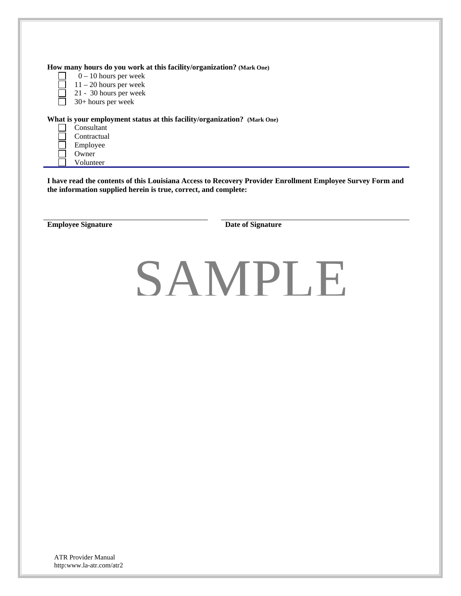| $0 - 10$ hours per week<br>$11 - 20$ hours per week<br>21 - 30 hours per week<br>30+ hours per week | How many hours do you work at this facility/organization? (Mark One)                                                                                                          |
|-----------------------------------------------------------------------------------------------------|-------------------------------------------------------------------------------------------------------------------------------------------------------------------------------|
| Consultant<br>Contractual<br>Employee<br>Owner<br>Volunteer                                         | What is your employment status at this facility/organization? (Mark One)                                                                                                      |
|                                                                                                     | I have read the contents of this Louisiana Access to Recovery Provider Enrollment Employee Survey Form and<br>the information supplied herein is true, correct, and complete: |
| <b>Employee Signature</b>                                                                           | Date of Signature                                                                                                                                                             |
|                                                                                                     | SAMPLE                                                                                                                                                                        |
|                                                                                                     |                                                                                                                                                                               |
|                                                                                                     |                                                                                                                                                                               |
|                                                                                                     |                                                                                                                                                                               |
|                                                                                                     |                                                                                                                                                                               |
|                                                                                                     |                                                                                                                                                                               |
|                                                                                                     |                                                                                                                                                                               |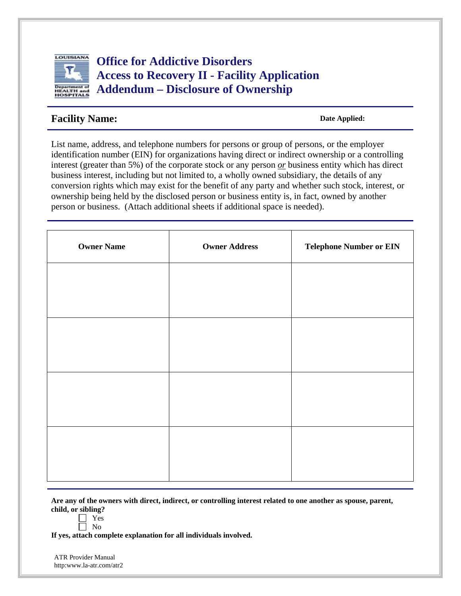

**Office for Addictive Disorders Access to Recovery II - Facility Application Addendum – Disclosure of Ownership**

### **Facility Name:** Date Applied:

List name, address, and telephone numbers for persons or group of persons, or the employer identification number (EIN) for organizations having direct or indirect ownership or a controlling interest (greater than 5%) of the corporate stock or any person *or* business entity which has direct business interest, including but not limited to, a wholly owned subsidiary, the details of any conversion rights which may exist for the benefit of any party and whether such stock, interest, or ownership being held by the disclosed person or business entity is, in fact, owned by another person or business. (Attach additional sheets if additional space is needed).

| <b>Owner Name</b> | <b>Owner Address</b> | <b>Telephone Number or EIN</b> |
|-------------------|----------------------|--------------------------------|
|                   |                      |                                |
|                   |                      |                                |
|                   |                      |                                |
|                   |                      |                                |
|                   |                      |                                |
|                   |                      |                                |
|                   |                      |                                |
|                   |                      |                                |

**Are any of the owners with direct, indirect, or controlling interest related to one another as spouse, parent, child, or sibling?**

- **Nes**
- No

**If yes, attach complete explanation for all individuals involved.**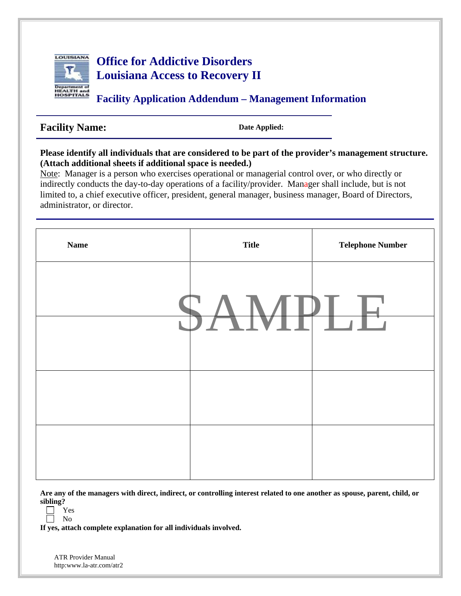

# **Office for Addictive Disorders Louisiana Access to Recovery II**

**Facility Application Addendum – Management Information**

# Facility Name: Date Applied:

### **Please identify all individuals that are considered to be part of the provider's management structure. (Attach additional sheets if additional space is needed.)**

Note: Manager is a person who exercises operational or managerial control over, or who directly or indirectly conducts the day-to-day operations of a facility/provider. Manager shall include, but is not limited to, a chief executive officer, president, general manager, business manager, Board of Directors, administrator, or director.



**Are any of the managers with direct, indirect, or controlling interest related to one another as spouse, parent, child, or sibling?**

**If yes, attach complete explanation for all individuals involved.**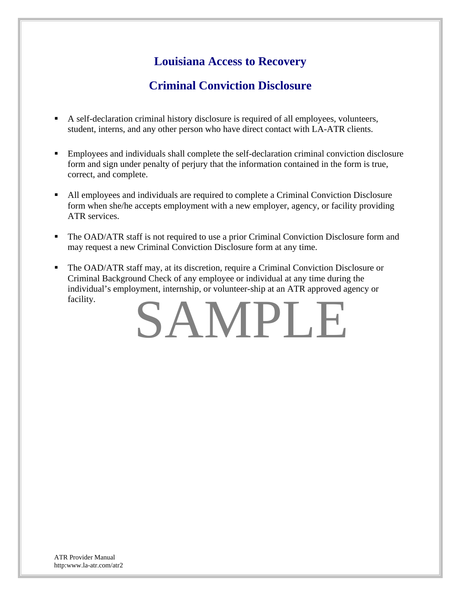# **Louisiana Access to Recovery**

# **Criminal Conviction Disclosure**

- A self-declaration criminal history disclosure is required of all employees, volunteers, student, interns, and any other person who have direct contact with LA-ATR clients.
- Employees and individuals shall complete the self-declaration criminal conviction disclosure form and sign under penalty of perjury that the information contained in the form is true, correct, and complete.
- All employees and individuals are required to complete a Criminal Conviction Disclosure form when she/he accepts employment with a new employer, agency, or facility providing ATR services.
- The OAD/ATR staff is not required to use a prior Criminal Conviction Disclosure form and may request a new Criminal Conviction Disclosure form at any time.
- The OAD/ATR staff may, at its discretion, require a Criminal Conviction Disclosure or Criminal Background Check of any employee or individual at any time during the individual's employment, internship, or volunteer-ship at an ATR approved agency or facility.

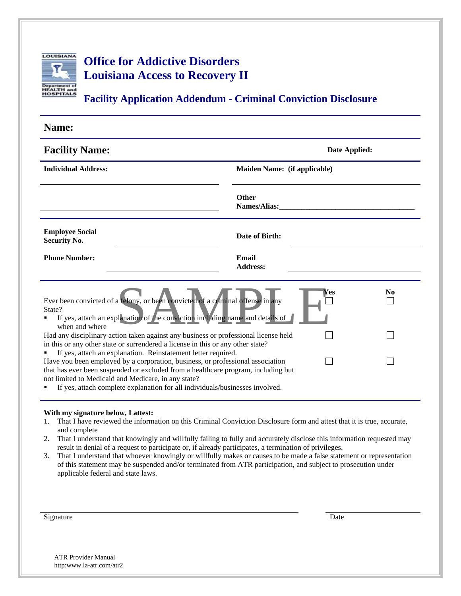

# **Office for Addictive Disorders Louisiana Access to Recovery II**

**Facility Application Addendum - Criminal Conviction Disclosure**

| Name:                                                                                                                                                                                                                                                                                                                                                                       |                              |                |
|-----------------------------------------------------------------------------------------------------------------------------------------------------------------------------------------------------------------------------------------------------------------------------------------------------------------------------------------------------------------------------|------------------------------|----------------|
| <b>Facility Name:</b>                                                                                                                                                                                                                                                                                                                                                       | Date Applied:                |                |
| <b>Individual Address:</b>                                                                                                                                                                                                                                                                                                                                                  | Maiden Name: (if applicable) |                |
|                                                                                                                                                                                                                                                                                                                                                                             | Other<br><b>Names/Alias:</b> |                |
| <b>Employee Social</b><br><b>Security No.</b>                                                                                                                                                                                                                                                                                                                               | Date of Birth:               |                |
| <b>Phone Number:</b>                                                                                                                                                                                                                                                                                                                                                        | Email<br><b>Address:</b>     |                |
| Ever been convicted of a felony, or been convicted of a criminal offense in any<br>State?<br>If yes, attach an explanation of the conviction including name and details of<br>when and where                                                                                                                                                                                | es ⁄                         | N <sub>0</sub> |
| Had any disciplinary action taken against any business or professional license held<br>in this or any other state or surrendered a license in this or any other state?                                                                                                                                                                                                      |                              |                |
| If yes, attach an explanation. Reinstatement letter required.<br>Have you been employed by a corporation, business, or professional association<br>that has ever been suspended or excluded from a healthcare program, including but<br>not limited to Medicaid and Medicare, in any state?<br>If yes, attach complete explanation for all individuals/businesses involved. |                              |                |

#### **With my signature below, I attest:**

- 1. That I have reviewed the information on this Criminal Conviction Disclosure form and attest that it is true, accurate, and complete
- 2. That I understand that knowingly and willfully failing to fully and accurately disclose this information requested may result in denial of a request to participate or, if already participates, a termination of privileges.
- 3. That I understand that whoever knowingly or willfully makes or causes to be made a false statement or representation of this statement may be suspended and/or terminated from ATR participation, and subject to prosecution under applicable federal and state laws.

| Signature | Date |
|-----------|------|
|-----------|------|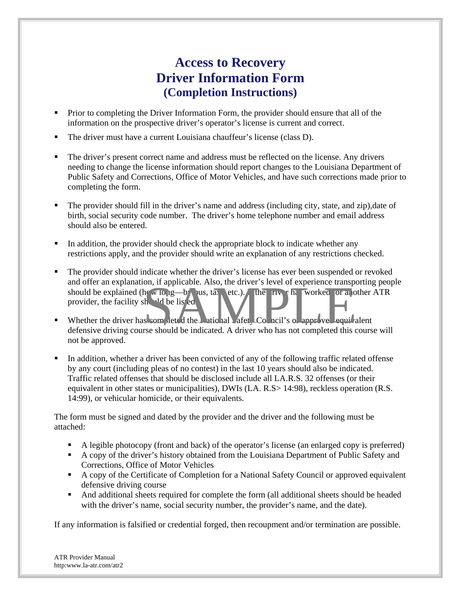# **Access to Recovery Driver Information Form (Completion Instructions)**

- **Prior to completing the Driver Information Form, the provider should ensure that all of the** information on the prospective driver's operator's license is current and correct.
- The driver must have a current Louisiana chauffeur's license (class D).
- The driver's present correct name and address must be reflected on the license. Any drivers needing to change the license information should report changes to the Louisiana Department of Public Safety and Corrections, Office of Motor Vehicles, and have such corrections made prior to completing the form.
- The provider should fill in the driver's name and address (including city, state, and zip),date of birth, social security code number. The driver's home telephone number and email address should also be entered.
- In addition, the provider should check the appropriate block to indicate whether any restrictions apply, and the provider should write an explanation of any restrictions checked.
- The provider should indicate whether the driver's license has ever been suspended or revoked and offer an explanation, if applicable. Also, the driver's level of experience transporting people should be explained (how long—by bus, taxi, etc.). If the river has worked for an other ATR provider, the facility should be listed. on, if applicable. Also, the driver's level of experience transported<br>the district of the list of the list of the district of the list of the list of the list of the list of the list of the list of the list of the list of
- Whether the driver has completed the  $\blacksquare$  atic hall  $\blacktriangle$  afety Council's or approved equivalent defensive driving course should be indicated. A driver who has not completed this course will not be approved.
- In addition, whether a driver has been convicted of any of the following traffic related offense by any court (including pleas of no contest) in the last 10 years should also be indicated. Traffic related offenses that should be disclosed include all LA.R.S. 32 offenses (or their equivalent in other states or municipalities), DWIs (LA. R.S> 14:98), reckless operation (R.S. 14:99), or vehicular homicide, or their equivalents.

The form must be signed and dated by the provider and the driver and the following must be attached:

- A legible photocopy (front and back) of the operator's license (an enlarged copy is preferred)
- A copy of the driver's history obtained from the Louisiana Department of Public Safety and Corrections, Office of Motor Vehicles
- A copy of the Certificate of Completion for a National Safety Council or approved equivalent defensive driving course
- And additional sheets required for complete the form (all additional sheets should be headed with the driver's name, social security number, the provider's name, and the date).

If any information is falsified or credential forged, then recoupment and/or termination are possible.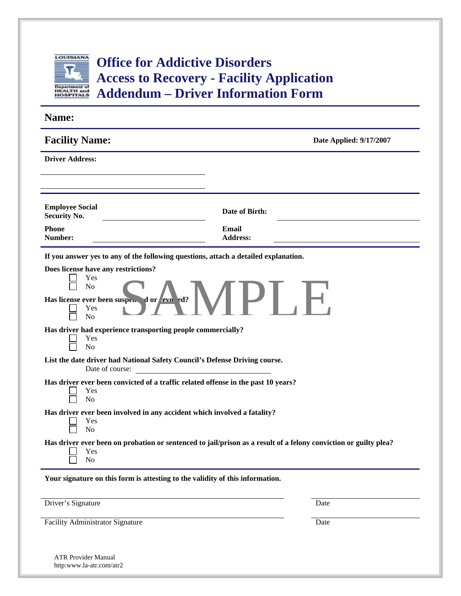

# **Office for Addictive Disorders Access to Recovery - Facility Application Addendum – Driver Information Form**

| Name:                                                                                                                                 |                                                                                                                       |
|---------------------------------------------------------------------------------------------------------------------------------------|-----------------------------------------------------------------------------------------------------------------------|
| <b>Facility Name:</b>                                                                                                                 | Date Applied: 9/17/2007                                                                                               |
| <b>Driver Address:</b>                                                                                                                |                                                                                                                       |
|                                                                                                                                       |                                                                                                                       |
| <b>Employee Social</b><br><b>Security No.</b>                                                                                         | Date of Birth:                                                                                                        |
| <b>Phone</b><br>Number:                                                                                                               | Email<br><b>Address:</b>                                                                                              |
| If you answer yes to any of the following questions, attach a detailed explanation.                                                   |                                                                                                                       |
| Does license have any restrictions?<br>Yes<br>N <sub>o</sub><br>Has license ever been suspected or revolted?<br>Yes<br>N <sub>o</sub> | $ P $ .                                                                                                               |
| Has driver had experience transporting people commercially?<br>Yes<br>N <sub>o</sub>                                                  |                                                                                                                       |
| List the date driver had National Safety Council's Defense Driving course.<br>Date of course:                                         | <u> 1980 - Jan Stein Harry Stein Harry Stein Harry Stein Harry Stein Harry Stein Harry Stein Harry Stein Harry St</u> |
| Has driver ever been convicted of a traffic related offense in the past 10 years?<br>Yes<br>N <sub>o</sub>                            |                                                                                                                       |
| Has driver ever been involved in any accident which involved a fatality?<br>Yes<br>N <sub>o</sub>                                     |                                                                                                                       |
| Yes<br>N <sub>o</sub>                                                                                                                 | Has driver ever been on probation or sentenced to jail/prison as a result of a felony conviction or guilty plea?      |
| Your signature on this form is attesting to the validity of this information.                                                         |                                                                                                                       |
|                                                                                                                                       |                                                                                                                       |
| Driver's Signature                                                                                                                    | Date                                                                                                                  |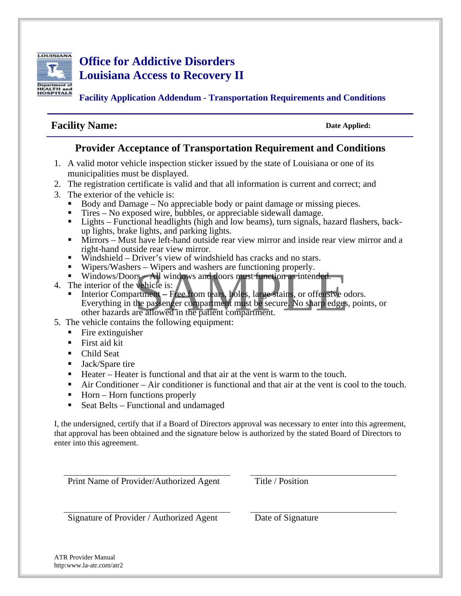

# **Office for Addictive Disorders Louisiana Access to Recovery II**

**Facility Application Addendum - Transportation Requirements and Conditions** 

## **Facility Name:** Date Applied:

### **Provider Acceptance of Transportation Requirement and Conditions**

- 1. A valid motor vehicle inspection sticker issued by the state of Louisiana or one of its municipalities must be displayed.
- 2. The registration certificate is valid and that all information is current and correct; and
- 3. The exterior of the vehicle is:
	- Body and Damage No appreciable body or paint damage or missing pieces.
	- Tires No exposed wire, bubbles, or appreciable sidewall damage.
	- Lights Functional headlights (high and low beams), turn signals, hazard flashers, backup lights, brake lights, and parking lights.
	- Mirrors Must have left-hand outside rear view mirror and inside rear view mirror and a right-hand outside rear view mirror.
	- $\blacksquare$  Windshield Driver's view of windshield has cracks and no stars.
	- Wipers/Washers Wipers and washers are functioning properly.
	- Windows/Doors All windows and doors must function as intended.
- 4. The interior of the vehicle is:
- Is = wipers and washers are functioning property.<br>
S-All windows and doors must function as intended.<br>
wehicle is:<br>
artment Free from tears, holes, large stains, or offensive odors<br>
the passenger compartment must be secu **Interior Compartment** – Free from tears, holes, large stains, or offensive odors. Everything in the passenger compartment must be secure. No sharp edges, points, or other hazards are allowed in the patient compartment.
- 5. The vehicle contains the following equipment:
	- $\blacksquare$  Fire extinguisher
	- First aid kit
	- Child Seat
	- **Jack/Spare tire**
	- Heater Heater is functional and that air at the vent is warm to the touch.
	- Air Conditioner Air conditioner is functional and that air at the vent is cool to the touch.
	- $\blacksquare$  Horn Horn functions properly
	- Seat Belts Functional and undamaged

I, the undersigned, certify that if a Board of Directors approval was necessary to enter into this agreement, that approval has been obtained and the signature below is authorized by the stated Board of Directors to enter into this agreement.

Print Name of Provider/Authorized Agent Title / Position

Signature of Provider / Authorized Agent Date of Signature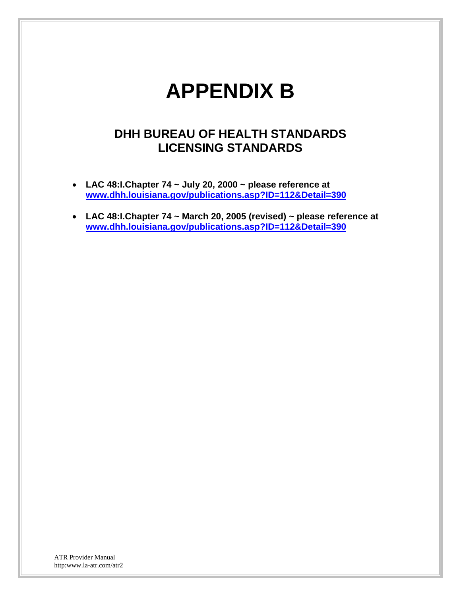# **APPENDIX B**

# **DHH BUREAU OF HEALTH STANDARDS LICENSING STANDARDS**

- **LAC 48:I.Chapter 74 ~ July 20, 2000 ~ please reference at www.dhh.louisiana.gov/publications.asp?ID=112&Detail=390**
- **LAC 48:I.Chapter 74 ~ March 20, 2005 (revised) ~ please reference at www.dhh.louisiana.gov/publications.asp?ID=112&Detail=390**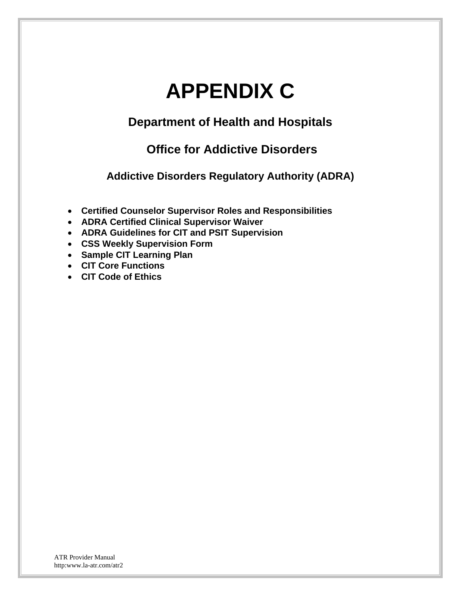# **APPENDIX C**

# **Department of Health and Hospitals**

# **Office for Addictive Disorders**

**Addictive Disorders Regulatory Authority (ADRA)** 

- **Certified Counselor Supervisor Roles and Responsibilities**
- **ADRA Certified Clinical Supervisor Waiver**
- **ADRA Guidelines for CIT and PSIT Supervision**
- **CSS Weekly Supervision Form**
- **Sample CIT Learning Plan**
- **CIT Core Functions**
- **CIT Code of Ethics**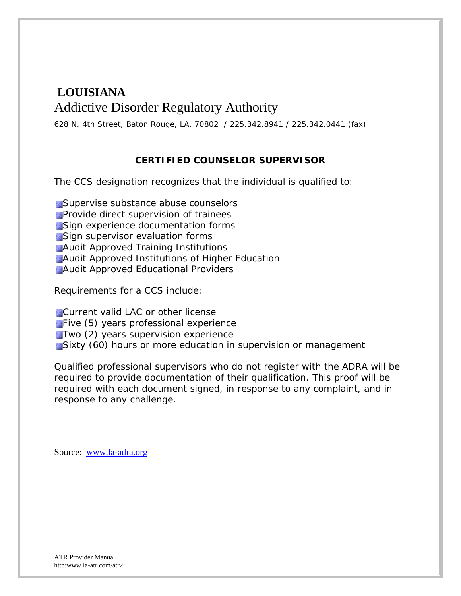# **LOUISIANA** Addictive Disorder Regulatory Authority

628 N. 4th Street, Baton Rouge, LA. 70802 / 225.342.8941 / 225.342.0441 (fax)

### **CERTIFIED COUNSELOR SUPERVISOR**

The CCS designation recognizes that the individual is qualified to:

**Supervise substance abuse counselors Provide direct supervision of trainees** Sign experience documentation forms **Sign supervisor evaluation forms Audit Approved Training Institutions Audit Approved Institutions of Higher Education Audit Approved Educational Providers** 

Requirements for a CCS include:

**Current valid LAC or other license Five (5) years professional experience Two (2) years supervision experience** Sixty (60) hours or more education in supervision or management

Qualified professional supervisors who do not register with the ADRA will be required to provide documentation of their qualification. This proof will be required with each document signed, in response to any complaint, and in response to any challenge.

Source: www.la-adra.org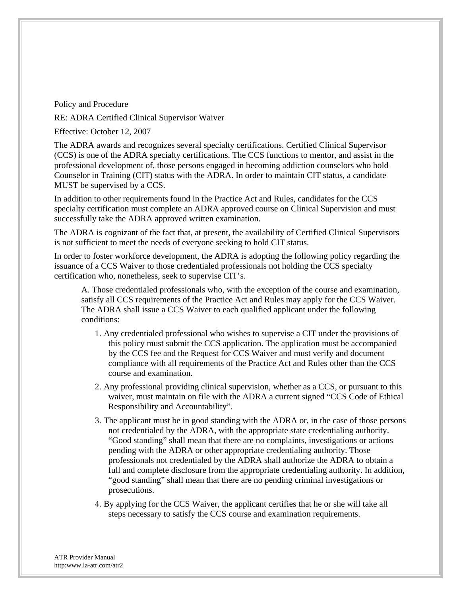Policy and Procedure

RE: ADRA Certified Clinical Supervisor Waiver

Effective: October 12, 2007

The ADRA awards and recognizes several specialty certifications. Certified Clinical Supervisor (CCS) is one of the ADRA specialty certifications. The CCS functions to mentor, and assist in the professional development of, those persons engaged in becoming addiction counselors who hold Counselor in Training (CIT) status with the ADRA. In order to maintain CIT status, a candidate MUST be supervised by a CCS.

In addition to other requirements found in the Practice Act and Rules, candidates for the CCS specialty certification must complete an ADRA approved course on Clinical Supervision and must successfully take the ADRA approved written examination.

The ADRA is cognizant of the fact that, at present, the availability of Certified Clinical Supervisors is not sufficient to meet the needs of everyone seeking to hold CIT status.

In order to foster workforce development, the ADRA is adopting the following policy regarding the issuance of a CCS Waiver to those credentialed professionals not holding the CCS specialty certification who, nonetheless, seek to supervise CIT's.

A. Those credentialed professionals who, with the exception of the course and examination, satisfy all CCS requirements of the Practice Act and Rules may apply for the CCS Waiver. The ADRA shall issue a CCS Waiver to each qualified applicant under the following conditions:

- 1. Any credentialed professional who wishes to supervise a CIT under the provisions of this policy must submit the CCS application. The application must be accompanied by the CCS fee and the Request for CCS Waiver and must verify and document compliance with all requirements of the Practice Act and Rules other than the CCS course and examination.
- 2. Any professional providing clinical supervision, whether as a CCS, or pursuant to this waiver, must maintain on file with the ADRA a current signed "CCS Code of Ethical Responsibility and Accountability".
- 3. The applicant must be in good standing with the ADRA or, in the case of those persons not credentialed by the ADRA, with the appropriate state credentialing authority. "Good standing" shall mean that there are no complaints, investigations or actions pending with the ADRA or other appropriate credentialing authority. Those professionals not credentialed by the ADRA shall authorize the ADRA to obtain a full and complete disclosure from the appropriate credentialing authority. In addition, "good standing" shall mean that there are no pending criminal investigations or prosecutions.
- 4. By applying for the CCS Waiver, the applicant certifies that he or she will take all steps necessary to satisfy the CCS course and examination requirements.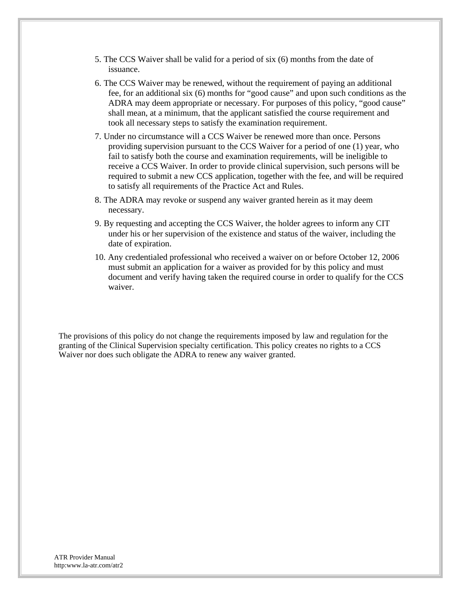- 5. The CCS Waiver shall be valid for a period of six (6) months from the date of issuance.
- 6. The CCS Waiver may be renewed, without the requirement of paying an additional fee, for an additional six (6) months for "good cause" and upon such conditions as the ADRA may deem appropriate or necessary. For purposes of this policy, "good cause" shall mean, at a minimum, that the applicant satisfied the course requirement and took all necessary steps to satisfy the examination requirement.
- 7. Under no circumstance will a CCS Waiver be renewed more than once. Persons providing supervision pursuant to the CCS Waiver for a period of one (1) year, who fail to satisfy both the course and examination requirements, will be ineligible to receive a CCS Waiver. In order to provide clinical supervision, such persons will be required to submit a new CCS application, together with the fee, and will be required to satisfy all requirements of the Practice Act and Rules.
- 8. The ADRA may revoke or suspend any waiver granted herein as it may deem necessary.
- 9. By requesting and accepting the CCS Waiver, the holder agrees to inform any CIT under his or her supervision of the existence and status of the waiver, including the date of expiration.
- 10. Any credentialed professional who received a waiver on or before October 12, 2006 must submit an application for a waiver as provided for by this policy and must document and verify having taken the required course in order to qualify for the CCS waiver.

The provisions of this policy do not change the requirements imposed by law and regulation for the granting of the Clinical Supervision specialty certification. This policy creates no rights to a CCS Waiver nor does such obligate the ADRA to renew any waiver granted.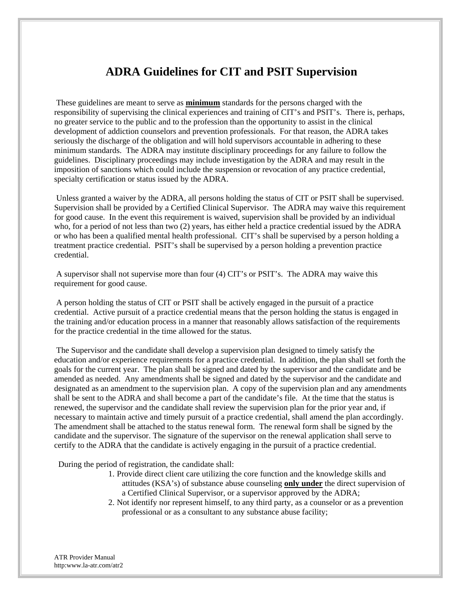# **ADRA Guidelines for CIT and PSIT Supervision**

 These guidelines are meant to serve as **minimum** standards for the persons charged with the responsibility of supervising the clinical experiences and training of CIT's and PSIT's. There is, perhaps, no greater service to the public and to the profession than the opportunity to assist in the clinical development of addiction counselors and prevention professionals. For that reason, the ADRA takes seriously the discharge of the obligation and will hold supervisors accountable in adhering to these minimum standards. The ADRA may institute disciplinary proceedings for any failure to follow the guidelines. Disciplinary proceedings may include investigation by the ADRA and may result in the imposition of sanctions which could include the suspension or revocation of any practice credential, specialty certification or status issued by the ADRA.

 Unless granted a waiver by the ADRA, all persons holding the status of CIT or PSIT shall be supervised. Supervision shall be provided by a Certified Clinical Supervisor. The ADRA may waive this requirement for good cause. In the event this requirement is waived, supervision shall be provided by an individual who, for a period of not less than two (2) years, has either held a practice credential issued by the ADRA or who has been a qualified mental health professional. CIT's shall be supervised by a person holding a treatment practice credential. PSIT's shall be supervised by a person holding a prevention practice credential.

 A supervisor shall not supervise more than four (4) CIT's or PSIT's. The ADRA may waive this requirement for good cause.

 A person holding the status of CIT or PSIT shall be actively engaged in the pursuit of a practice credential. Active pursuit of a practice credential means that the person holding the status is engaged in the training and/or education process in a manner that reasonably allows satisfaction of the requirements for the practice credential in the time allowed for the status.

 The Supervisor and the candidate shall develop a supervision plan designed to timely satisfy the education and/or experience requirements for a practice credential. In addition, the plan shall set forth the goals for the current year. The plan shall be signed and dated by the supervisor and the candidate and be amended as needed. Any amendments shall be signed and dated by the supervisor and the candidate and designated as an amendment to the supervision plan. A copy of the supervision plan and any amendments shall be sent to the ADRA and shall become a part of the candidate's file. At the time that the status is renewed, the supervisor and the candidate shall review the supervision plan for the prior year and, if necessary to maintain active and timely pursuit of a practice credential, shall amend the plan accordingly. The amendment shall be attached to the status renewal form. The renewal form shall be signed by the candidate and the supervisor. The signature of the supervisor on the renewal application shall serve to certify to the ADRA that the candidate is actively engaging in the pursuit of a practice credential.

During the period of registration, the candidate shall:

- 1. Provide direct client care utilizing the core function and the knowledge skills and attitudes (KSA's) of substance abuse counseling **only under** the direct supervision of a Certified Clinical Supervisor, or a supervisor approved by the ADRA;
- 2. Not identify nor represent himself, to any third party, as a counselor or as a prevention professional or as a consultant to any substance abuse facility;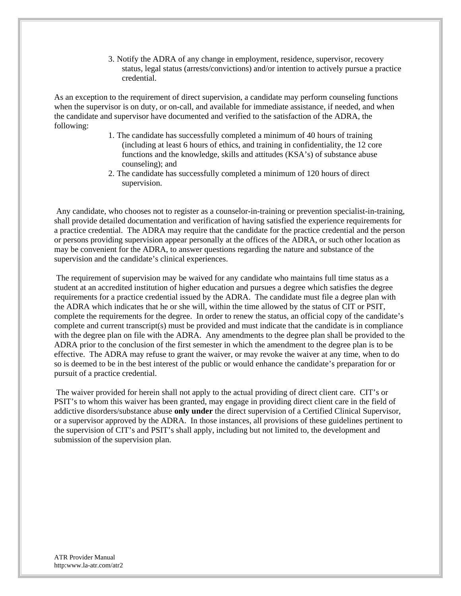3. Notify the ADRA of any change in employment, residence, supervisor, recovery status, legal status (arrests/convictions) and/or intention to actively pursue a practice credential.

As an exception to the requirement of direct supervision, a candidate may perform counseling functions when the supervisor is on duty, or on-call, and available for immediate assistance, if needed, and when the candidate and supervisor have documented and verified to the satisfaction of the ADRA, the following:

- 1. The candidate has successfully completed a minimum of 40 hours of training (including at least 6 hours of ethics, and training in confidentiality, the 12 core functions and the knowledge, skills and attitudes (KSA's) of substance abuse counseling); and
- 2. The candidate has successfully completed a minimum of 120 hours of direct supervision.

 Any candidate, who chooses not to register as a counselor-in-training or prevention specialist-in-training, shall provide detailed documentation and verification of having satisfied the experience requirements for a practice credential. The ADRA may require that the candidate for the practice credential and the person or persons providing supervision appear personally at the offices of the ADRA, or such other location as may be convenient for the ADRA, to answer questions regarding the nature and substance of the supervision and the candidate's clinical experiences.

 The requirement of supervision may be waived for any candidate who maintains full time status as a student at an accredited institution of higher education and pursues a degree which satisfies the degree requirements for a practice credential issued by the ADRA. The candidate must file a degree plan with the ADRA which indicates that he or she will, within the time allowed by the status of CIT or PSIT, complete the requirements for the degree. In order to renew the status, an official copy of the candidate's complete and current transcript(s) must be provided and must indicate that the candidate is in compliance with the degree plan on file with the ADRA. Any amendments to the degree plan shall be provided to the ADRA prior to the conclusion of the first semester in which the amendment to the degree plan is to be effective. The ADRA may refuse to grant the waiver, or may revoke the waiver at any time, when to do so is deemed to be in the best interest of the public or would enhance the candidate's preparation for or pursuit of a practice credential.

 The waiver provided for herein shall not apply to the actual providing of direct client care. CIT's or PSIT's to whom this waiver has been granted, may engage in providing direct client care in the field of addictive disorders/substance abuse **only under** the direct supervision of a Certified Clinical Supervisor, or a supervisor approved by the ADRA. In those instances, all provisions of these guidelines pertinent to the supervision of CIT's and PSIT's shall apply, including but not limited to, the development and submission of the supervision plan.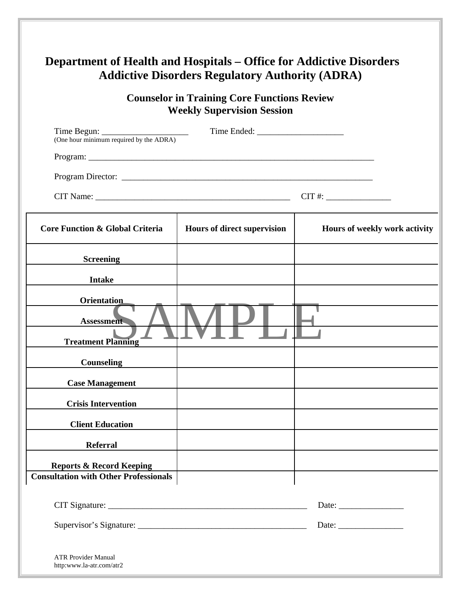| <b>Department of Health and Hospitals – Office for Addictive Disorders</b> | <b>Addictive Disorders Regulatory Authority (ADRA)</b>                                  |                                                        |
|----------------------------------------------------------------------------|-----------------------------------------------------------------------------------------|--------------------------------------------------------|
|                                                                            | <b>Counselor in Training Core Functions Review</b><br><b>Weekly Supervision Session</b> |                                                        |
|                                                                            |                                                                                         |                                                        |
|                                                                            |                                                                                         |                                                        |
|                                                                            |                                                                                         |                                                        |
| CIT Name:                                                                  |                                                                                         | $CIT$ #: $\qquad \qquad$                               |
| Core Function & Global Criteria                                            | <b>Hours of direct supervision</b>                                                      | Hours of weekly work activity                          |
| <b>Screening</b>                                                           |                                                                                         |                                                        |
| <b>Intake</b>                                                              |                                                                                         |                                                        |
| <b>Orientation</b><br><b>Assessment</b>                                    |                                                                                         |                                                        |
| <b>Treatment Planning</b>                                                  |                                                                                         |                                                        |
| <b>Counseling</b>                                                          |                                                                                         |                                                        |
| <b>Case Management</b>                                                     |                                                                                         |                                                        |
| <b>Crisis Intervention</b>                                                 |                                                                                         |                                                        |
| <b>Client Education</b>                                                    |                                                                                         |                                                        |
| <b>Referral</b>                                                            |                                                                                         |                                                        |
| <b>Reports &amp; Record Keeping</b>                                        |                                                                                         |                                                        |
| <b>Consultation with Other Professionals</b>                               |                                                                                         |                                                        |
|                                                                            |                                                                                         | Date: $\frac{1}{\sqrt{1-\frac{1}{2}}\cdot\frac{1}{2}}$ |
|                                                                            |                                                                                         |                                                        |
| <b>ATR Provider Manual</b><br>http:www.la-atr.com/atr2                     |                                                                                         |                                                        |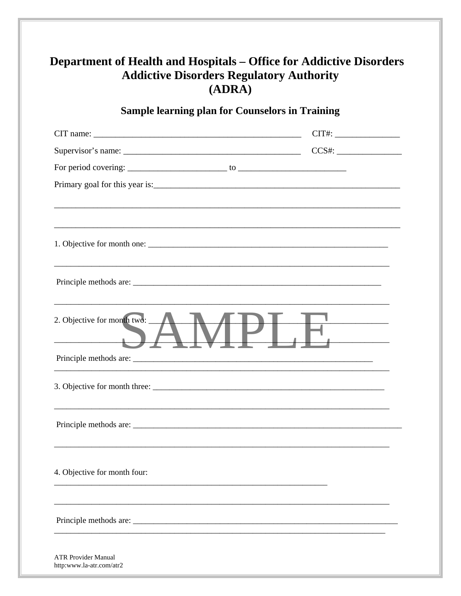| <b>Department of Health and Hospitals – Office for Addictive Disorders</b><br><b>Addictive Disorders Regulatory Authority</b><br>(ADRA) |                                                                                                                                                                                                                                                                                               |  |  |  |  |
|-----------------------------------------------------------------------------------------------------------------------------------------|-----------------------------------------------------------------------------------------------------------------------------------------------------------------------------------------------------------------------------------------------------------------------------------------------|--|--|--|--|
| <b>Sample learning plan for Counselors in Training</b>                                                                                  |                                                                                                                                                                                                                                                                                               |  |  |  |  |
|                                                                                                                                         |                                                                                                                                                                                                                                                                                               |  |  |  |  |
|                                                                                                                                         |                                                                                                                                                                                                                                                                                               |  |  |  |  |
|                                                                                                                                         | For period covering: $\frac{1}{2}$ to $\frac{1}{2}$ to $\frac{1}{2}$ for $\frac{1}{2}$ in $\frac{1}{2}$ is $\frac{1}{2}$ in $\frac{1}{2}$ in $\frac{1}{2}$ is $\frac{1}{2}$ in $\frac{1}{2}$ in $\frac{1}{2}$ is $\frac{1}{2}$ in $\frac{1}{2}$ in $\frac{1}{2}$ in $\frac{1}{2}$ in $\frac{$ |  |  |  |  |
|                                                                                                                                         |                                                                                                                                                                                                                                                                                               |  |  |  |  |
|                                                                                                                                         |                                                                                                                                                                                                                                                                                               |  |  |  |  |
|                                                                                                                                         |                                                                                                                                                                                                                                                                                               |  |  |  |  |
| 2. Objective for month two:                                                                                                             |                                                                                                                                                                                                                                                                                               |  |  |  |  |
|                                                                                                                                         |                                                                                                                                                                                                                                                                                               |  |  |  |  |
|                                                                                                                                         |                                                                                                                                                                                                                                                                                               |  |  |  |  |
|                                                                                                                                         |                                                                                                                                                                                                                                                                                               |  |  |  |  |
| 4. Objective for month four:                                                                                                            |                                                                                                                                                                                                                                                                                               |  |  |  |  |
|                                                                                                                                         |                                                                                                                                                                                                                                                                                               |  |  |  |  |
| <b>ATR Provider Manual</b><br>http:www.la-atr.com/atr2                                                                                  |                                                                                                                                                                                                                                                                                               |  |  |  |  |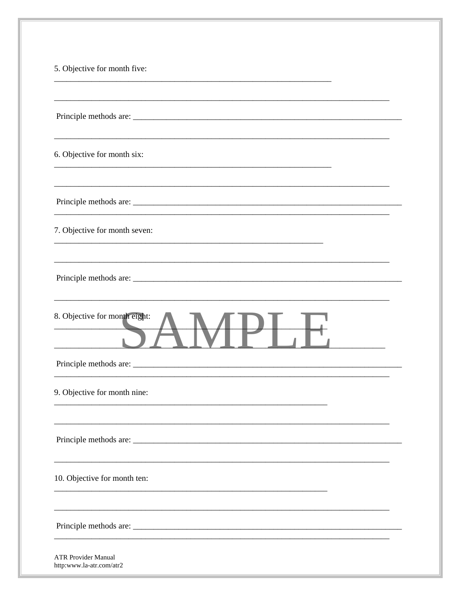| 5. Objective for month five:  |  |
|-------------------------------|--|
|                               |  |
|                               |  |
| 6. Objective for month six:   |  |
|                               |  |
| 7. Objective for month seven: |  |
|                               |  |
| 8. Objective for month eight: |  |
|                               |  |
| 9. Objective for month nine:  |  |
|                               |  |
| 10. Objective for month ten:  |  |
|                               |  |
| <b>ATR Provider Manual</b>    |  |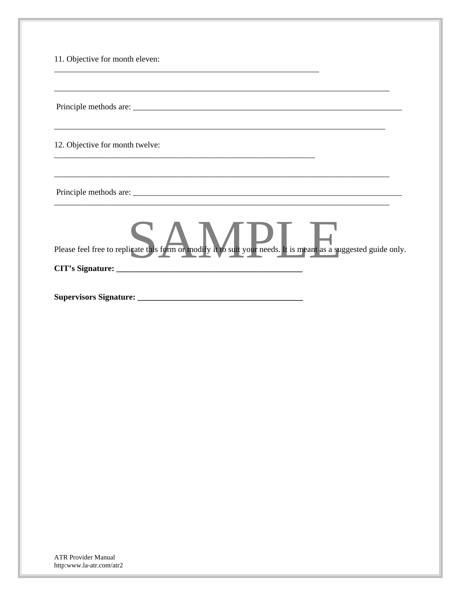| <u> 1989 - Andrea Santana, Amerikaansk politiker (d. 1989)</u><br>Please feel free to replicate this form or modify it to suit your needs. It is meant as a suggested guide only. |
|-----------------------------------------------------------------------------------------------------------------------------------------------------------------------------------|
|                                                                                                                                                                                   |
|                                                                                                                                                                                   |
|                                                                                                                                                                                   |
|                                                                                                                                                                                   |
|                                                                                                                                                                                   |
|                                                                                                                                                                                   |
|                                                                                                                                                                                   |
|                                                                                                                                                                                   |
|                                                                                                                                                                                   |
|                                                                                                                                                                                   |
|                                                                                                                                                                                   |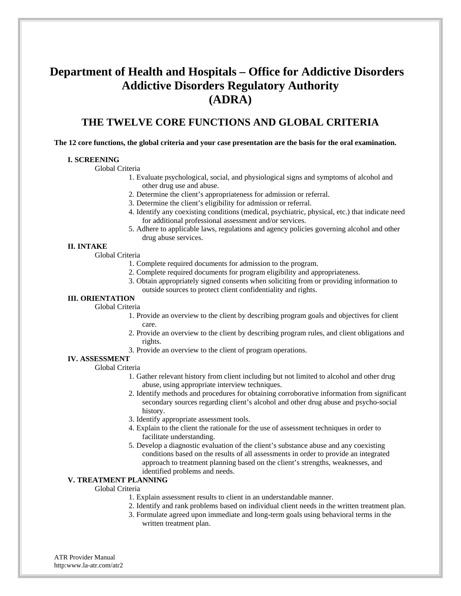# **Department of Health and Hospitals – Office for Addictive Disorders Addictive Disorders Regulatory Authority (ADRA)**

### **THE TWELVE CORE FUNCTIONS AND GLOBAL CRITERIA**

#### **The 12 core functions, the global criteria and your case presentation are the basis for the oral examination.**

#### **I. SCREENING**

Global Criteria

- 1. Evaluate psychological, social, and physiological signs and symptoms of alcohol and other drug use and abuse.
- 2. Determine the client's appropriateness for admission or referral.
- 3. Determine the client's eligibility for admission or referral.
- 4. Identify any coexisting conditions (medical, psychiatric, physical, etc.) that indicate need for additional professional assessment and/or services.
- 5. Adhere to applicable laws, regulations and agency policies governing alcohol and other drug abuse services.

#### **II. INTAKE**

Global Criteria

- 1. Complete required documents for admission to the program.
- 2. Complete required documents for program eligibility and appropriateness.
- 3. Obtain appropriately signed consents when soliciting from or providing information to outside sources to protect client confidentiality and rights.

#### **III. ORIENTATION**

#### Global Criteria

- 1. Provide an overview to the client by describing program goals and objectives for client care.
- 2. Provide an overview to the client by describing program rules, and client obligations and rights.
- 3. Provide an overview to the client of program operations.

### **IV. ASSESSMENT**

Global Criteria

- 1. Gather relevant history from client including but not limited to alcohol and other drug abuse, using appropriate interview techniques.
- 2. Identify methods and procedures for obtaining corroborative information from significant secondary sources regarding client's alcohol and other drug abuse and psycho-social history.
- 3. Identify appropriate assessment tools.
- 4. Explain to the client the rationale for the use of assessment techniques in order to facilitate understanding.
- 5. Develop a diagnostic evaluation of the client's substance abuse and any coexisting conditions based on the results of all assessments in order to provide an integrated approach to treatment planning based on the client's strengths, weaknesses, and identified problems and needs.

#### **V. TREATMENT PLANNING**

#### Global Criteria

- 1. Explain assessment results to client in an understandable manner.
- 2. Identify and rank problems based on individual client needs in the written treatment plan.
- 3. Formulate agreed upon immediate and long-term goals using behavioral terms in the written treatment plan.
- ATR Provider Manual http:www.la-atr.com/atr2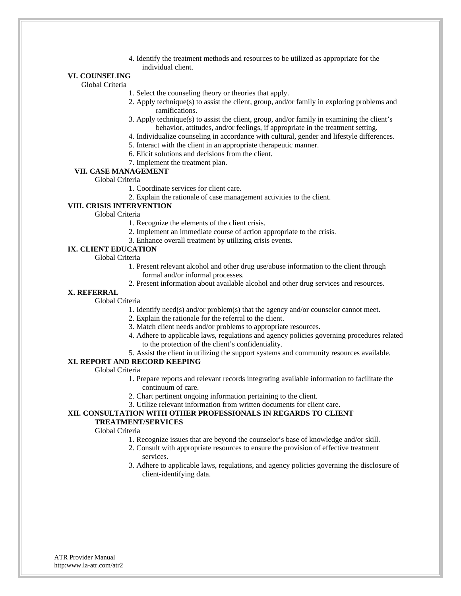4. Identify the treatment methods and resources to be utilized as appropriate for the individual client.

#### **VI. COUNSELING**

Global Criteria

- 1. Select the counseling theory or theories that apply.
- 2. Apply technique(s) to assist the client, group, and/or family in exploring problems and ramifications.
- 3. Apply technique(s) to assist the client, group, and/or family in examining the client's behavior, attitudes, and/or feelings, if appropriate in the treatment setting.
- 4. Individualize counseling in accordance with cultural, gender and lifestyle differences.
- 5. Interact with the client in an appropriate therapeutic manner.
- 6. Elicit solutions and decisions from the client.
- 7. Implement the treatment plan.

#### **VII. CASE MANAGEMENT**

Global Criteria

- 1. Coordinate services for client care.
- 2. Explain the rationale of case management activities to the client.

#### **VIII. CRISIS INTERVENTION**

Global Criteria

- 1. Recognize the elements of the client crisis.
- 2. Implement an immediate course of action appropriate to the crisis.
- 3. Enhance overall treatment by utilizing crisis events.

#### **IX. CLIENT EDUCATION**

Global Criteria

- 1. Present relevant alcohol and other drug use/abuse information to the client through formal and/or informal processes.
- 2. Present information about available alcohol and other drug services and resources.

#### **X. REFERRAL**

Global Criteria

- 1. Identify need(s) and/or problem(s) that the agency and/or counselor cannot meet.
- 2. Explain the rationale for the referral to the client.
- 3. Match client needs and/or problems to appropriate resources.
- 4. Adhere to applicable laws, regulations and agency policies governing procedures related to the protection of the client's confidentiality.
- 5. Assist the client in utilizing the support systems and community resources available.

#### **XI. REPORT AND RECORD KEEPING**

Global Criteria

- 1. Prepare reports and relevant records integrating available information to facilitate the continuum of care.
- 2. Chart pertinent ongoing information pertaining to the client.
- 3. Utilize relevant information from written documents for client care.

#### **XII. CONSULTATION WITH OTHER PROFESSIONALS IN REGARDS TO CLIENT TREATMENT/SERVICES**

#### Global Criteria

- 1. Recognize issues that are beyond the counselor's base of knowledge and/or skill.
- 2. Consult with appropriate resources to ensure the provision of effective treatment services.
- 3. Adhere to applicable laws, regulations, and agency policies governing the disclosure of client-identifying data.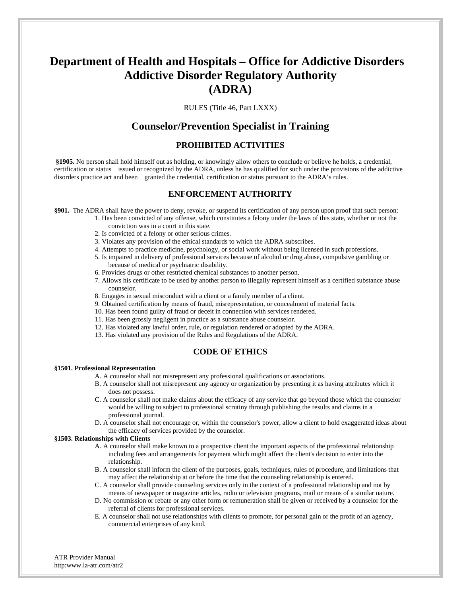# **Department of Health and Hospitals – Office for Addictive Disorders Addictive Disorder Regulatory Authority (ADRA)**

RULES (Title 46, Part LXXX)

### **Counselor/Prevention Specialist in Training**

#### **PROHIBITED ACTIVITIES**

 **§1905.** No person shall hold himself out as holding, or knowingly allow others to conclude or believe he holds, a credential, certification or status issued or recognized by the ADRA, unless he has qualified for such under the provisions of the addictive disorders practice act and been granted the credential, certification or status pursuant to the ADRA's rules.

#### **ENFORCEMENT AUTHORITY**

**§901.** The ADRA shall have the power to deny, revoke, or suspend its certification of any person upon proof that such person:

- 1. Has been convicted of any offense, which constitutes a felony under the laws of this state, whether or not the conviction was in a court in this state.
	- 2. Is convicted of a felony or other serious crimes.
	- 3. Violates any provision of the ethical standards to which the ADRA subscribes.
	- 4. Attempts to practice medicine, psychology, or social work without being licensed in such professions.
	- 5. Is impaired in delivery of professional services because of alcohol or drug abuse, compulsive gambling or because of medical or psychiatric disability.
	- 6. Provides drugs or other restricted chemical substances to another person.
	- 7. Allows his certificate to be used by another person to illegally represent himself as a certified substance abuse counselor.
	- 8. Engages in sexual misconduct with a client or a family member of a client.
	- 9. Obtained certification by means of fraud, misrepresentation, or concealment of material facts.
	- 10. Has been found guilty of fraud or deceit in connection with services rendered.
	- 11. Has been grossly negligent in practice as a substance abuse counselor.
	- 12. Has violated any lawful order, rule, or regulation rendered or adopted by the ADRA.
	- 13. Has violated any provision of the Rules and Regulations of the ADRA.

### **CODE OF ETHICS**

#### **§1501. Professional Representation**

- A. A counselor shall not misrepresent any professional qualifications or associations.
- B. A counselor shall not misrepresent any agency or organization by presenting it as having attributes which it does not possess.
- C. A counselor shall not make claims about the efficacy of any service that go beyond those which the counselor would be willing to subject to professional scrutiny through publishing the results and claims in a professional journal.
- D. A counselor shall not encourage or, within the counselor's power, allow a client to hold exaggerated ideas about the efficacy of services provided by the counselor.

#### **§1503. Relationships with Clients**

- A. A counselor shall make known to a prospective client the important aspects of the professional relationship including fees and arrangements for payment which might affect the client's decision to enter into the relationship.
- B. A counselor shall inform the client of the purposes, goals, techniques, rules of procedure, and limitations that may affect the relationship at or before the time that the counseling relationship is entered.
- C. A counselor shall provide counseling services only in the context of a professional relationship and not by means of newspaper or magazine articles, radio or television programs, mail or means of a similar nature.
- D. No commission or rebate or any other form or remuneration shall be given or received by a counselor for the referral of clients for professional services.
- E. A counselor shall not use relationships with clients to promote, for personal gain or the profit of an agency, commercial enterprises of any kind.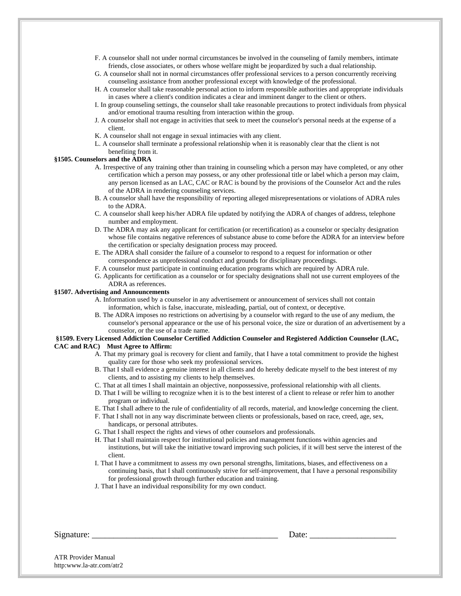- F. A counselor shall not under normal circumstances be involved in the counseling of family members, intimate friends, close associates, or others whose welfare might be jeopardized by such a dual relationship.
- G. A counselor shall not in normal circumstances offer professional services to a person concurrently receiving counseling assistance from another professional except with knowledge of the professional.
- H. A counselor shall take reasonable personal action to inform responsible authorities and appropriate individuals in cases where a client's condition indicates a clear and imminent danger to the client or others.
- I. In group counseling settings, the counselor shall take reasonable precautions to protect individuals from physical and/or emotional trauma resulting from interaction within the group.
- J. A counselor shall not engage in activities that seek to meet the counselor's personal needs at the expense of a client.
- K. A counselor shall not engage in sexual intimacies with any client.
- L. A counselor shall terminate a professional relationship when it is reasonably clear that the client is not benefiting from it.

#### **§1505. Counselors and the ADRA**

- A. Irrespective of any training other than training in counseling which a person may have completed, or any other certification which a person may possess, or any other professional title or label which a person may claim, any person licensed as an LAC, CAC or RAC is bound by the provisions of the Counselor Act and the rules of the ADRA in rendering counseling services.
- B. A counselor shall have the responsibility of reporting alleged misrepresentations or violations of ADRA rules to the ADRA.
- C. A counselor shall keep his/her ADRA file updated by notifying the ADRA of changes of address, telephone number and employment.
- D. The ADRA may ask any applicant for certification (or recertification) as a counselor or specialty designation whose file contains negative references of substance abuse to come before the ADRA for an interview before the certification or specialty designation process may proceed.
- E. The ADRA shall consider the failure of a counselor to respond to a request for information or other correspondence as unprofessional conduct and grounds for disciplinary proceedings.
- F. A counselor must participate in continuing education programs which are required by ADRA rule.
- G. Applicants for certification as a counselor or for specialty designations shall not use current employees of the ADRA as references.

#### **§1507. Advertising and Announcements**

- A. Information used by a counselor in any advertisement or announcement of services shall not contain information, which is false, inaccurate, misleading, partial, out of context, or deceptive.
- B. The ADRA imposes no restrictions on advertising by a counselor with regard to the use of any medium, the counselor's personal appearance or the use of his personal voice, the size or duration of an advertisement by a counselor, or the use of a trade name.

#### **§1509. Every Licensed Addiction Counselor Certified Addiction Counselor and Registered Addiction Counselor (LAC, CAC and RAC) Must Agree to Affirm:**

- A. That my primary goal is recovery for client and family, that I have a total commitment to provide the highest quality care for those who seek my professional services.
- B. That I shall evidence a genuine interest in all clients and do hereby dedicate myself to the best interest of my clients, and to assisting my clients to help themselves.
- C. That at all times I shall maintain an objective, nonpossessive, professional relationship with all clients.
- D. That I will be willing to recognize when it is to the best interest of a client to release or refer him to another program or individual.
- E. That I shall adhere to the rule of confidentiality of all records, material, and knowledge concerning the client.
- F. That I shall not in any way discriminate between clients or professionals, based on race, creed, age, sex, handicaps, or personal attributes.
- G. That I shall respect the rights and views of other counselors and professionals.
- H. That I shall maintain respect for institutional policies and management functions within agencies and institutions, but will take the initiative toward improving such policies, if it will best serve the interest of the client.
- I. That I have a commitment to assess my own personal strengths, limitations, biases, and effectiveness on a continuing basis, that I shall continuously strive for self-improvement, that I have a personal responsibility for professional growth through further education and training.
- J. That I have an individual responsibility for my own conduct.

Signature: \_\_\_\_\_\_\_\_\_\_\_\_\_\_\_\_\_\_\_\_\_\_\_\_\_\_\_\_\_\_\_\_\_\_\_\_\_\_\_\_\_\_\_ Date: \_\_\_\_\_\_\_\_\_\_\_\_\_\_\_\_\_\_\_\_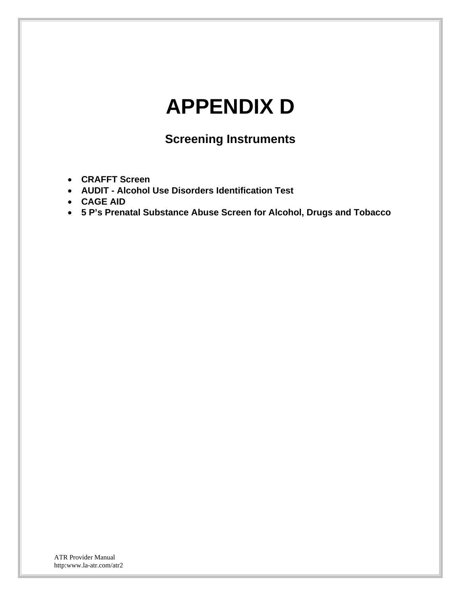# **APPENDIX D**

# **Screening Instruments**

- **CRAFFT Screen**
- **AUDIT Alcohol Use Disorders Identification Test**
- **CAGE AID**
- **5 P's Prenatal Substance Abuse Screen for Alcohol, Drugs and Tobacco**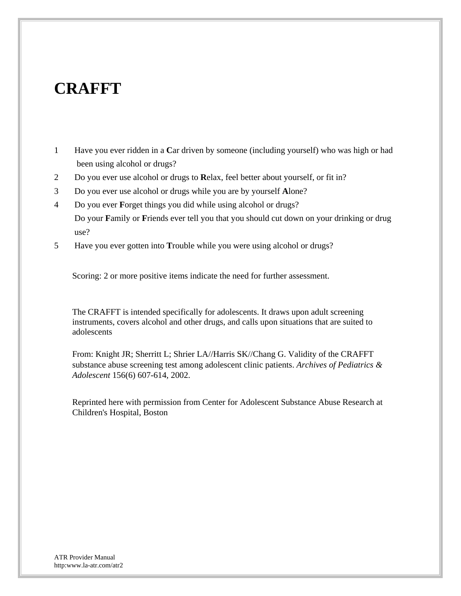# **CRAFFT**

- 1 Have you ever ridden in a **C**ar driven by someone (including yourself) who was high or had been using alcohol or drugs?
- 2 Do you ever use alcohol or drugs to **R**elax, feel better about yourself, or fit in?
- 3 Do you ever use alcohol or drugs while you are by yourself **A**lone?
- 4 Do you ever **F**orget things you did while using alcohol or drugs? Do your **F**amily or **F**riends ever tell you that you should cut down on your drinking or drug use?
- 5 Have you ever gotten into **T**rouble while you were using alcohol or drugs?

Scoring: 2 or more positive items indicate the need for further assessment.

The CRAFFT is intended specifically for adolescents. It draws upon adult screening instruments, covers alcohol and other drugs, and calls upon situations that are suited to adolescents

From: Knight JR; Sherritt L; Shrier LA//Harris SK//Chang G. Validity of the CRAFFT substance abuse screening test among adolescent clinic patients. *Archives of Pediatrics & Adolescent* 156(6) 607-614, 2002.

Reprinted here with permission from Center for Adolescent Substance Abuse Research at Children's Hospital, Boston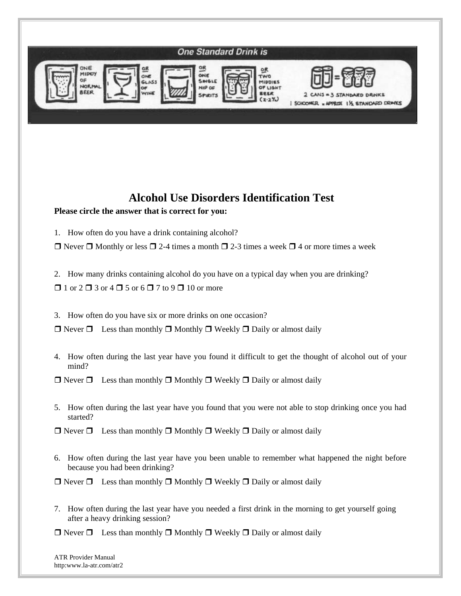

# **Alcohol Use Disorders Identification Test**

### **Please circle the answer that is correct for you:**

1. How often do you have a drink containing alcohol?

 $\Box$  Never  $\Box$  Monthly or less  $\Box$  2-4 times a month  $\Box$  2-3 times a week  $\Box$  4 or more times a week

- 2. How many drinks containing alcohol do you have on a typical day when you are drinking?
- $\Box$  1 or 2  $\Box$  3 or 4  $\Box$  5 or 6  $\Box$  7 to 9  $\Box$  10 or more
- 3. How often do you have six or more drinks on one occasion?

 $\Box$  Never  $\Box$  Less than monthly  $\Box$  Monthly  $\Box$  Weekly  $\Box$  Daily or almost daily

4. How often during the last year have you found it difficult to get the thought of alcohol out of your mind?

 $\Box$  Never  $\Box$  Less than monthly  $\Box$  Monthly  $\Box$  Weekly  $\Box$  Daily or almost daily

5. How often during the last year have you found that you were not able to stop drinking once you had started?

 $\Box$  Never  $\Box$  Less than monthly  $\Box$  Monthly  $\Box$  Weekly  $\Box$  Daily or almost daily

6. How often during the last year have you been unable to remember what happened the night before because you had been drinking?

 $\Box$  Never  $\Box$  Less than monthly  $\Box$  Monthly  $\Box$  Weekly  $\Box$  Daily or almost daily

7. How often during the last year have you needed a first drink in the morning to get yourself going after a heavy drinking session?

 $\Box$  Never  $\Box$  Less than monthly  $\Box$  Monthly  $\Box$  Weekly  $\Box$  Daily or almost daily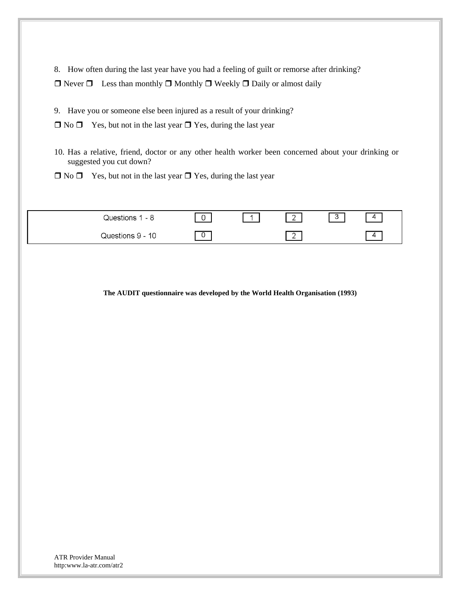8. How often during the last year have you had a feeling of guilt or remorse after drinking?

 $\Box$  Never  $\Box$  Less than monthly  $\Box$  Monthly  $\Box$  Weekly  $\Box$  Daily or almost daily

9. Have you or someone else been injured as a result of your drinking?

 $\Box$  No  $\Box$  Yes, but not in the last year  $\Box$  Yes, during the last year

10. Has a relative, friend, doctor or any other health worker been concerned about your drinking or suggested you cut down?

 $\Box$  No  $\Box$  Yes, but not in the last year  $\Box$  Yes, during the last year

| Questions 1 - 8  | - | $\sim$<br>∸              | $\sqrt{2}$<br>◡ | д |
|------------------|---|--------------------------|-----------------|---|
| Questions 9 - 10 | ∼ | $\overline{\phantom{a}}$ |                 |   |

**The AUDIT questionnaire was developed by the World Health Organisation (1993)**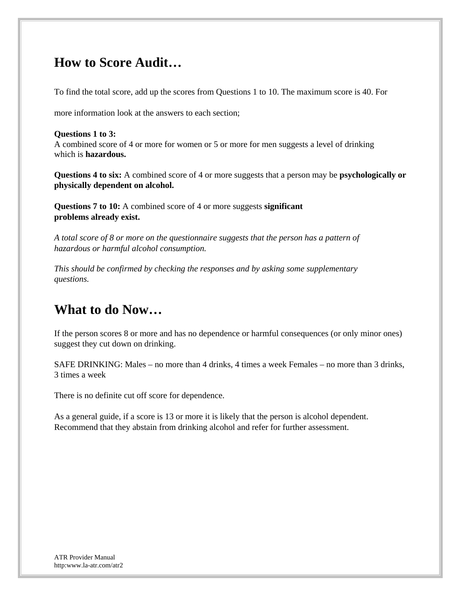### **How to Score Audit…**

To find the total score, add up the scores from Questions 1 to 10. The maximum score is 40. For

more information look at the answers to each section;

#### **Questions 1 to 3:**

A combined score of 4 or more for women or 5 or more for men suggests a level of drinking which is **hazardous.** 

**Questions 4 to six:** A combined score of 4 or more suggests that a person may be **psychologically or physically dependent on alcohol.** 

**Questions 7 to 10:** A combined score of 4 or more suggests **significant problems already exist.** 

*A total score of 8 or more on the questionnaire suggests that the person has a pattern of hazardous or harmful alcohol consumption.* 

*This should be confirmed by checking the responses and by asking some supplementary questions.* 

### **What to do Now…**

If the person scores 8 or more and has no dependence or harmful consequences (or only minor ones) suggest they cut down on drinking.

SAFE DRINKING: Males – no more than 4 drinks, 4 times a week Females – no more than 3 drinks, 3 times a week

There is no definite cut off score for dependence.

As a general guide, if a score is 13 or more it is likely that the person is alcohol dependent. Recommend that they abstain from drinking alcohol and refer for further assessment.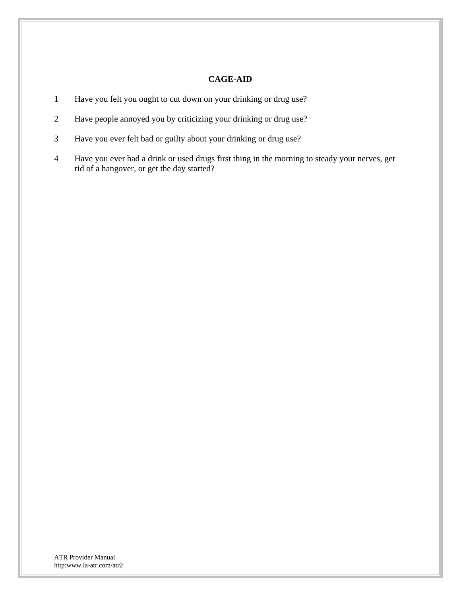#### **CAGE-AID**

- 1 Have you felt you ought to cut down on your drinking or drug use?
- 2 Have people annoyed you by criticizing your drinking or drug use?
- 3 Have you ever felt bad or guilty about your drinking or drug use?
- 4 Have you ever had a drink or used drugs first thing in the morning to steady your nerves, get rid of a hangover, or get the day started?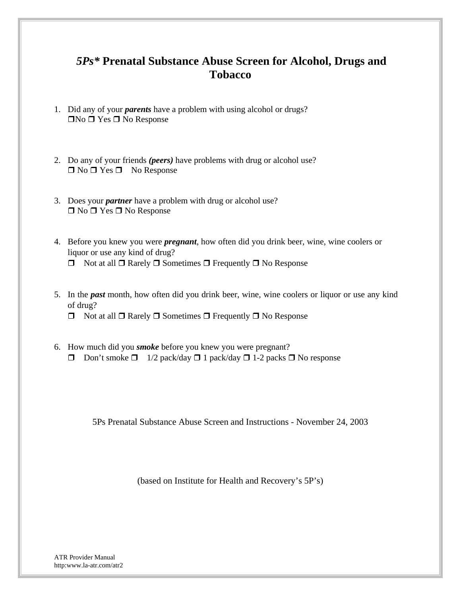### *5Ps\** **Prenatal Substance Abuse Screen for Alcohol, Drugs and Tobacco**

- 1. Did any of your *parents* have a problem with using alcohol or drugs?  $\Box$ No  $\Box$  Yes  $\Box$  No Response
- 2. Do any of your friends *(peers)* have problems with drug or alcohol use?  $\Box$  No  $\Box$  Yes  $\Box$  No Response
- 3. Does your *partner* have a problem with drug or alcohol use?  $\Box$  No  $\Box$  Yes  $\Box$  No Response
- 4. Before you knew you were *pregnant*, how often did you drink beer, wine, wine coolers or liquor or use any kind of drug?  $\Box$  Not at all  $\Box$  Rarely  $\Box$  Sometimes  $\Box$  Frequently  $\Box$  No Response
- 5. In the *past* month, how often did you drink beer, wine, wine coolers or liquor or use any kind of drug?
	- $\Box$  Not at all  $\Box$  Rarely  $\Box$  Sometimes  $\Box$  Frequently  $\Box$  No Response
- 6. How much did you *smoke* before you knew you were pregnant? Don't smoke  $\Box$  1/2 pack/day  $\Box$  1 pack/day  $\Box$  1-2 packs  $\Box$  No response

5Ps Prenatal Substance Abuse Screen and Instructions - November 24, 2003

(based on Institute for Health and Recovery's 5P's)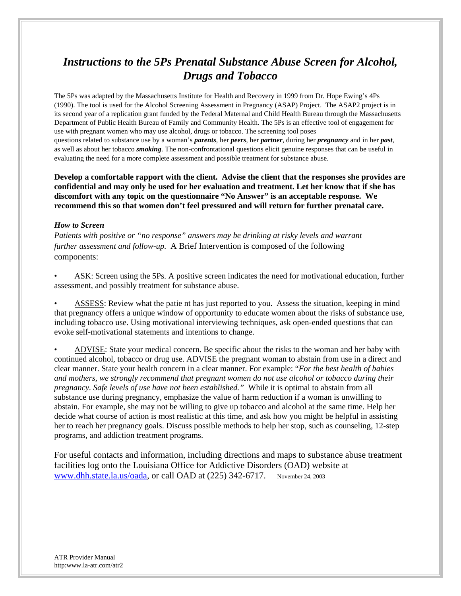### *Instructions to the 5Ps Prenatal Substance Abuse Screen for Alcohol, Drugs and Tobacco*

The 5Ps was adapted by the Massachusetts Institute for Health and Recovery in 1999 from Dr. Hope Ewing's 4Ps (1990). The tool is used for the Alcohol Screening Assessment in Pregnancy (ASAP) Project. The ASAP2 project is in its second year of a replication grant funded by the Federal Maternal and Child Health Bureau through the Massachusetts Department of Public Health Bureau of Family and Community Health. The 5Ps is an effective tool of engagement for use with pregnant women who may use alcohol, drugs or tobacco. The screening tool poses questions related to substance use by a woman's *parents*, her *peers*, her *partner*, during her *pregnancy* and in her *past*, as well as about her tobacco *smoking*. The non-confrontational questions elicit genuine responses that can be useful in evaluating the need for a more complete assessment and possible treatment for substance abuse.

**Develop a comfortable rapport with the client. Advise the client that the responses she provides are confidential and may only be used for her evaluation and treatment. Let her know that if she has discomfort with any topic on the questionnaire "No Answer" is an acceptable response. We recommend this so that women don't feel pressured and will return for further prenatal care.** 

#### *How to Screen*

*Patients with positive or "no response" answers may be drinking at risky levels and warrant further assessment and follow-up.* A Brief Intervention is composed of the following components:

• ASK: Screen using the 5Ps. A positive screen indicates the need for motivational education, further assessment, and possibly treatment for substance abuse.

• ASSESS: Review what the patie nt has just reported to you. Assess the situation, keeping in mind that pregnancy offers a unique window of opportunity to educate women about the risks of substance use, including tobacco use. Using motivational interviewing techniques, ask open-ended questions that can evoke self-motivational statements and intentions to change.

• ADVISE: State your medical concern. Be specific about the risks to the woman and her baby with continued alcohol, tobacco or drug use. ADVISE the pregnant woman to abstain from use in a direct and clear manner. State your health concern in a clear manner. For example: "*For the best health of babies and mothers, we strongly recommend that pregnant women do not use alcohol or tobacco during their pregnancy. Safe levels of use have not been established."* While it is optimal to abstain from all substance use during pregnancy, emphasize the value of harm reduction if a woman is unwilling to abstain. For example, she may not be willing to give up tobacco and alcohol at the same time. Help her decide what course of action is most realistic at this time, and ask how you might be helpful in assisting her to reach her pregnancy goals. Discuss possible methods to help her stop, such as counseling, 12-step programs, and addiction treatment programs.

For useful contacts and information, including directions and maps to substance abuse treatment facilities log onto the Louisiana Office for Addictive Disorders (OAD) website at www.dhh.state.la.us/oada, or call OAD at (225) 342-6717. November 24, 2003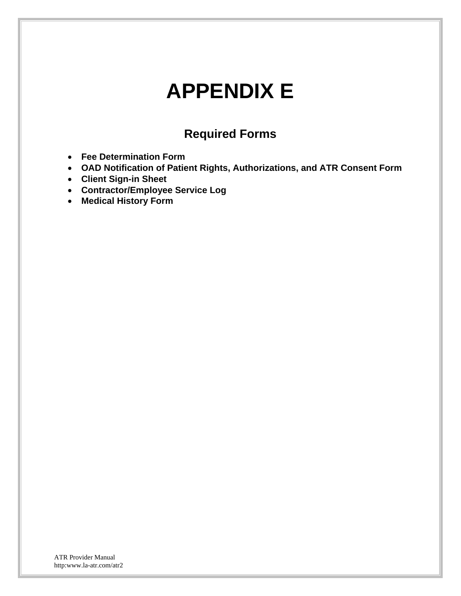## **APPENDIX E**

### **Required Forms**

- **Fee Determination Form**
- **OAD Notification of Patient Rights, Authorizations, and ATR Consent Form**
- **Client Sign-in Sheet**
- **Contractor/Employee Service Log**
- **Medical History Form**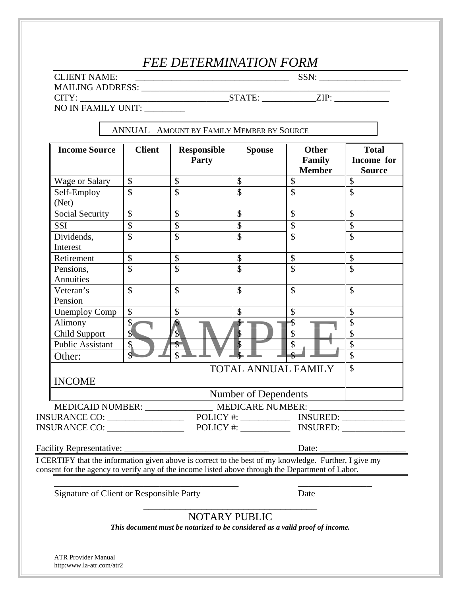## *FEE DETERMINATION FORM*

CLIENT NAME: \_\_\_\_\_\_\_\_\_\_\_\_\_\_\_\_\_\_\_\_\_\_\_\_\_\_\_\_\_\_\_\_\_\_ SSN: \_\_\_\_\_\_\_\_\_\_\_\_\_\_\_\_\_\_

MAILING ADDRESS: \_\_\_\_\_\_\_\_\_\_\_\_\_\_\_\_\_\_\_\_\_\_\_\_\_\_\_\_\_\_\_\_\_\_\_\_\_\_\_\_\_\_\_\_\_\_\_\_\_\_\_\_\_\_\_

CITY: \_\_\_\_\_\_\_\_\_\_\_\_\_\_\_\_\_\_\_\_\_\_\_\_\_\_\_\_\_\_\_\_\_STATE: \_\_\_\_\_\_\_\_\_\_\_\_ZIP: \_\_\_\_\_\_\_\_\_\_\_\_

NO IN FAMILY UNIT:

ANNUAL AMOUNT BY FAMILY MEMBER BY SOURCE

| <b>Income Source</b>                                                                                                                                                                                      | <b>Client</b>                                                                    | <b>Responsible</b><br>Party | <b>Spouse</b>              | <b>Other</b><br>Family<br><b>Member</b> | <b>Total</b><br>Income for<br><b>Source</b> |
|-----------------------------------------------------------------------------------------------------------------------------------------------------------------------------------------------------------|----------------------------------------------------------------------------------|-----------------------------|----------------------------|-----------------------------------------|---------------------------------------------|
| <b>Wage or Salary</b>                                                                                                                                                                                     | $\boldsymbol{\mathsf{S}}$                                                        | $\mathcal{S}$               | \$                         | $\overline{\$}$                         | $\overline{\$}$                             |
| Self-Employ<br>(Net)                                                                                                                                                                                      | $\mathbf{\hat{S}}$                                                               | $\overline{\mathcal{S}}$    | $\overline{\mathbf{s}}$    | $\overline{\mathcal{S}}$                | \$                                          |
| <b>Social Security</b>                                                                                                                                                                                    | $\mathcal{S}$                                                                    | $\mathcal{S}$               | \$                         | $\mathbb{S}$                            | $\mathbf{\hat{S}}$                          |
| <b>SSI</b>                                                                                                                                                                                                | $\mathbb{S}$                                                                     | $\overline{\$}$             | $\boldsymbol{\mathsf{\$}}$ | $\mathcal{S}$                           | \$                                          |
| Dividends,<br>Interest                                                                                                                                                                                    | \$                                                                               | $\mathcal{S}$               | \$                         | \$                                      | \$                                          |
| Retirement                                                                                                                                                                                                | $\boldsymbol{\mathsf{S}}$                                                        | $\overline{\$}$             | $\overline{\$}$            | $\overline{\$}$                         | $\boldsymbol{\mathsf{S}}$                   |
| Pensions,<br>Annuities                                                                                                                                                                                    | $\mathbf{\hat{S}}$                                                               | $\overline{\mathcal{S}}$    | $\overline{\mathcal{S}}$   | $\mathcal{S}$                           | \$                                          |
| Veteran's<br>Pension                                                                                                                                                                                      | $\mathbf{\hat{S}}$                                                               | $\mathbb{S}$                | \$                         | $\mathcal{S}$                           | $\mathcal{S}$                               |
| <b>Unemploy Comp</b>                                                                                                                                                                                      | $\boldsymbol{\mathsf{S}}$                                                        | $\boldsymbol{\mathsf{S}}$   | \$                         | $\mathcal{S}$                           | $\mathbf{\hat{S}}$                          |
| Alimony                                                                                                                                                                                                   | $\mathsf{S}$                                                                     |                             |                            | \$                                      | $\mathcal{S}$                               |
| Child Support                                                                                                                                                                                             | $\overline{\mathcal{S}}$                                                         | $\sqrt{\frac{1}{2}}$        |                            | $\mathcal{S}$                           | $\mathcal{S}$                               |
| <b>Public Assistant</b>                                                                                                                                                                                   | $\boldsymbol{\mathsf{z}}$                                                        | \$                          |                            | \$                                      | $\overline{\mathcal{S}}$                    |
| Other:                                                                                                                                                                                                    |                                                                                  | $\mathbf{\hat{S}}$          |                            |                                         | \$                                          |
| $\mathcal{S}$<br><b>TOTAL ANNUAL FAMILY</b><br><b>INCOME</b>                                                                                                                                              |                                                                                  |                             |                            |                                         |                                             |
|                                                                                                                                                                                                           |                                                                                  |                             | Number of Dependents       |                                         |                                             |
|                                                                                                                                                                                                           |                                                                                  |                             |                            |                                         |                                             |
|                                                                                                                                                                                                           | MEDICAID NUMBER: _________________ MEDICARE NUMBER: ____________________________ |                             |                            |                                         |                                             |
| INSURANCE CO: ___________________                                                                                                                                                                         |                                                                                  |                             |                            |                                         |                                             |
|                                                                                                                                                                                                           |                                                                                  |                             |                            |                                         | Date:                                       |
| I CERTIFY that the information given above is correct to the best of my knowledge. Further, I give my<br>consent for the agency to verify any of the income listed above through the Department of Labor. |                                                                                  |                             |                            |                                         |                                             |
| Signature of Client or Responsible Party                                                                                                                                                                  |                                                                                  |                             |                            | Date                                    |                                             |

\_\_\_\_\_\_\_\_\_\_\_\_\_\_\_\_\_\_\_\_\_\_\_\_\_\_\_\_\_\_\_\_\_ NOTARY PUBLIC

*This document must be notarized to be considered as a valid proof of income.*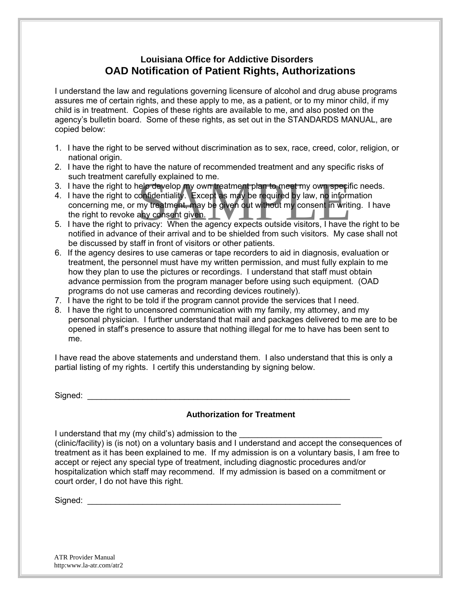#### **Louisiana Office for Addictive Disorders OAD Notification of Patient Rights, Authorizations**

I understand the law and regulations governing licensure of alcohol and drug abuse programs assures me of certain rights, and these apply to me, as a patient, or to my minor child, if my child is in treatment. Copies of these rights are available to me, and also posted on the agency's bulletin board. Some of these rights, as set out in the STANDARDS MANUAL, are copied below:

- 1. I have the right to be served without discrimination as to sex, race, creed, color, religion, or national origin.
- 2. I have the right to have the nature of recommended treatment and any specific risks of such treatment carefully explained to me.
- 3. I have the right to help develop my own treatment plan to meet my own specific needs.
- Such treatment carefully explained to me.<br>
3. I have the right to help develop my own treatment plan to meet my own specific needs.<br>
4. I have the right to confidentiality. Except as may be required by law, no information<br> 4. I have the right to confidentiality. Except as may be required by law, no information concerning me, or my treatment, may be given out without my consent in writing. I have the right to revoke any consent given.
- notified in advance of their arrival and to be shielded from such visitors. My case shall not be discussed by staff in front of visitors or other patients.
- 6. If the agency desires to use cameras or tape recorders to aid in diagnosis, evaluation or treatment, the personnel must have my written permission, and must fully explain to me how they plan to use the pictures or recordings. I understand that staff must obtain advance permission from the program manager before using such equipment. (OAD programs do not use cameras and recording devices routinely).
- 7. I have the right to be told if the program cannot provide the services that I need.
- 8. I have the right to uncensored communication with my family, my attorney, and my personal physician. I further understand that mail and packages delivered to me are to be opened in staff's presence to assure that nothing illegal for me to have has been sent to me.

I have read the above statements and understand them. I also understand that this is only a partial listing of my rights. I certify this understanding by signing below.

Signed: \_\_\_\_\_\_\_\_\_\_\_\_\_\_\_\_\_\_\_\_\_\_\_\_\_\_\_\_\_\_\_\_\_\_\_\_\_\_\_\_\_\_\_\_\_\_\_\_\_\_\_\_\_\_\_\_\_

#### **Authorization for Treatment**

I understand that my (my child's) admission to the (clinic/facility) is (is not) on a voluntary basis and I understand and accept the consequences of treatment as it has been explained to me. If my admission is on a voluntary basis, I am free to accept or reject any special type of treatment, including diagnostic procedures and/or hospitalization which staff may recommend. If my admission is based on a commitment or court order, I do not have this right.

Signed: \_\_\_\_\_\_\_\_\_\_\_\_\_\_\_\_\_\_\_\_\_\_\_\_\_\_\_\_\_\_\_\_\_\_\_\_\_\_\_\_\_\_\_\_\_\_\_\_\_\_\_\_\_\_\_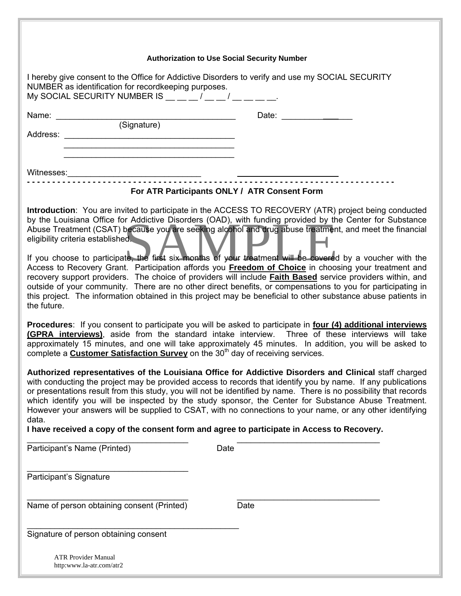#### **Authorization to Use Social Security Number**

| NUMBER as identification for recordkeeping purposes.<br>My SOCIAL SECURITY NUMBER IS $\frac{1}{2}$ $\frac{1}{2}$ $\frac{1}{2}$ $\frac{1}{2}$ $\frac{1}{2}$ $\frac{1}{2}$ $\frac{1}{2}$ $\frac{1}{2}$ | I hereby give consent to the Office for Addictive Disorders to verify and use my SOCIAL SECURITY                                                                                                                                                                                                                                                                                                                                                                                                                                                                                                                                                                                                                                                                                                                                                                                                       |
|------------------------------------------------------------------------------------------------------------------------------------------------------------------------------------------------------|--------------------------------------------------------------------------------------------------------------------------------------------------------------------------------------------------------------------------------------------------------------------------------------------------------------------------------------------------------------------------------------------------------------------------------------------------------------------------------------------------------------------------------------------------------------------------------------------------------------------------------------------------------------------------------------------------------------------------------------------------------------------------------------------------------------------------------------------------------------------------------------------------------|
|                                                                                                                                                                                                      | Date: $\qquad \qquad \qquad \qquad \qquad$                                                                                                                                                                                                                                                                                                                                                                                                                                                                                                                                                                                                                                                                                                                                                                                                                                                             |
| (Signature)                                                                                                                                                                                          |                                                                                                                                                                                                                                                                                                                                                                                                                                                                                                                                                                                                                                                                                                                                                                                                                                                                                                        |
|                                                                                                                                                                                                      |                                                                                                                                                                                                                                                                                                                                                                                                                                                                                                                                                                                                                                                                                                                                                                                                                                                                                                        |
|                                                                                                                                                                                                      |                                                                                                                                                                                                                                                                                                                                                                                                                                                                                                                                                                                                                                                                                                                                                                                                                                                                                                        |
|                                                                                                                                                                                                      |                                                                                                                                                                                                                                                                                                                                                                                                                                                                                                                                                                                                                                                                                                                                                                                                                                                                                                        |
|                                                                                                                                                                                                      |                                                                                                                                                                                                                                                                                                                                                                                                                                                                                                                                                                                                                                                                                                                                                                                                                                                                                                        |
|                                                                                                                                                                                                      | For ATR Participants ONLY / ATR Consent Form                                                                                                                                                                                                                                                                                                                                                                                                                                                                                                                                                                                                                                                                                                                                                                                                                                                           |
| eligibility criteria established.<br>the future.                                                                                                                                                     | Introduction: You are invited to participate in the ACCESS TO RECOVERY (ATR) project being conducted<br>by the Louisiana Office for Addictive Disorders (OAD), with funding provided by the Center for Substance<br>Abuse Treatment (CSAT) because you are seeking alcohol and drug abuse treatment, and meet the financial<br>If you choose to participate, the first six months of your treatment will be covered by a voucher with the<br>Access to Recovery Grant. Participation affords you Freedom of Choice in choosing your treatment and<br>recovery support providers. The choice of providers will include <b>Faith Based</b> service providers within, and<br>outside of your community. There are no other direct benefits, or compensations to you for participating in<br>this project. The information obtained in this project may be beneficial to other substance abuse patients in |
| complete a <b>Customer Satisfaction Survey</b> on the 30 <sup>th</sup> day of receiving services.                                                                                                    | Procedures: If you consent to participate you will be asked to participate in four (4) additional interviews<br>(GPRA interviews), aside from the standard intake interview. Three of these interviews will take<br>approximately 15 minutes, and one will take approximately 45 minutes. In addition, you will be asked to                                                                                                                                                                                                                                                                                                                                                                                                                                                                                                                                                                            |
| data.                                                                                                                                                                                                | Authorized representatives of the Louisiana Office for Addictive Disorders and Clinical staff charged<br>with conducting the project may be provided access to records that identify you by name. If any publications<br>or presentations result from this study, you will not be identified by name. There is no possibility that records<br>which identify you will be inspected by the study sponsor, the Center for Substance Abuse Treatment.<br>However your answers will be supplied to CSAT, with no connections to your name, or any other identifying                                                                                                                                                                                                                                                                                                                                        |
|                                                                                                                                                                                                      | I have received a copy of the consent form and agree to participate in Access to Recovery.                                                                                                                                                                                                                                                                                                                                                                                                                                                                                                                                                                                                                                                                                                                                                                                                             |
| Participant's Name (Printed)                                                                                                                                                                         | Date                                                                                                                                                                                                                                                                                                                                                                                                                                                                                                                                                                                                                                                                                                                                                                                                                                                                                                   |
| Participant's Signature                                                                                                                                                                              |                                                                                                                                                                                                                                                                                                                                                                                                                                                                                                                                                                                                                                                                                                                                                                                                                                                                                                        |
| Name of person obtaining consent (Printed)                                                                                                                                                           | Date                                                                                                                                                                                                                                                                                                                                                                                                                                                                                                                                                                                                                                                                                                                                                                                                                                                                                                   |
| Signature of person obtaining consent                                                                                                                                                                |                                                                                                                                                                                                                                                                                                                                                                                                                                                                                                                                                                                                                                                                                                                                                                                                                                                                                                        |
| <b>ATR Provider Manual</b><br>http:www.la-atr.com/atr2                                                                                                                                               |                                                                                                                                                                                                                                                                                                                                                                                                                                                                                                                                                                                                                                                                                                                                                                                                                                                                                                        |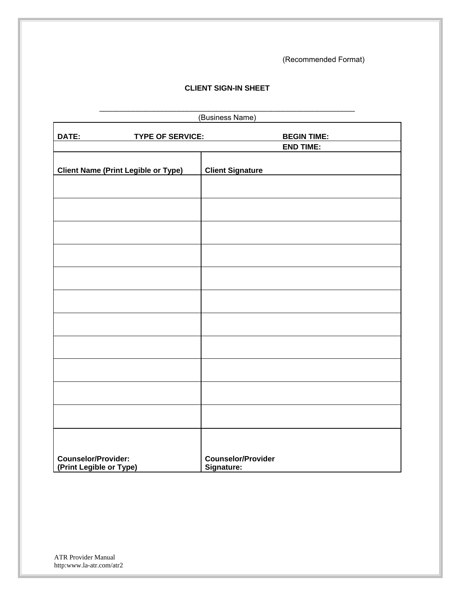(Recommended Format)

#### **CLIENT SIGN-IN SHEET**

\_\_\_\_\_\_\_\_\_\_\_\_\_\_\_\_\_\_\_\_\_\_\_\_\_\_\_\_\_\_\_\_\_\_\_\_\_\_\_\_\_\_\_\_\_\_\_\_\_\_\_\_\_\_\_\_\_\_\_\_\_

|                                                       |                         | (Business Name)                         |
|-------------------------------------------------------|-------------------------|-----------------------------------------|
| DATE:                                                 | <b>TYPE OF SERVICE:</b> | <b>BEGIN TIME:</b>                      |
|                                                       |                         | <b>END TIME:</b>                        |
| <b>Client Name (Print Legible or Type)</b>            |                         | <b>Client Signature</b>                 |
|                                                       |                         |                                         |
|                                                       |                         |                                         |
|                                                       |                         |                                         |
|                                                       |                         |                                         |
|                                                       |                         |                                         |
|                                                       |                         |                                         |
|                                                       |                         |                                         |
|                                                       |                         |                                         |
|                                                       |                         |                                         |
|                                                       |                         |                                         |
|                                                       |                         |                                         |
|                                                       |                         |                                         |
| <b>Counselor/Provider:</b><br>(Print Legible or Type) |                         | <b>Counselor/Provider</b><br>Signature: |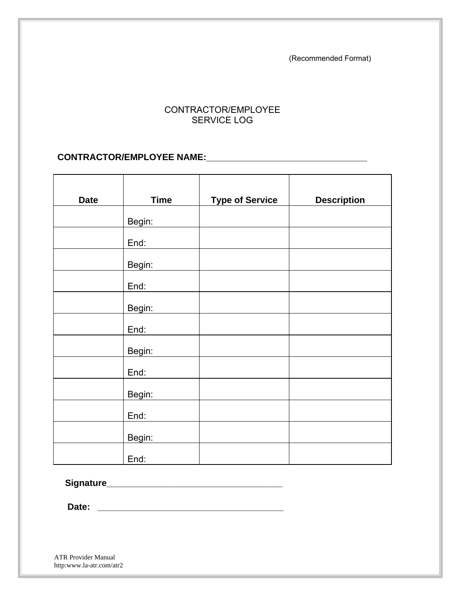(Recommended Format)

#### CONTRACTOR/EMPLOYEE SERVICE LOG

#### **CONTRACTOR/EMPLOYEE NAME:\_\_\_\_\_\_\_\_\_\_\_\_\_\_\_\_\_\_\_\_\_\_\_\_\_\_\_\_\_\_\_\_**

| <b>Date</b> | <b>Time</b> | <b>Type of Service</b> | <b>Description</b> |
|-------------|-------------|------------------------|--------------------|
|             | Begin:      |                        |                    |
|             | End:        |                        |                    |
|             | Begin:      |                        |                    |
|             | End:        |                        |                    |
|             | Begin:      |                        |                    |
|             | End:        |                        |                    |
|             | Begin:      |                        |                    |
|             | End:        |                        |                    |
|             | Begin:      |                        |                    |
|             | End:        |                        |                    |
|             | Begin:      |                        |                    |
|             | End:        |                        |                    |

 **Signature\_\_\_\_\_\_\_\_\_\_\_\_\_\_\_\_\_\_\_\_\_\_\_\_\_\_\_\_\_\_\_\_\_\_\_** 

 **Date: \_\_\_\_\_\_\_\_\_\_\_\_\_\_\_\_\_\_\_\_\_\_\_\_\_\_\_\_\_\_\_\_\_\_\_\_\_**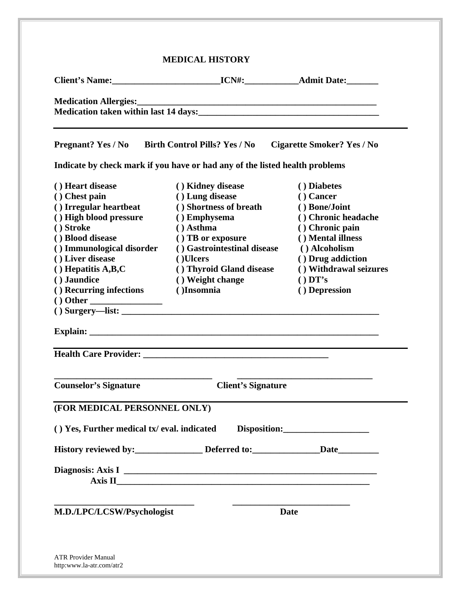|                                                  | Medication taken within last 14 days:                                       |                                   |  |
|--------------------------------------------------|-----------------------------------------------------------------------------|-----------------------------------|--|
|                                                  |                                                                             |                                   |  |
|                                                  |                                                                             |                                   |  |
| Pregnant? Yes / No Birth Control Pills? Yes / No |                                                                             | <b>Cigarette Smoker? Yes / No</b> |  |
|                                                  | Indicate by check mark if you have or had any of the listed health problems |                                   |  |
| () Heart disease                                 | () Kidney disease                                                           | () Diabetes                       |  |
| () Chest pain                                    | () Lung disease                                                             | $()$ Cancer                       |  |
| () Irregular heartbeat                           | () Shortness of breath                                                      | () Bone/Joint                     |  |
| () High blood pressure                           | () Emphysema                                                                | () Chronic headache               |  |
| () Stroke                                        | $( )$ Asthma                                                                | () Chronic pain                   |  |
| () Blood disease                                 | () TB or exposure                                                           | () Mental illness                 |  |
| () Immunological disorder                        | () Gastrointestinal disease                                                 | () Alcoholism                     |  |
| () Liver disease                                 | ()Ulcers                                                                    | () Drug addiction                 |  |
| $( )$ Liver unsease<br>() Hepatitis A,B,C        | () Thyroid Gland disease                                                    | () Withdrawal seizures            |  |
| () Jaundice                                      | () Weight change                                                            | $()$ DT's                         |  |
| () Recurring infections                          | ()Insomnia<br>() Depression                                                 |                                   |  |
|                                                  |                                                                             |                                   |  |
|                                                  | $()$ Surgery—list: $\qquad \qquad$                                          |                                   |  |
|                                                  |                                                                             |                                   |  |
|                                                  | <u> 1989 - Johann Stoff, amerikansk politiker (d. 1989)</u>                 |                                   |  |
|                                                  |                                                                             |                                   |  |
| <b>Counselor's Signature</b>                     | <b>Client's Signature</b>                                                   |                                   |  |
| (FOR MEDICAL PERSONNEL ONLY)                     |                                                                             |                                   |  |
| () Yes, Further medical tx/ eval. indicated      |                                                                             | Disposition:                      |  |
|                                                  | History reviewed by: Deferred to: Deferred to: Date                         |                                   |  |
|                                                  |                                                                             |                                   |  |
|                                                  |                                                                             |                                   |  |
|                                                  |                                                                             |                                   |  |
|                                                  |                                                                             |                                   |  |
| M.D./LPC/LCSW/Psychologist                       |                                                                             | <b>Date</b>                       |  |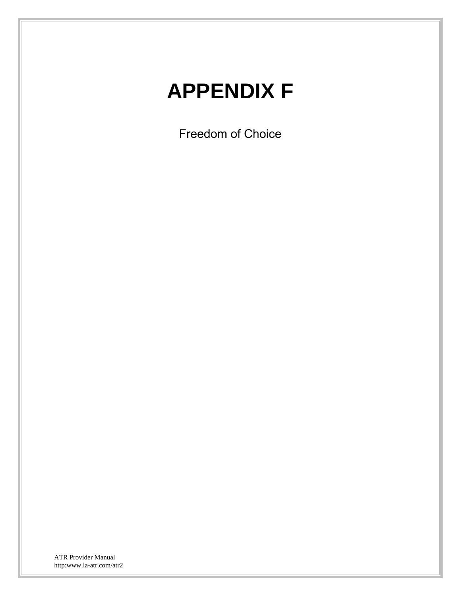# **APPENDIX F**

Freedom of Choice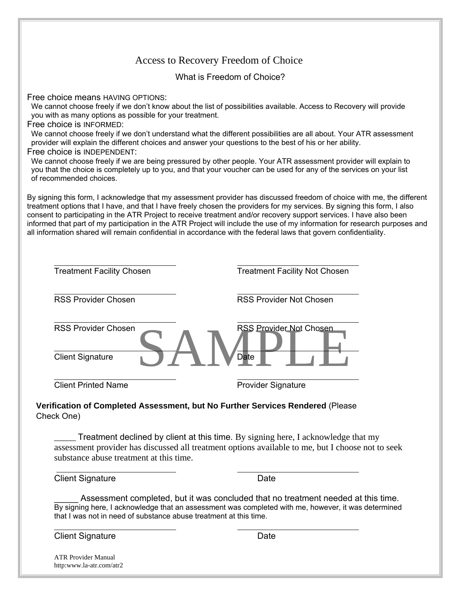|                                                                                                                                                                                     | Access to Recovery Freedom of Choice                                                                                                                                                                                                                                                                                                                                                                                                                                                                                                                                                                                        |
|-------------------------------------------------------------------------------------------------------------------------------------------------------------------------------------|-----------------------------------------------------------------------------------------------------------------------------------------------------------------------------------------------------------------------------------------------------------------------------------------------------------------------------------------------------------------------------------------------------------------------------------------------------------------------------------------------------------------------------------------------------------------------------------------------------------------------------|
|                                                                                                                                                                                     | What is Freedom of Choice?                                                                                                                                                                                                                                                                                                                                                                                                                                                                                                                                                                                                  |
| Free choice means HAVING OPTIONS:<br>you with as many options as possible for your treatment.<br>Free choice is INFORMED:<br>Free choice is INDEPENDENT:<br>of recommended choices. | We cannot choose freely if we don't know about the list of possibilities available. Access to Recovery will provide<br>We cannot choose freely if we don't understand what the different possibilities are all about. Your ATR assessment<br>provider will explain the different choices and answer your questions to the best of his or her ability.<br>We cannot choose freely if we are being pressured by other people. Your ATR assessment provider will explain to<br>you that the choice is completely up to you, and that your voucher can be used for any of the services on your list                             |
|                                                                                                                                                                                     | By signing this form, I acknowledge that my assessment provider has discussed freedom of choice with me, the different<br>treatment options that I have, and that I have freely chosen the providers for my services. By signing this form, I also<br>consent to participating in the ATR Project to receive treatment and/or recovery support services. I have also been<br>informed that part of my participation in the ATR Project will include the use of my information for research purposes and<br>all information shared will remain confidential in accordance with the federal laws that govern confidentiality. |
| <b>Treatment Facility Chosen</b>                                                                                                                                                    | <b>Treatment Facility Not Chosen</b>                                                                                                                                                                                                                                                                                                                                                                                                                                                                                                                                                                                        |
| <b>RSS Provider Chosen</b>                                                                                                                                                          | <b>RSS Provider Not Chosen</b>                                                                                                                                                                                                                                                                                                                                                                                                                                                                                                                                                                                              |
| <b>RSS Provider Chosen</b><br><b>Client Signature</b>                                                                                                                               | RSS Provider Not Chosen<br>Date                                                                                                                                                                                                                                                                                                                                                                                                                                                                                                                                                                                             |
| <b>Client Printed Name</b>                                                                                                                                                          | <b>Provider Signature</b>                                                                                                                                                                                                                                                                                                                                                                                                                                                                                                                                                                                                   |
| Check One)                                                                                                                                                                          | Verification of Completed Assessment, but No Further Services Rendered (Please                                                                                                                                                                                                                                                                                                                                                                                                                                                                                                                                              |
| substance abuse treatment at this time.                                                                                                                                             | Treatment declined by client at this time. By signing here, I acknowledge that my<br>assessment provider has discussed all treatment options available to me, but I choose not to seek                                                                                                                                                                                                                                                                                                                                                                                                                                      |
| <b>Client Signature</b>                                                                                                                                                             | Date                                                                                                                                                                                                                                                                                                                                                                                                                                                                                                                                                                                                                        |

\_\_\_\_\_ Assessment completed, but it was concluded that no treatment needed at this time. By signing here, I acknowledge that an assessment was completed with me, however, it was determined that I was not in need of substance abuse treatment at this time.

**Client Signature** Date

 $\overline{a}$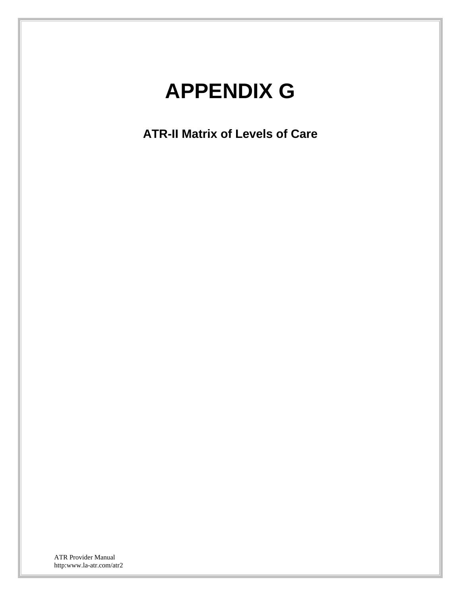## **APPENDIX G**

**ATR-II Matrix of Levels of Care**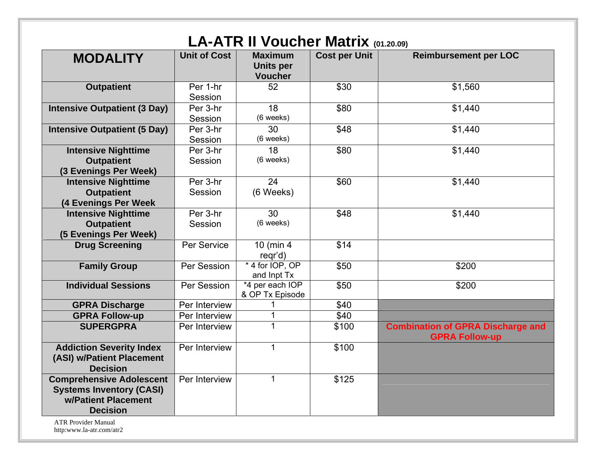| <b>MODALITY</b>                                                                                              | <b>Unit of Cost</b> | <b>Maximum</b><br><b>Units per</b><br><b>Voucher</b> | <b>Cost per Unit</b> | <b>Reimbursement per LOC</b>                                      |
|--------------------------------------------------------------------------------------------------------------|---------------------|------------------------------------------------------|----------------------|-------------------------------------------------------------------|
| <b>Outpatient</b>                                                                                            | Per 1-hr<br>Session | 52                                                   | \$30                 | \$1,560                                                           |
| <b>Intensive Outpatient (3 Day)</b>                                                                          | Per 3-hr<br>Session | 18<br>(6 weeks)                                      | \$80                 | \$1,440                                                           |
| <b>Intensive Outpatient (5 Day)</b>                                                                          | Per 3-hr<br>Session | 30<br>(6 weeks)                                      | \$48                 | \$1,440                                                           |
| <b>Intensive Nighttime</b><br><b>Outpatient</b>                                                              | Per 3-hr<br>Session | 18<br>(6 weeks)                                      | \$80                 | \$1,440                                                           |
| (3 Evenings Per Week)<br><b>Intensive Nighttime</b><br><b>Outpatient</b>                                     | Per 3-hr<br>Session | 24<br>(6 Weeks)                                      | \$60                 | \$1,440                                                           |
| (4 Evenings Per Week<br><b>Intensive Nighttime</b><br><b>Outpatient</b>                                      | Per 3-hr<br>Session | 30<br>(6 weeks)                                      | \$48                 | \$1,440                                                           |
| (5 Evenings Per Week)<br><b>Drug Screening</b>                                                               | Per Service         | 10 (min 4                                            | \$14                 |                                                                   |
| <b>Family Group</b>                                                                                          | Per Session         | regr'd)<br>*4 for IOP, OP                            | \$50                 | \$200                                                             |
| <b>Individual Sessions</b>                                                                                   | Per Session         | and Inpt Tx<br>*4 per each IOP<br>& OP Tx Episode    | \$50                 | \$200                                                             |
| <b>GPRA Discharge</b>                                                                                        | Per Interview       |                                                      | \$40                 |                                                                   |
| <b>GPRA Follow-up</b>                                                                                        | Per Interview       |                                                      | \$40                 |                                                                   |
| <b>SUPERGPRA</b>                                                                                             | Per Interview       | $\mathbf 1$                                          | \$100                | <b>Combination of GPRA Discharge and</b><br><b>GPRA Follow-up</b> |
| <b>Addiction Severity Index</b><br>(ASI) w/Patient Placement<br><b>Decision</b>                              | Per Interview       | $\mathbf 1$                                          | \$100                |                                                                   |
| <b>Comprehensive Adolescent</b><br><b>Systems Inventory (CASI)</b><br>w/Patient Placement<br><b>Decision</b> | Per Interview       |                                                      | \$125                |                                                                   |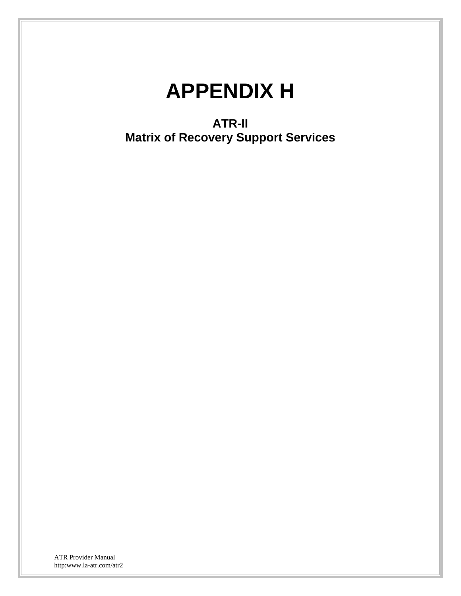## **APPENDIX H**

**ATR-II Matrix of Recovery Support Services**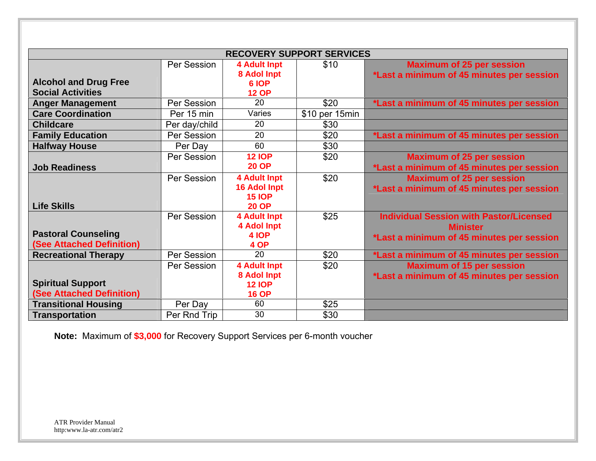|                                                                                                               | <b>RECOVERY SUPPORT SERVICES</b> |                                                                             |                |                                                                                                                |  |  |  |
|---------------------------------------------------------------------------------------------------------------|----------------------------------|-----------------------------------------------------------------------------|----------------|----------------------------------------------------------------------------------------------------------------|--|--|--|
|                                                                                                               | Per Session                      | <b>4 Adult Inpt</b><br>8 Adol Inpt                                          | \$10           | <b>Maximum of 25 per session</b><br>*Last a minimum of 45 minutes per session                                  |  |  |  |
| <b>Alcohol and Drug Free</b><br><b>Social Activities</b>                                                      |                                  | 6 IOP<br><b>12 OP</b>                                                       |                |                                                                                                                |  |  |  |
| <b>Anger Management</b>                                                                                       | Per Session                      | 20                                                                          | \$20           | *Last a minimum of 45 minutes per session                                                                      |  |  |  |
| <b>Care Coordination</b>                                                                                      | Per 15 min                       | Varies                                                                      | \$10 per 15min |                                                                                                                |  |  |  |
| <b>Childcare</b>                                                                                              | Per day/child                    | 20                                                                          | \$30           |                                                                                                                |  |  |  |
| <b>Family Education</b>                                                                                       | Per Session                      | 20                                                                          | \$20           | *Last a minimum of 45 minutes per session                                                                      |  |  |  |
| <b>Halfway House</b>                                                                                          | Per Day                          | 60                                                                          | \$30           |                                                                                                                |  |  |  |
| <b>Job Readiness</b>                                                                                          | Per Session                      | <b>12 IOP</b><br><b>20 OP</b>                                               | \$20           | <b>Maximum of 25 per session</b><br>*Last a minimum of 45 minutes per session                                  |  |  |  |
| <b>Life Skills</b>                                                                                            | Per Session                      | <b>4 Adult Inpt</b><br><b>16 Adol Inpt</b><br><b>15 IOP</b><br><b>20 OP</b> | \$20           | <b>Maximum of 25 per session</b><br>*Last a minimum of 45 minutes per session                                  |  |  |  |
| <b>Pastoral Counseling</b><br>(See Attached Definition)                                                       | Per Session                      | <b>4 Adult Inpt</b><br><b>4 Adol Inpt</b><br>4 IOP<br>4 OP                  | \$25           | <b>Individual Session with Pastor/Licensed</b><br><b>Minister</b><br>*Last a minimum of 45 minutes per session |  |  |  |
| <b>Recreational Therapy</b>                                                                                   | Per Session                      | 20                                                                          | \$20           | *Last a minimum of 45 minutes per session                                                                      |  |  |  |
|                                                                                                               | Per Session                      | <b>4 Adult Inpt</b><br>8 Adol Inpt                                          | \$20           | <b>Maximum of 15 per session</b><br>*Last a minimum of 45 minutes per session                                  |  |  |  |
|                                                                                                               |                                  |                                                                             |                |                                                                                                                |  |  |  |
|                                                                                                               |                                  |                                                                             |                |                                                                                                                |  |  |  |
|                                                                                                               |                                  |                                                                             |                |                                                                                                                |  |  |  |
| <b>Spiritual Support</b><br>(See Attached Definition)<br><b>Transitional Housing</b><br><b>Transportation</b> | Per Day<br>Per Rnd Trip          | <b>12 IOP</b><br><b>16 OP</b><br>60<br>30                                   | \$25<br>\$30   |                                                                                                                |  |  |  |

**Note:** Maximum of **\$3,000** for Recovery Support Services per 6-month voucher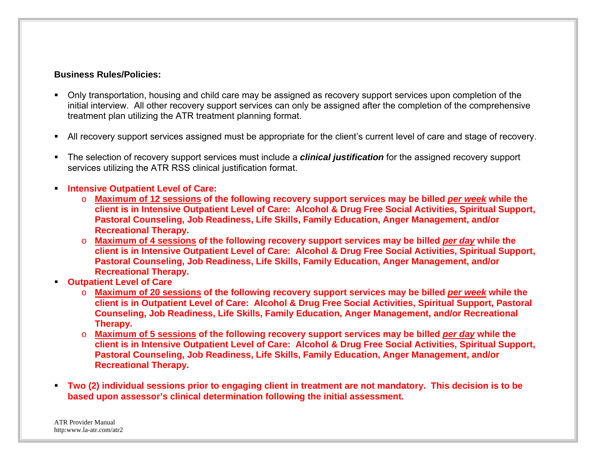#### **Business Rules/Policies:**

- Only transportation, housing and child care may be assigned as recovery support services upon completion of the initial interview. All other recovery support services can only be assigned after the completion of the comprehensive treatment plan utilizing the ATR treatment planning format.
- All recovery support services assigned must be appropriate for the client's current level of care and stage of recovery.
- The selection of recovery support services must include a *clinical justification* for the assigned recovery support services utilizing the ATR RSS clinical justification format.
- **Intensive Outpatient Level of Care:** 
	- o **Maximum of 12 sessions of the following recovery support services may be billed** *per week* **while the client is in Intensive Outpatient Level of Care: Alcohol & Drug Free Social Activities, Spiritual Support, Pastoral Counseling, Job Readiness, Life Skills, Family Education, Anger Management, and/or Recreational Therapy.**
	- o **Maximum of 4 sessions of the following recovery support services may be billed** *per day* **while the client is in Intensive Outpatient Level of Care: Alcohol & Drug Free Social Activities, Spiritual Support, Pastoral Counseling, Job Readiness, Life Skills, Family Education, Anger Management, and/or Recreational Therapy.**
- **Outpatient Level of Care** 
	- o **Maximum of 20 sessions of the following recovery support services may be billed** *per week* **while the client is in Outpatient Level of Care: Alcohol & Drug Free Social Activities, Spiritual Support, Pastoral Counseling, Job Readiness, Life Skills, Family Education, Anger Management, and/or Recreational Therapy.**
	- o **Maximum of 5 sessions of the following recovery support services may be billed** *per day* **while the client is in Intensive Outpatient Level of Care: Alcohol & Drug Free Social Activities, Spiritual Support, Pastoral Counseling, Job Readiness, Life Skills, Family Education, Anger Management, and/or Recreational Therapy.**
- **Two (2) individual sessions prior to engaging client in treatment are not mandatory. This decision is to be based upon assessor's clinical determination following the initial assessment.**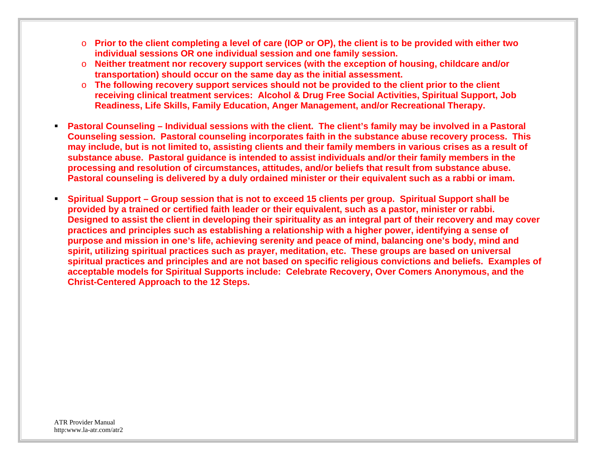- o **Prior to the client completing a level of care (IOP or OP), the client is to be provided with either two individual sessions OR one individual session and one family session.**
- o **Neither treatment nor recovery support services (with the exception of housing, childcare and/or transportation) should occur on the same day as the initial assessment.**
- o **The following recovery support services should not be provided to the client prior to the client receiving clinical treatment services: Alcohol & Drug Free Social Activities, Spiritual Support, Job Readiness, Life Skills, Family Education, Anger Management, and/or Recreational Therapy.**
- **Pastoral Counseling Individual sessions with the client. The client's family may be involved in a Pastoral Counseling session. Pastoral counseling incorporates faith in the substance abuse recovery process. This may include, but is not limited to, assisting clients and their family members in various crises as a result of substance abuse. Pastoral guidance is intended to assist individuals and/or their family members in the processing and resolution of circumstances, attitudes, and/or beliefs that result from substance abuse. Pastoral counseling is delivered by a duly ordained minister or their equivalent such as a rabbi or imam.**
- **Spiritual Support Group session that is not to exceed 15 clients per group. Spiritual Support shall be provided by a trained or certified faith leader or their equivalent, such as a pastor, minister or rabbi. Designed to assist the client in developing their spirituality as an integral part of their recovery and may cover practices and principles such as establishing a relationship with a higher power, identifying a sense of purpose and mission in one's life, achieving serenity and peace of mind, balancing one's body, mind and spirit, utilizing spiritual practices such as prayer, meditation, etc. These groups are based on universal spiritual practices and principles and are not based on specific religious convictions and beliefs. Examples of acceptable models for Spiritual Supports include: Celebrate Recovery, Over Comers Anonymous, and the Christ-Centered Approach to the 12 Steps.**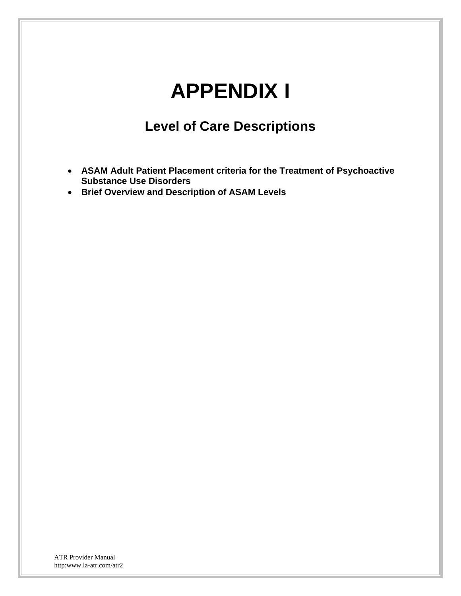## **APPENDIX I**

### **Level of Care Descriptions**

- **ASAM Adult Patient Placement criteria for the Treatment of Psychoactive Substance Use Disorders**
- **Brief Overview and Description of ASAM Levels**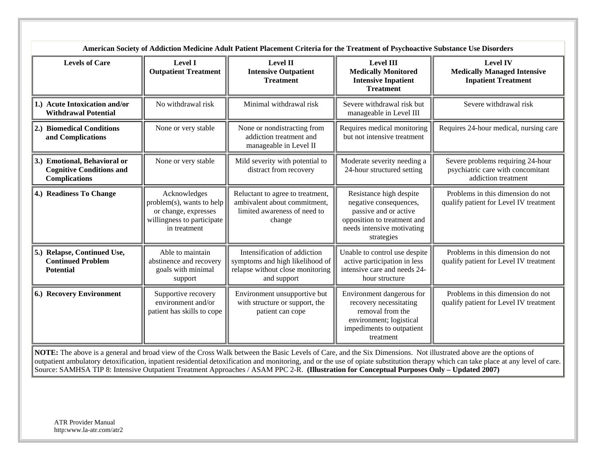| <b>Levels of Care</b>                                                                   | <b>Level I</b><br><b>Outpatient Treatment</b>                                                                   | <b>Level II</b><br><b>Intensive Outpatient</b><br><b>Treatment</b>                                                 | <b>Level III</b><br><b>Medically Monitored</b><br><b>Intensive Inpatient</b><br><b>Treatment</b>                                                      | <b>Level IV</b><br><b>Medically Managed Intensive</b><br><b>Inpatient Treatment</b>           |
|-----------------------------------------------------------------------------------------|-----------------------------------------------------------------------------------------------------------------|--------------------------------------------------------------------------------------------------------------------|-------------------------------------------------------------------------------------------------------------------------------------------------------|-----------------------------------------------------------------------------------------------|
| 1.) Acute Intoxication and/or<br><b>Withdrawal Potential</b>                            | No withdrawal risk                                                                                              | Minimal withdrawal risk                                                                                            | Severe withdrawal risk but<br>manageable in Level III                                                                                                 | Severe withdrawal risk                                                                        |
| 2.) Biomedical Conditions<br>and Complications                                          | None or very stable                                                                                             | None or nondistracting from<br>addiction treatment and<br>manageable in Level II                                   | Requires medical monitoring<br>but not intensive treatment                                                                                            | Requires 24-hour medical, nursing care                                                        |
| 3.) Emotional, Behavioral or<br><b>Cognitive Conditions and</b><br><b>Complications</b> | None or very stable                                                                                             | Mild severity with potential to<br>distract from recovery                                                          | Moderate severity needing a<br>24-hour structured setting                                                                                             | Severe problems requiring 24-hour<br>psychiatric care with concomitant<br>addiction treatment |
| 4.) Readiness To Change                                                                 | Acknowledges<br>problem(s), wants to help<br>or change, expresses<br>willingness to participate<br>in treatment | Reluctant to agree to treatment,<br>ambivalent about commitment,<br>limited awareness of need to<br>change         | Resistance high despite<br>negative consequences,<br>passive and or active<br>opposition to treatment and<br>needs intensive motivating<br>strategies | Problems in this dimension do not<br>qualify patient for Level IV treatment                   |
| 5.) Relapse, Continued Use,<br><b>Continued Problem</b><br><b>Potential</b>             | Able to maintain<br>abstinence and recovery<br>goals with minimal<br>support                                    | Intensification of addiction<br>symptoms and high likelihood of<br>relapse without close monitoring<br>and support | Unable to control use despite<br>active participation in less<br>intensive care and needs 24-<br>hour structure                                       | Problems in this dimension do not<br>qualify patient for Level IV treatment                   |
| 6.) Recovery Environment                                                                | Supportive recovery<br>environment and/or<br>patient has skills to cope                                         | Environment unsupportive but<br>with structure or support, the<br>patient can cope                                 | Environment dangerous for<br>recovery necessitating<br>removal from the<br>environment; logistical<br>impediments to outpatient<br>treatment          | Problems in this dimension do not<br>qualify patient for Level IV treatment                   |

**NOTE:** The above is a general and broad view of the Cross Walk between the Basic Levels of Care, and the Six Dimensions. Not illustrated above are the options of outpatient ambulatory detoxification, inpatient residential detoxification and monitoring, and or the use of opiate substitution therapy which can take place at any level of care. Source: SAMHSA TIP 8: Intensive Outpatient Treatment Approaches / ASAM PPC 2-R. **(Illustration for Conceptual Purposes Only – Updated 2007)**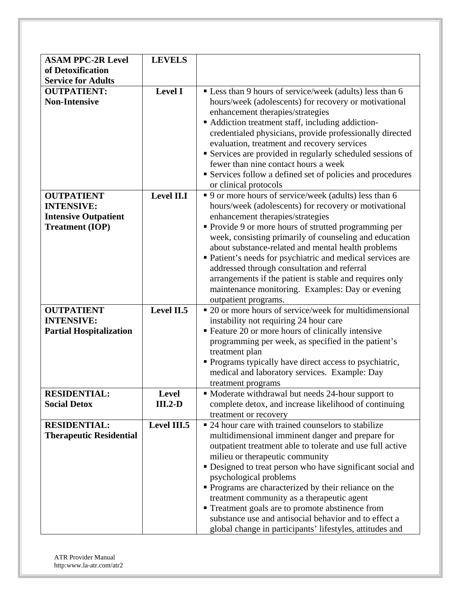|                                | <b>LEVELS</b>  |                                                            |
|--------------------------------|----------------|------------------------------------------------------------|
| <b>ASAM PPC-2R Level</b>       |                |                                                            |
| of Detoxification              |                |                                                            |
| <b>Service for Adults</b>      |                |                                                            |
| <b>OUTPATIENT:</b>             | <b>Level I</b> | • Less than 9 hours of service/week (adults) less than 6   |
| <b>Non-Intensive</b>           |                | hours/week (adolescents) for recovery or motivational      |
|                                |                | enhancement therapies/strategies                           |
|                                |                | • Addiction treatment staff, including addiction-          |
|                                |                | credentialed physicians, provide professionally directed   |
|                                |                | evaluation, treatment and recovery services                |
|                                |                | Services are provided in regularly scheduled sessions of   |
|                                |                | fewer than nine contact hours a week                       |
|                                |                |                                                            |
|                                |                | Services follow a defined set of policies and procedures   |
|                                |                | or clinical protocols                                      |
| <b>OUTPATIENT</b>              | Level II.I     | • 9 or more hours of service/week (adults) less than 6     |
| <b>INTENSIVE:</b>              |                | hours/week (adolescents) for recovery or motivational      |
| <b>Intensive Outpatient</b>    |                | enhancement therapies/strategies                           |
| <b>Treatment (IOP)</b>         |                | Provide 9 or more hours of strutted programming per        |
|                                |                | week, consisting primarily of counseling and education     |
|                                |                | about substance-related and mental health problems         |
|                                |                | • Patient's needs for psychiatric and medical services are |
|                                |                | addressed through consultation and referral                |
|                                |                | arrangements if the patient is stable and requires only    |
|                                |                | maintenance monitoring. Examples: Day or evening           |
|                                |                | outpatient programs.                                       |
| <b>OUTPATIENT</b>              | Level II.5     | • 20 or more hours of service/week for multidimensional    |
| <b>INTENSIVE:</b>              |                | instability not requiring 24 hour care                     |
| <b>Partial Hospitalization</b> |                | " Feature 20 or more hours of clinically intensive         |
|                                |                | programming per week, as specified in the patient's        |
|                                |                | treatment plan                                             |
|                                |                | • Programs typically have direct access to psychiatric,    |
|                                |                | medical and laboratory services. Example: Day              |
|                                |                | treatment programs                                         |
| <b>RESIDENTIAL:</b>            | <b>Level</b>   |                                                            |
|                                |                | • Moderate withdrawal but needs 24-hour support to         |
| <b>Social Detox</b>            | $III.2-D$      | complete detox, and increase likelihood of continuing      |
|                                |                | treatment or recovery                                      |
| <b>RESIDENTIAL:</b>            | Level III.5    | • 24 hour care with trained counselors to stabilize        |
| <b>Therapeutic Residential</b> |                | multidimensional imminent danger and prepare for           |
|                                |                | outpatient treatment able to tolerate and use full active  |
|                                |                | milieu or therapeutic community                            |
|                                |                | • Designed to treat person who have significant social and |
|                                |                | psychological problems                                     |
|                                |                | • Programs are characterized by their reliance on the      |
|                                |                | treatment community as a therapeutic agent                 |
|                                |                | • Treatment goals are to promote abstinence from           |
|                                |                | substance use and antisocial behavior and to effect a      |
|                                |                | global change in participants' lifestyles, attitudes and   |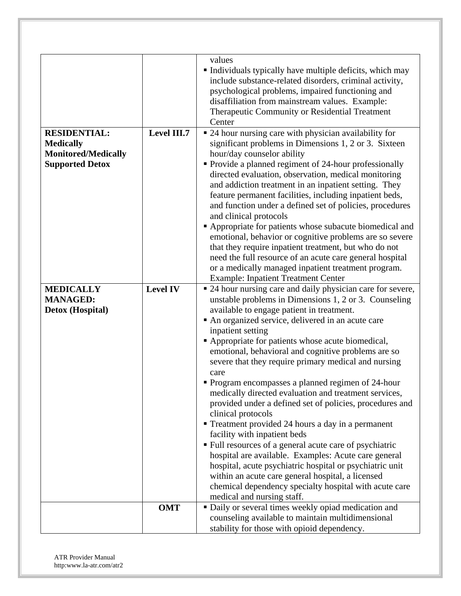| <b>RESIDENTIAL:</b>        | Level III.7     | values<br>Individuals typically have multiple deficits, which may<br>include substance-related disorders, criminal activity,<br>psychological problems, impaired functioning and<br>disaffiliation from mainstream values. Example:<br>Therapeutic Community or Residential Treatment<br>Center<br>• 24 hour nursing care with physician availability for |
|----------------------------|-----------------|-----------------------------------------------------------------------------------------------------------------------------------------------------------------------------------------------------------------------------------------------------------------------------------------------------------------------------------------------------------|
| <b>Medically</b>           |                 | significant problems in Dimensions 1, 2 or 3. Sixteen                                                                                                                                                                                                                                                                                                     |
| <b>Monitored/Medically</b> |                 | hour/day counselor ability                                                                                                                                                                                                                                                                                                                                |
| <b>Supported Detox</b>     |                 | • Provide a planned regiment of 24-hour professionally                                                                                                                                                                                                                                                                                                    |
|                            |                 | directed evaluation, observation, medical monitoring                                                                                                                                                                                                                                                                                                      |
|                            |                 | and addiction treatment in an inpatient setting. They                                                                                                                                                                                                                                                                                                     |
|                            |                 | feature permanent facilities, including inpatient beds,                                                                                                                                                                                                                                                                                                   |
|                            |                 | and function under a defined set of policies, procedures                                                                                                                                                                                                                                                                                                  |
|                            |                 | and clinical protocols                                                                                                                                                                                                                                                                                                                                    |
|                            |                 | Appropriate for patients whose subacute biomedical and                                                                                                                                                                                                                                                                                                    |
|                            |                 | emotional, behavior or cognitive problems are so severe<br>that they require inpatient treatment, but who do not                                                                                                                                                                                                                                          |
|                            |                 | need the full resource of an acute care general hospital                                                                                                                                                                                                                                                                                                  |
|                            |                 | or a medically managed inpatient treatment program.                                                                                                                                                                                                                                                                                                       |
|                            |                 | <b>Example: Inpatient Treatment Center</b>                                                                                                                                                                                                                                                                                                                |
| <b>MEDICALLY</b>           | <b>Level IV</b> | ■ 24 hour nursing care and daily physician care for severe,                                                                                                                                                                                                                                                                                               |
| <b>MANAGED:</b>            |                 | unstable problems in Dimensions 1, 2 or 3. Counseling                                                                                                                                                                                                                                                                                                     |
| Detox (Hospital)           |                 | available to engage patient in treatment.                                                                                                                                                                                                                                                                                                                 |
|                            |                 | An organized service, delivered in an acute care<br>inpatient setting                                                                                                                                                                                                                                                                                     |
|                            |                 | • Appropriate for patients whose acute biomedical,                                                                                                                                                                                                                                                                                                        |
|                            |                 | emotional, behavioral and cognitive problems are so                                                                                                                                                                                                                                                                                                       |
|                            |                 | severe that they require primary medical and nursing                                                                                                                                                                                                                                                                                                      |
|                            |                 | care                                                                                                                                                                                                                                                                                                                                                      |
|                            |                 | • Program encompasses a planned regimen of 24-hour                                                                                                                                                                                                                                                                                                        |
|                            |                 | medically directed evaluation and treatment services,                                                                                                                                                                                                                                                                                                     |
|                            |                 | provided under a defined set of policies, procedures and                                                                                                                                                                                                                                                                                                  |
|                            |                 | clinical protocols                                                                                                                                                                                                                                                                                                                                        |
|                            |                 | Treatment provided 24 hours a day in a permanent<br>facility with inpatient beds                                                                                                                                                                                                                                                                          |
|                            |                 | • Full resources of a general acute care of psychiatric                                                                                                                                                                                                                                                                                                   |
|                            |                 | hospital are available. Examples: Acute care general                                                                                                                                                                                                                                                                                                      |
|                            |                 | hospital, acute psychiatric hospital or psychiatric unit                                                                                                                                                                                                                                                                                                  |
|                            |                 | within an acute care general hospital, a licensed                                                                                                                                                                                                                                                                                                         |
|                            |                 | chemical dependency specialty hospital with acute care                                                                                                                                                                                                                                                                                                    |
|                            |                 | medical and nursing staff.                                                                                                                                                                                                                                                                                                                                |
|                            | <b>OMT</b>      | · Daily or several times weekly opiad medication and                                                                                                                                                                                                                                                                                                      |
|                            |                 | counseling available to maintain multidimensional                                                                                                                                                                                                                                                                                                         |
|                            |                 | stability for those with opioid dependency.                                                                                                                                                                                                                                                                                                               |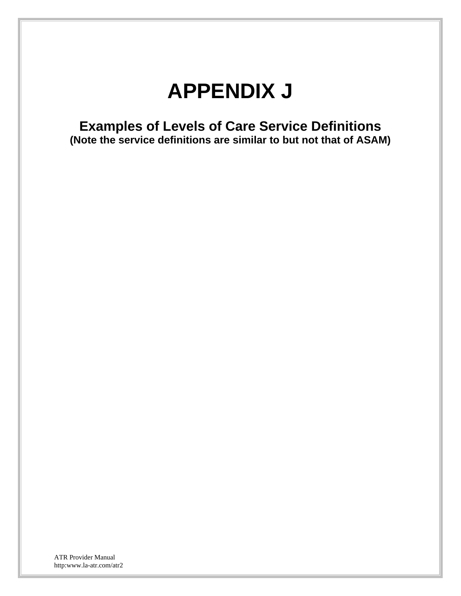## **APPENDIX J**

**Examples of Levels of Care Service Definitions (Note the service definitions are similar to but not that of ASAM)**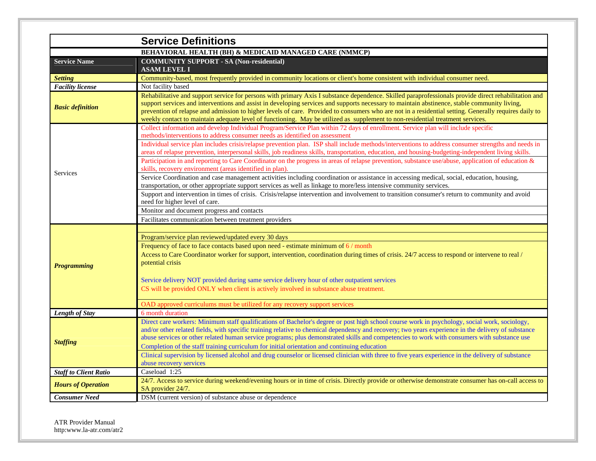|                              | <b>Service Definitions</b>                                                                                                                                                                                                                                                                                                                                                                                                                                                                                                                                                                      |
|------------------------------|-------------------------------------------------------------------------------------------------------------------------------------------------------------------------------------------------------------------------------------------------------------------------------------------------------------------------------------------------------------------------------------------------------------------------------------------------------------------------------------------------------------------------------------------------------------------------------------------------|
|                              | <b>BEHAVIORAL HEALTH (BH) &amp; MEDICAID MANAGED CARE (NMMCP)</b>                                                                                                                                                                                                                                                                                                                                                                                                                                                                                                                               |
| <b>Service Name</b>          | <b>COMMUNITY SUPPORT - SA (Non-residential)</b>                                                                                                                                                                                                                                                                                                                                                                                                                                                                                                                                                 |
|                              | <b>ASAM LEVEL I</b>                                                                                                                                                                                                                                                                                                                                                                                                                                                                                                                                                                             |
| <b>Setting</b>               | Community-based, most frequently provided in community locations or client's home consistent with individual consumer need.                                                                                                                                                                                                                                                                                                                                                                                                                                                                     |
| <b>Facility license</b>      | Not facility based                                                                                                                                                                                                                                                                                                                                                                                                                                                                                                                                                                              |
| <b>Basic definition</b>      | Rehabilitative and support service for persons with primary Axis I substance dependence. Skilled paraprofessionals provide direct rehabilitation and<br>support services and interventions and assist in developing services and supports necessary to maintain abstinence, stable community living,<br>prevention of relapse and admission to higher levels of care. Provided to consumers who are not in a residential setting. Generally requires daily to<br>weekly contact to maintain adequate level of functioning. May be utilized as supplement to non-residential treatment services. |
|                              | Collect information and develop Individual Program/Service Plan within 72 days of enrollment. Service plan will include specific<br>methods/interventions to address consumer needs as identified on assessment                                                                                                                                                                                                                                                                                                                                                                                 |
|                              | Individual service plan includes crisis/relapse prevention plan. ISP shall include methods/interventions to address consumer strengths and needs in<br>areas of relapse prevention, interpersonal skills, job readiness skills, transportation, education, and housing-budgeting-independent living skills.                                                                                                                                                                                                                                                                                     |
| <b>Services</b>              | Participation in and reporting to Care Coordinator on the progress in areas of relapse prevention, substance use/abuse, application of education &<br>skills, recovery environment (areas identified in plan).                                                                                                                                                                                                                                                                                                                                                                                  |
|                              | Service Coordination and case management activities including coordination or assistance in accessing medical, social, education, housing,<br>transportation, or other appropriate support services as well as linkage to more/less intensive community services.                                                                                                                                                                                                                                                                                                                               |
|                              | Support and intervention in times of crisis. Crisis/relapse intervention and involvement to transition consumer's return to community and avoid<br>need for higher level of care.                                                                                                                                                                                                                                                                                                                                                                                                               |
|                              | Monitor and document progress and contacts                                                                                                                                                                                                                                                                                                                                                                                                                                                                                                                                                      |
|                              | Facilitates communication between treatment providers                                                                                                                                                                                                                                                                                                                                                                                                                                                                                                                                           |
| <b>Programming</b>           | Program/service plan reviewed/updated every 30 days<br>Frequency of face to face contacts based upon need - estimate minimum of 6 / month<br>Access to Care Coordinator worker for support, intervention, coordination during times of crisis. 24/7 access to respond or intervene to real /<br>potential crisis                                                                                                                                                                                                                                                                                |
|                              | Service delivery NOT provided during same service delivery hour of other outpatient services                                                                                                                                                                                                                                                                                                                                                                                                                                                                                                    |
|                              | CS will be provided ONLY when client is actively involved in substance abuse treatment.                                                                                                                                                                                                                                                                                                                                                                                                                                                                                                         |
|                              |                                                                                                                                                                                                                                                                                                                                                                                                                                                                                                                                                                                                 |
|                              | OAD approved curriculums must be utilized for any recovery support services                                                                                                                                                                                                                                                                                                                                                                                                                                                                                                                     |
| Length of Stay               | 6 month duration<br>Direct care workers: Minimum staff qualifications of Bachelor's degree or post high school course work in psychology, social work, sociology,                                                                                                                                                                                                                                                                                                                                                                                                                               |
| <b>Staffing</b>              | and/or other related fields, with specific training relative to chemical dependency and recovery; two years experience in the delivery of substance<br>abuse services or other related human service programs; plus demonstrated skills and competencies to work with consumers with substance use<br>Completion of the staff training curriculum for initial orientation and continuing education<br>Clinical supervision by licensed alcohol and drug counselor or licensed clinician with three to five years experience in the delivery of substance                                        |
|                              | abuse recovery services                                                                                                                                                                                                                                                                                                                                                                                                                                                                                                                                                                         |
| <b>Staff to Client Ratio</b> | Caseload 1:25                                                                                                                                                                                                                                                                                                                                                                                                                                                                                                                                                                                   |
| <b>Hours of Operation</b>    | 24/7. Access to service during weekend/evening hours or in time of crisis. Directly provide or otherwise demonstrate consumer has on-call access to<br>SA provider 24/7.                                                                                                                                                                                                                                                                                                                                                                                                                        |
| <b>Consumer Need</b>         | DSM (current version) of substance abuse or dependence                                                                                                                                                                                                                                                                                                                                                                                                                                                                                                                                          |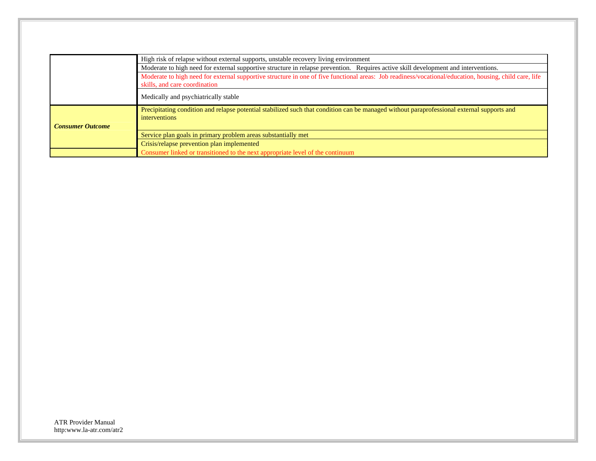|                         | High risk of relapse without external supports, unstable recovery living environment                                                                                                    |
|-------------------------|-----------------------------------------------------------------------------------------------------------------------------------------------------------------------------------------|
|                         | Moderate to high need for external supportive structure in relapse prevention. Requires active skill development and interventions.                                                     |
|                         | Moderate to high need for external supportive structure in one of five functional areas: Job readiness/vocational/education, housing, child care, life<br>skills, and care coordination |
|                         | Medically and psychiatrically stable                                                                                                                                                    |
|                         | Precipitating condition and relapse potential stabilized such that condition can be managed without paraprofessional external supports and<br><i>interventions</i>                      |
| <b>Consumer Outcome</b> |                                                                                                                                                                                         |
|                         | Service plan goals in primary problem areas substantially met                                                                                                                           |
|                         | Crisis/relapse prevention plan implemented                                                                                                                                              |
|                         | Consumer linked or transitioned to the next appropriate level of the continuum                                                                                                          |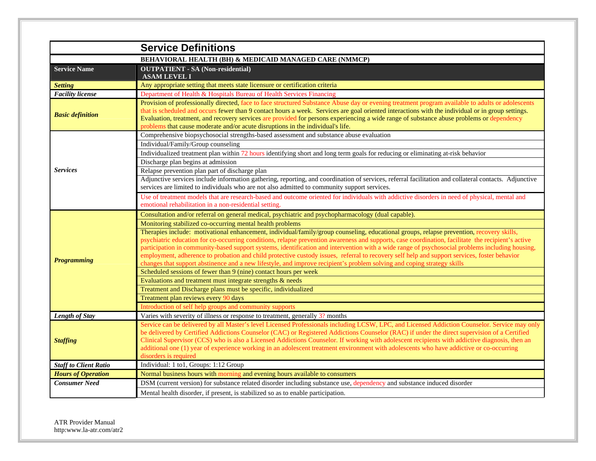|                              | <b>Service Definitions</b>                                                                                                                                                                                                                                                                                                                                                                                                                                                                                                                                                                                                                                                                                                    |
|------------------------------|-------------------------------------------------------------------------------------------------------------------------------------------------------------------------------------------------------------------------------------------------------------------------------------------------------------------------------------------------------------------------------------------------------------------------------------------------------------------------------------------------------------------------------------------------------------------------------------------------------------------------------------------------------------------------------------------------------------------------------|
|                              | <b>BEHAVIORAL HEALTH (BH) &amp; MEDICAID MANAGED CARE (NMMCP)</b>                                                                                                                                                                                                                                                                                                                                                                                                                                                                                                                                                                                                                                                             |
| <b>Service Name</b>          | <b>OUTPATIENT - SA (Non-residential)</b><br><b>ASAM LEVEL I</b>                                                                                                                                                                                                                                                                                                                                                                                                                                                                                                                                                                                                                                                               |
| <b>Setting</b>               | Any appropriate setting that meets state licensure or certification criteria                                                                                                                                                                                                                                                                                                                                                                                                                                                                                                                                                                                                                                                  |
| <b>Facility license</b>      | Department of Health & Hospitals Bureau of Health Services Financing                                                                                                                                                                                                                                                                                                                                                                                                                                                                                                                                                                                                                                                          |
| <b>Basic definition</b>      | Provision of professionally directed, face to face structured Substance Abuse day or evening treatment program available to adults or adolescents<br>that is scheduled and occurs fewer than 9 contact hours a week. Services are goal oriented interactions with the individual or in group settings.<br>Evaluation, treatment, and recovery services are provided for persons experiencing a wide range of substance abuse problems or dependency<br>problems that cause moderate and/or acute disruptions in the individual's life.                                                                                                                                                                                        |
|                              | Comprehensive biopsychosocial strengths-based assessment and substance abuse evaluation                                                                                                                                                                                                                                                                                                                                                                                                                                                                                                                                                                                                                                       |
|                              | Individual/Family/Group counseling                                                                                                                                                                                                                                                                                                                                                                                                                                                                                                                                                                                                                                                                                            |
|                              | Individualized treatment plan within 72 hours identifying short and long term goals for reducing or eliminating at-risk behavior                                                                                                                                                                                                                                                                                                                                                                                                                                                                                                                                                                                              |
|                              | Discharge plan begins at admission                                                                                                                                                                                                                                                                                                                                                                                                                                                                                                                                                                                                                                                                                            |
| <b>Services</b>              | Relapse prevention plan part of discharge plan                                                                                                                                                                                                                                                                                                                                                                                                                                                                                                                                                                                                                                                                                |
|                              | Adjunctive services include information gathering, reporting, and coordination of services, referral facilitation and collateral contacts. Adjunctive<br>services are limited to individuals who are not also admitted to community support services.                                                                                                                                                                                                                                                                                                                                                                                                                                                                         |
|                              | Use of treatment models that are research-based and outcome oriented for individuals with addictive disorders in need of physical, mental and<br>emotional rehabilitation in a non-residential setting.                                                                                                                                                                                                                                                                                                                                                                                                                                                                                                                       |
|                              | Consultation and/or referral on general medical, psychiatric and psychopharmacology (dual capable).                                                                                                                                                                                                                                                                                                                                                                                                                                                                                                                                                                                                                           |
|                              | Monitoring stabilized co-occurring mental health problems                                                                                                                                                                                                                                                                                                                                                                                                                                                                                                                                                                                                                                                                     |
| <b>Programming</b>           | Therapies include: motivational enhancement, individual/family/group counseling, educational groups, relapse prevention, recovery skills,<br>psychiatric education for co-occurring conditions, relapse prevention awareness and supports, case coordination, facilitate the recipient's active<br>participation in community-based support systems, identification and intervention with a wide range of psychosocial problems including housing,<br>employment, adherence to probation and child protective custody issues, referral to recovery self help and support services, foster behavior<br>changes that support abstinence and a new lifestyle, and improve recipient's problem solving and coping strategy skills |
|                              | Scheduled sessions of fewer than 9 (nine) contact hours per week                                                                                                                                                                                                                                                                                                                                                                                                                                                                                                                                                                                                                                                              |
|                              | Evaluations and treatment must integrate strengths & needs                                                                                                                                                                                                                                                                                                                                                                                                                                                                                                                                                                                                                                                                    |
|                              | Treatment and Discharge plans must be specific, individualized                                                                                                                                                                                                                                                                                                                                                                                                                                                                                                                                                                                                                                                                |
|                              | Treatment plan reviews every 90 days                                                                                                                                                                                                                                                                                                                                                                                                                                                                                                                                                                                                                                                                                          |
|                              | Introduction of self help groups and community supports                                                                                                                                                                                                                                                                                                                                                                                                                                                                                                                                                                                                                                                                       |
| Length of Stay               | Varies with severity of illness or response to treatment, generally 3? months                                                                                                                                                                                                                                                                                                                                                                                                                                                                                                                                                                                                                                                 |
| <b>Staffing</b>              | Service can be delivered by all Master's level Licensed Professionals including LCSW, LPC, and Licensed Addiction Counselor. Service may only<br>be delivered by Certified Addictions Counselor (CAC) or Registered Addictions Counselor (RAC) if under the direct supervision of a Certified<br>Clinical Supervisor (CCS) who is also a Licensed Addictions Counselor. If working with adolescent recipients with addictive diagnosis, then an<br>additional one (1) year of experience working in an adolescent treatment environment with adolescents who have addictive or co-occurring<br>disorders is required                                                                                                          |
| <b>Staff to Client Ratio</b> | Individual: 1 to1, Groups: 1:12 Group                                                                                                                                                                                                                                                                                                                                                                                                                                                                                                                                                                                                                                                                                         |
| <b>Hours of Operation</b>    | Normal business hours with morning and evening hours available to consumers                                                                                                                                                                                                                                                                                                                                                                                                                                                                                                                                                                                                                                                   |
| <b>Consumer Need</b>         | DSM (current version) for substance related disorder including substance use, dependency and substance induced disorder                                                                                                                                                                                                                                                                                                                                                                                                                                                                                                                                                                                                       |
|                              | Mental health disorder, if present, is stabilized so as to enable participation.                                                                                                                                                                                                                                                                                                                                                                                                                                                                                                                                                                                                                                              |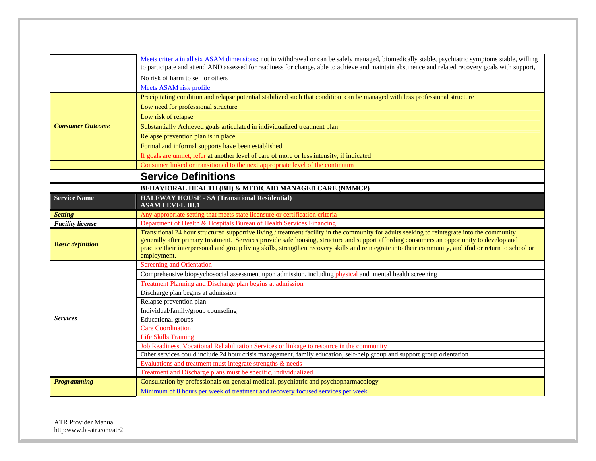|                         | Meets criteria in all six ASAM dimensions: not in withdrawal or can be safely managed, biomedically stable, psychiatric symptoms stable, willing<br>to participate and attend AND assessed for readiness for change, able to achieve and maintain abstinence and related recovery goals with support,                                                                                                                                                              |
|-------------------------|--------------------------------------------------------------------------------------------------------------------------------------------------------------------------------------------------------------------------------------------------------------------------------------------------------------------------------------------------------------------------------------------------------------------------------------------------------------------|
|                         | No risk of harm to self or others                                                                                                                                                                                                                                                                                                                                                                                                                                  |
|                         | Meets ASAM risk profile                                                                                                                                                                                                                                                                                                                                                                                                                                            |
|                         | Precipitating condition and relapse potential stabilized such that condition can be managed with less professional structure                                                                                                                                                                                                                                                                                                                                       |
|                         | Low need for professional structure                                                                                                                                                                                                                                                                                                                                                                                                                                |
|                         | Low risk of relapse                                                                                                                                                                                                                                                                                                                                                                                                                                                |
| <b>Consumer Outcome</b> | Substantially Achieved goals articulated in individualized treatment plan                                                                                                                                                                                                                                                                                                                                                                                          |
|                         | Relapse prevention plan is in place                                                                                                                                                                                                                                                                                                                                                                                                                                |
|                         | Formal and informal supports have been established                                                                                                                                                                                                                                                                                                                                                                                                                 |
|                         | If goals are unmet, refer at another level of care of more or less intensity, if indicated                                                                                                                                                                                                                                                                                                                                                                         |
|                         | Consumer linked or transitioned to the next appropriate level of the continuum                                                                                                                                                                                                                                                                                                                                                                                     |
|                         | <b>Service Definitions</b>                                                                                                                                                                                                                                                                                                                                                                                                                                         |
|                         |                                                                                                                                                                                                                                                                                                                                                                                                                                                                    |
|                         | <b>BEHAVIORAL HEALTH (BH) &amp; MEDICAID MANAGED CARE (NMMCP)</b>                                                                                                                                                                                                                                                                                                                                                                                                  |
| <b>Service Name</b>     | <b>HALFWAY HOUSE - SA (Transitional Residential)</b><br><b>ASAM LEVEL III.1</b>                                                                                                                                                                                                                                                                                                                                                                                    |
| <b>Setting</b>          | Any appropriate setting that meets state licensure or certification criteria                                                                                                                                                                                                                                                                                                                                                                                       |
| <b>Facility license</b> | Department of Health & Hospitals Bureau of Health Services Financing                                                                                                                                                                                                                                                                                                                                                                                               |
| <b>Basic definition</b> | Transitional 24 hour structured supportive living / treatment facility in the community for adults seeking to reintegrate into the community<br>generally after primary treatment. Services provide safe housing, structure and support affording consumers an opportunity to develop and<br>practice their interpersonal and group living skills, strengthen recovery skills and reintegrate into their community, and ifnd or return to school or<br>employment. |
|                         | <b>Screening and Orientation</b>                                                                                                                                                                                                                                                                                                                                                                                                                                   |
|                         | Comprehensive biopsychosocial assessment upon admission, including physical and mental health screening                                                                                                                                                                                                                                                                                                                                                            |
|                         | Treatment Planning and Discharge plan begins at admission                                                                                                                                                                                                                                                                                                                                                                                                          |
|                         | Discharge plan begins at admission                                                                                                                                                                                                                                                                                                                                                                                                                                 |
|                         | Relapse prevention plan                                                                                                                                                                                                                                                                                                                                                                                                                                            |
|                         | Individual/family/group counseling                                                                                                                                                                                                                                                                                                                                                                                                                                 |
| <b>Services</b>         | <b>Educational</b> groups                                                                                                                                                                                                                                                                                                                                                                                                                                          |
|                         | <b>Care Coordination</b>                                                                                                                                                                                                                                                                                                                                                                                                                                           |
|                         | <b>Life Skills Training</b>                                                                                                                                                                                                                                                                                                                                                                                                                                        |
|                         | Job Readiness, Vocational Rehabilitation Services or linkage to resource in the community                                                                                                                                                                                                                                                                                                                                                                          |
|                         | Other services could include 24 hour crisis management, family education, self-help group and support group orientation                                                                                                                                                                                                                                                                                                                                            |
|                         | Evaluations and treatment must integrate strengths & needs                                                                                                                                                                                                                                                                                                                                                                                                         |
|                         | Treatment and Discharge plans must be specific, individualized                                                                                                                                                                                                                                                                                                                                                                                                     |
| <b>Programming</b>      | Consultation by professionals on general medical, psychiatric and psychopharmacology                                                                                                                                                                                                                                                                                                                                                                               |
|                         | Minimum of 8 hours per week of treatment and recovery focused services per week                                                                                                                                                                                                                                                                                                                                                                                    |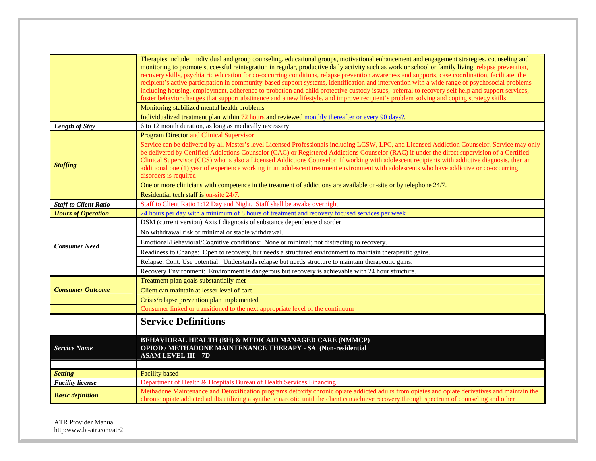|                              | Therapies include: individual and group counseling, educational groups, motivational enhancement and engagement strategies, counseling and<br>monitoring to promote successful reintegration in regular, productive daily activity such as work or school or family living, relapse prevention,<br>recovery skills, psychiatric education for co-occurring conditions, relapse prevention awareness and supports, case coordination, facilitate the<br>recipient's active participation in community-based support systems, identification and intervention with a wide range of psychosocial problems<br>including housing, employment, adherence to probation and child protective custody issues, referral to recovery self help and support services,<br>foster behavior changes that support abstinence and a new lifestyle, and improve recipient's problem solving and coping strategy skills<br>Monitoring stabilized mental health problems<br>Individualized treatment plan within 72 hours and reviewed monthly thereafter or every 90 days?. |
|------------------------------|----------------------------------------------------------------------------------------------------------------------------------------------------------------------------------------------------------------------------------------------------------------------------------------------------------------------------------------------------------------------------------------------------------------------------------------------------------------------------------------------------------------------------------------------------------------------------------------------------------------------------------------------------------------------------------------------------------------------------------------------------------------------------------------------------------------------------------------------------------------------------------------------------------------------------------------------------------------------------------------------------------------------------------------------------------|
| <b>Length of Stay</b>        | 6 to 12 month duration, as long as medically necessary                                                                                                                                                                                                                                                                                                                                                                                                                                                                                                                                                                                                                                                                                                                                                                                                                                                                                                                                                                                                   |
|                              | <b>Program Director and Clinical Supervisor</b>                                                                                                                                                                                                                                                                                                                                                                                                                                                                                                                                                                                                                                                                                                                                                                                                                                                                                                                                                                                                          |
| <b>Staffing</b>              | Service can be delivered by all Master's level Licensed Professionals including LCSW, LPC, and Licensed Addiction Counselor. Service may only<br>be delivered by Certified Addictions Counselor (CAC) or Registered Addictions Counselor (RAC) if under the direct supervision of a Certified<br>Clinical Supervisor (CCS) who is also a Licensed Addictions Counselor. If working with adolescent recipients with addictive diagnosis, then an<br>additional one (1) year of experience working in an adolescent treatment environment with adolescents who have addictive or co-occurring<br>disorders is required                                                                                                                                                                                                                                                                                                                                                                                                                                     |
|                              | One or more clinicians with competence in the treatment of addictions are available on-site or by telephone 24/7.                                                                                                                                                                                                                                                                                                                                                                                                                                                                                                                                                                                                                                                                                                                                                                                                                                                                                                                                        |
|                              | Residential tech staff is on-site 24/7.                                                                                                                                                                                                                                                                                                                                                                                                                                                                                                                                                                                                                                                                                                                                                                                                                                                                                                                                                                                                                  |
| <b>Staff to Client Ratio</b> | Staff to Client Ratio 1:12 Day and Night. Staff shall be awake overnight.                                                                                                                                                                                                                                                                                                                                                                                                                                                                                                                                                                                                                                                                                                                                                                                                                                                                                                                                                                                |
| <b>Hours of Operation</b>    | 24 hours per day with a minimum of 8 hours of treatment and recovery focused services per week                                                                                                                                                                                                                                                                                                                                                                                                                                                                                                                                                                                                                                                                                                                                                                                                                                                                                                                                                           |
|                              | DSM (current version) Axis I diagnosis of substance dependence disorder                                                                                                                                                                                                                                                                                                                                                                                                                                                                                                                                                                                                                                                                                                                                                                                                                                                                                                                                                                                  |
|                              | No withdrawal risk or minimal or stable withdrawal.                                                                                                                                                                                                                                                                                                                                                                                                                                                                                                                                                                                                                                                                                                                                                                                                                                                                                                                                                                                                      |
| <b>Consumer Need</b>         | Emotional/Behavioral/Cognitive conditions: None or minimal; not distracting to recovery.                                                                                                                                                                                                                                                                                                                                                                                                                                                                                                                                                                                                                                                                                                                                                                                                                                                                                                                                                                 |
|                              | Readiness to Change: Open to recovery, but needs a structured environment to maintain therapeutic gains.                                                                                                                                                                                                                                                                                                                                                                                                                                                                                                                                                                                                                                                                                                                                                                                                                                                                                                                                                 |
|                              | Relapse, Cont. Use potential: Understands relapse but needs structure to maintain therapeutic gains.                                                                                                                                                                                                                                                                                                                                                                                                                                                                                                                                                                                                                                                                                                                                                                                                                                                                                                                                                     |
|                              | Recovery Environment: Environment is dangerous but recovery is achievable with 24 hour structure.                                                                                                                                                                                                                                                                                                                                                                                                                                                                                                                                                                                                                                                                                                                                                                                                                                                                                                                                                        |
|                              | Treatment plan goals substantially met                                                                                                                                                                                                                                                                                                                                                                                                                                                                                                                                                                                                                                                                                                                                                                                                                                                                                                                                                                                                                   |
| <b>Consumer Outcome</b>      | Client can maintain at lesser level of care                                                                                                                                                                                                                                                                                                                                                                                                                                                                                                                                                                                                                                                                                                                                                                                                                                                                                                                                                                                                              |
|                              | Crisis/relapse prevention plan implemented                                                                                                                                                                                                                                                                                                                                                                                                                                                                                                                                                                                                                                                                                                                                                                                                                                                                                                                                                                                                               |
|                              | Consumer linked or transitioned to the next appropriate level of the continuum                                                                                                                                                                                                                                                                                                                                                                                                                                                                                                                                                                                                                                                                                                                                                                                                                                                                                                                                                                           |
|                              | <b>Service Definitions</b>                                                                                                                                                                                                                                                                                                                                                                                                                                                                                                                                                                                                                                                                                                                                                                                                                                                                                                                                                                                                                               |
| <b>Service Name</b>          | <b>BEHAVIORAL HEALTH (BH) &amp; MEDICAID MANAGED CARE (NMMCP)</b><br><b>OPIOD / METHADONE MAINTENANCE THERAPY - SA (Non-residential</b><br><b>ASAM LEVEL III - 7D</b>                                                                                                                                                                                                                                                                                                                                                                                                                                                                                                                                                                                                                                                                                                                                                                                                                                                                                    |
| <b>Setting</b>               | <b>Facility</b> based                                                                                                                                                                                                                                                                                                                                                                                                                                                                                                                                                                                                                                                                                                                                                                                                                                                                                                                                                                                                                                    |
| <b>Facility</b> license      | Department of Health & Hospitals Bureau of Health Services Financing                                                                                                                                                                                                                                                                                                                                                                                                                                                                                                                                                                                                                                                                                                                                                                                                                                                                                                                                                                                     |
| <b>Basic definition</b>      | Methadone Maintenance and Detoxification programs detoxify chronic opiate addicted adults from opiates and opiate derivatives and maintain the<br>chronic opiate addicted adults utilizing a synthetic narcotic until the client can achieve recovery through spectrum of counseling and other                                                                                                                                                                                                                                                                                                                                                                                                                                                                                                                                                                                                                                                                                                                                                           |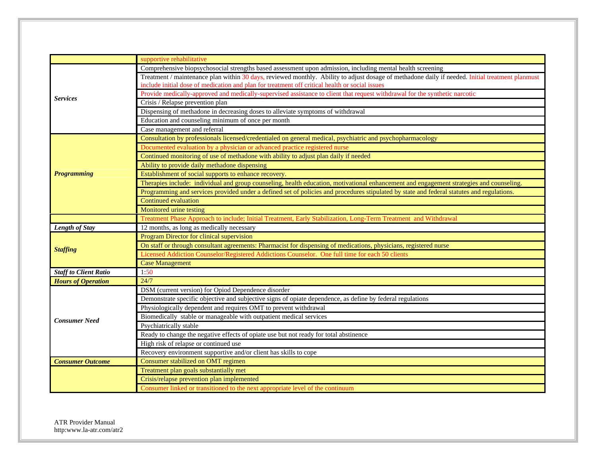|                              | supportive rehabilitative                                                                                                                        |
|------------------------------|--------------------------------------------------------------------------------------------------------------------------------------------------|
|                              | Comprehensive biopsychosocial strengths based assessment upon admission, including mental health screening                                       |
|                              | Treatment / maintenance plan within 30 days, reviewed monthly. Ability to adjust dosage of methadone daily if needed. Initial treatment planmust |
|                              | include initial dose of medication and plan for treatment off critical health or social issues                                                   |
| <b>Services</b>              | Provide medically-approved and medically-supervised assistance to client that request withdrawal for the synthetic narcotic                      |
|                              | Crisis / Relapse prevention plan                                                                                                                 |
|                              | Dispensing of methadone in decreasing doses to alleviate symptoms of withdrawal                                                                  |
|                              | Education and counseling minimum of once per month                                                                                               |
|                              | Case management and referral                                                                                                                     |
|                              | Consultation by professionals licensed/credentialed on general medical, psychiatric and psychopharmacology                                       |
|                              | Documented evaluation by a physician or advanced practice registered nurse                                                                       |
|                              | Continued monitoring of use of methadone with ability to adjust plan daily if needed                                                             |
|                              | Ability to provide daily methadone dispensing                                                                                                    |
| <b>Programming</b>           | Establishment of social supports to enhance recovery.                                                                                            |
|                              | Therapies include: individual and group counseling, health education, motivational enhancement and engagement strategies and counseling.         |
|                              | Programming and services provided under a defined set of policies and procedures stipulated by state and federal statutes and regulations.       |
|                              | Continued evaluation                                                                                                                             |
|                              | Monitored urine testing                                                                                                                          |
|                              | Treatment Phase Approach to include; Initial Treatment, Early Stabilization, Long-Term Treatment and Withdrawal                                  |
| Length of Stay               | 12 months, as long as medically necessary                                                                                                        |
|                              | Program Director for clinical supervision                                                                                                        |
| <b>Staffing</b>              | On staff or through consultant agreements: Pharmacist for dispensing of medications, physicians, registered nurse                                |
|                              | Licensed Addiction Counselor/Registered Addictions Counselor. One full time for each 50 clients                                                  |
|                              | <b>Case Management</b>                                                                                                                           |
| <b>Staff to Client Ratio</b> | 1:50                                                                                                                                             |
| <b>Hours of Operation</b>    | 24/7                                                                                                                                             |
|                              | DSM (current version) for Opiod Dependence disorder                                                                                              |
|                              | Demonstrate specific objective and subjective signs of opiate dependence, as define by federal regulations                                       |
|                              | Physiologically dependent and requires OMT to prevent withdrawal                                                                                 |
| <b>Consumer Need</b>         | Biomedically stable or manageable with outpatient medical services                                                                               |
|                              | Psychiatrically stable                                                                                                                           |
|                              | Ready to change the negative effects of opiate use but not ready for total abstinence                                                            |
|                              | High risk of relapse or continued use                                                                                                            |
|                              | Recovery environment supportive and/or client has skills to cope                                                                                 |
| <b>Consumer Outcome</b>      | Consumer stabilized on OMT regimen                                                                                                               |
|                              | Treatment plan goals substantially met                                                                                                           |
|                              | Crisis/relapse prevention plan implemented                                                                                                       |
|                              | Consumer linked or transitioned to the next appropriate level of the continuum                                                                   |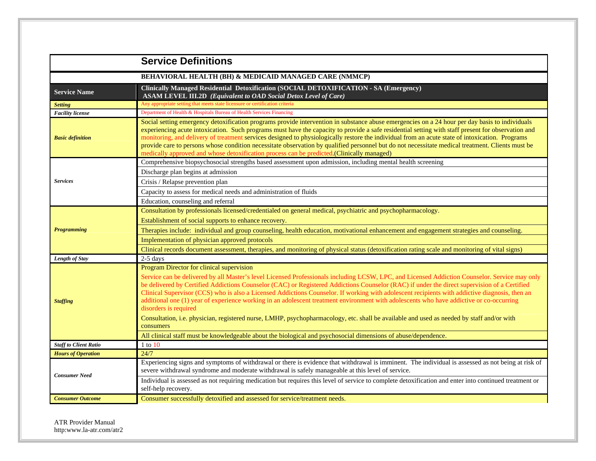|                              | <b>Service Definitions</b>                                                                                                                                                                                                                                                                                                                                                                                                                                                                                                                                                                                                                                                                               |
|------------------------------|----------------------------------------------------------------------------------------------------------------------------------------------------------------------------------------------------------------------------------------------------------------------------------------------------------------------------------------------------------------------------------------------------------------------------------------------------------------------------------------------------------------------------------------------------------------------------------------------------------------------------------------------------------------------------------------------------------|
|                              | BEHAVIORAL HEALTH (BH) & MEDICAID MANAGED CARE (NMMCP)                                                                                                                                                                                                                                                                                                                                                                                                                                                                                                                                                                                                                                                   |
| <b>Service Name</b>          | <b>Clinically Managed Residential Detoxification (SOCIAL DETOXIFICATION - SA (Emergency)</b><br><b>ASAM LEVEL III.2D</b> (Equivalent to OAD Social Detox Level of Care)                                                                                                                                                                                                                                                                                                                                                                                                                                                                                                                                  |
| <b>Setting</b>               | Any appropriate setting that meets state licensure or certification criteria                                                                                                                                                                                                                                                                                                                                                                                                                                                                                                                                                                                                                             |
| <b>Facility</b> license      | Department of Health & Hospitals Bureau of Health Services Financing                                                                                                                                                                                                                                                                                                                                                                                                                                                                                                                                                                                                                                     |
| <b>Basic definition</b>      | Social setting emergency detoxification programs provide intervention in substance abuse emergencies on a 24 hour per day basis to individuals<br>experiencing acute intoxication. Such programs must have the capacity to provide a safe residential setting with staff present for observation and<br>monitoring, and delivery of treatment services designed to physiologically restore the individual from an acute state of intoxication. Programs<br>provide care to persons whose condition necessitate observation by qualified personnel but do not necessitate medical treatment. Clients must be<br>medically approved and whose detoxification process can be predicted.(Clinically managed) |
|                              | Comprehensive biopsychosocial strengths based assessment upon admission, including mental health screening                                                                                                                                                                                                                                                                                                                                                                                                                                                                                                                                                                                               |
|                              | Discharge plan begins at admission                                                                                                                                                                                                                                                                                                                                                                                                                                                                                                                                                                                                                                                                       |
| <b>Services</b>              | Crisis / Relapse prevention plan                                                                                                                                                                                                                                                                                                                                                                                                                                                                                                                                                                                                                                                                         |
|                              | Capacity to assess for medical needs and administration of fluids                                                                                                                                                                                                                                                                                                                                                                                                                                                                                                                                                                                                                                        |
|                              | Education, counseling and referral                                                                                                                                                                                                                                                                                                                                                                                                                                                                                                                                                                                                                                                                       |
|                              | Consultation by professionals licensed/credentialed on general medical, psychiatric and psychopharmacology.                                                                                                                                                                                                                                                                                                                                                                                                                                                                                                                                                                                              |
|                              | Establishment of social supports to enhance recovery.                                                                                                                                                                                                                                                                                                                                                                                                                                                                                                                                                                                                                                                    |
| <b>Programming</b>           | Therapies include: individual and group counseling, health education, motivational enhancement and engagement strategies and counseling.                                                                                                                                                                                                                                                                                                                                                                                                                                                                                                                                                                 |
|                              | Implementation of physician approved protocols                                                                                                                                                                                                                                                                                                                                                                                                                                                                                                                                                                                                                                                           |
|                              | Clinical records document assessment, therapies, and monitoring of physical status (detoxification rating scale and monitoring of vital signs)                                                                                                                                                                                                                                                                                                                                                                                                                                                                                                                                                           |
| Length of Stay               | $2-5$ days                                                                                                                                                                                                                                                                                                                                                                                                                                                                                                                                                                                                                                                                                               |
|                              | Program Director for clinical supervision                                                                                                                                                                                                                                                                                                                                                                                                                                                                                                                                                                                                                                                                |
| <b>Staffing</b>              | Service can be delivered by all Master's level Licensed Professionals including LCSW, LPC, and Licensed Addiction Counselor. Service may only<br>be delivered by Certified Addictions Counselor (CAC) or Registered Addictions Counselor (RAC) if under the direct supervision of a Certified<br>Clinical Supervisor (CCS) who is also a Licensed Addictions Counselor. If working with adolescent recipients with addictive diagnosis, then an<br>additional one (1) year of experience working in an adolescent treatment environment with adolescents who have addictive or co-occurring<br>disorders is required                                                                                     |
|                              | Consultation, i.e. physician, registered nurse, LMHP, psychopharmacology, etc. shall be available and used as needed by staff and/or with<br>consumers                                                                                                                                                                                                                                                                                                                                                                                                                                                                                                                                                   |
|                              | All clinical staff must be knowledgeable about the biological and psychosocial dimensions of abuse/dependence.                                                                                                                                                                                                                                                                                                                                                                                                                                                                                                                                                                                           |
| <b>Staff to Client Ratio</b> | $1$ to $10$                                                                                                                                                                                                                                                                                                                                                                                                                                                                                                                                                                                                                                                                                              |
| <b>Hours of Operation</b>    | 24/7                                                                                                                                                                                                                                                                                                                                                                                                                                                                                                                                                                                                                                                                                                     |
| <b>Consumer Need</b>         | Experiencing signs and symptoms of withdrawal or there is evidence that withdrawal is imminent. The individual is assessed as not being at risk of<br>severe withdrawal syndrome and moderate withdrawal is safely manageable at this level of service.                                                                                                                                                                                                                                                                                                                                                                                                                                                  |
|                              | Individual is assessed as not requiring medication but requires this level of service to complete detoxification and enter into continued treatment or<br>self-help recovery.                                                                                                                                                                                                                                                                                                                                                                                                                                                                                                                            |
| <b>Consumer Outcome</b>      | Consumer successfully detoxified and assessed for service/treatment needs.                                                                                                                                                                                                                                                                                                                                                                                                                                                                                                                                                                                                                               |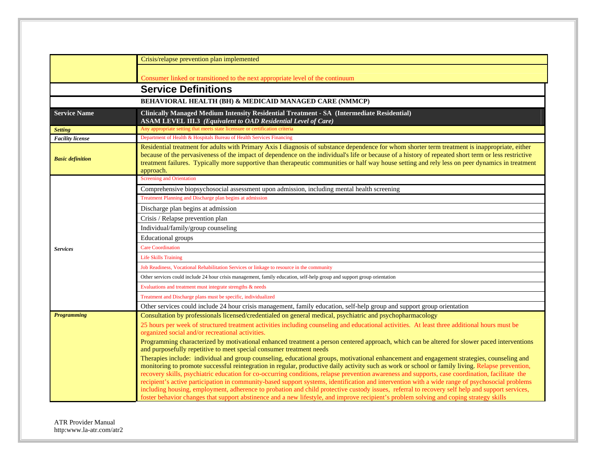|                         | Crisis/relapse prevention plan implemented                                                                                                                                                                                                                                                                                                                                                                                                                                                                                                                                                                                                                                                                                                                                                                                                                                                           |
|-------------------------|------------------------------------------------------------------------------------------------------------------------------------------------------------------------------------------------------------------------------------------------------------------------------------------------------------------------------------------------------------------------------------------------------------------------------------------------------------------------------------------------------------------------------------------------------------------------------------------------------------------------------------------------------------------------------------------------------------------------------------------------------------------------------------------------------------------------------------------------------------------------------------------------------|
|                         |                                                                                                                                                                                                                                                                                                                                                                                                                                                                                                                                                                                                                                                                                                                                                                                                                                                                                                      |
|                         | Consumer linked or transitioned to the next appropriate level of the continuum                                                                                                                                                                                                                                                                                                                                                                                                                                                                                                                                                                                                                                                                                                                                                                                                                       |
|                         | <b>Service Definitions</b>                                                                                                                                                                                                                                                                                                                                                                                                                                                                                                                                                                                                                                                                                                                                                                                                                                                                           |
|                         | <b>BEHAVIORAL HEALTH (BH) &amp; MEDICAID MANAGED CARE (NMMCP)</b>                                                                                                                                                                                                                                                                                                                                                                                                                                                                                                                                                                                                                                                                                                                                                                                                                                    |
| <b>Service Name</b>     | Clinically Managed Medium Intensity Residential Treatment - SA (Intermediate Residential)<br><b>ASAM LEVEL III.3</b> (Equivalent to OAD Residential Level of Care)                                                                                                                                                                                                                                                                                                                                                                                                                                                                                                                                                                                                                                                                                                                                   |
| <b>Setting</b>          | Any appropriate setting that meets state licensure or certification criteria                                                                                                                                                                                                                                                                                                                                                                                                                                                                                                                                                                                                                                                                                                                                                                                                                         |
| <b>Facility</b> license | Department of Health & Hospitals Bureau of Health Services Financing                                                                                                                                                                                                                                                                                                                                                                                                                                                                                                                                                                                                                                                                                                                                                                                                                                 |
| <b>Basic definition</b> | Residential treatment for adults with Primary Axis I diagnosis of substance dependence for whom shorter term treatment is inappropriate, either<br>because of the pervasiveness of the impact of dependence on the individual's life or because of a history of repeated short term or less restrictive<br>treatment failures. Typically more supportive than therapeutic communities or half way house setting and rely less on peer dynamics in treatment<br>approach.                                                                                                                                                                                                                                                                                                                                                                                                                             |
|                         | <b>Screening and Orientation</b>                                                                                                                                                                                                                                                                                                                                                                                                                                                                                                                                                                                                                                                                                                                                                                                                                                                                     |
|                         | Comprehensive biopsychosocial assessment upon admission, including mental health screening                                                                                                                                                                                                                                                                                                                                                                                                                                                                                                                                                                                                                                                                                                                                                                                                           |
|                         | Treatment Planning and Discharge plan begins at admission                                                                                                                                                                                                                                                                                                                                                                                                                                                                                                                                                                                                                                                                                                                                                                                                                                            |
|                         | Discharge plan begins at admission                                                                                                                                                                                                                                                                                                                                                                                                                                                                                                                                                                                                                                                                                                                                                                                                                                                                   |
|                         | Crisis / Relapse prevention plan                                                                                                                                                                                                                                                                                                                                                                                                                                                                                                                                                                                                                                                                                                                                                                                                                                                                     |
|                         | Individual/family/group counseling                                                                                                                                                                                                                                                                                                                                                                                                                                                                                                                                                                                                                                                                                                                                                                                                                                                                   |
|                         | <b>Educational</b> groups                                                                                                                                                                                                                                                                                                                                                                                                                                                                                                                                                                                                                                                                                                                                                                                                                                                                            |
| <b>Services</b>         | <b>Care Coordination</b>                                                                                                                                                                                                                                                                                                                                                                                                                                                                                                                                                                                                                                                                                                                                                                                                                                                                             |
|                         | <b>Life Skills Training</b>                                                                                                                                                                                                                                                                                                                                                                                                                                                                                                                                                                                                                                                                                                                                                                                                                                                                          |
|                         | Job Readiness, Vocational Rehabilitation Services or linkage to resource in the community                                                                                                                                                                                                                                                                                                                                                                                                                                                                                                                                                                                                                                                                                                                                                                                                            |
|                         | Other services could include 24 hour crisis management, family education, self-help group and support group orientation                                                                                                                                                                                                                                                                                                                                                                                                                                                                                                                                                                                                                                                                                                                                                                              |
|                         | Evaluations and treatment must integrate strengths & needs                                                                                                                                                                                                                                                                                                                                                                                                                                                                                                                                                                                                                                                                                                                                                                                                                                           |
|                         | Treatment and Discharge plans must be specific, individualized                                                                                                                                                                                                                                                                                                                                                                                                                                                                                                                                                                                                                                                                                                                                                                                                                                       |
|                         | Other services could include 24 hour crisis management, family education, self-help group and support group orientation                                                                                                                                                                                                                                                                                                                                                                                                                                                                                                                                                                                                                                                                                                                                                                              |
| <b>Programming</b>      | Consultation by professionals licensed/credentialed on general medical, psychiatric and psychopharmacology                                                                                                                                                                                                                                                                                                                                                                                                                                                                                                                                                                                                                                                                                                                                                                                           |
|                         | 25 hours per week of structured treatment activities including counseling and educational activities. At least three additional hours must be                                                                                                                                                                                                                                                                                                                                                                                                                                                                                                                                                                                                                                                                                                                                                        |
|                         | organized social and/or recreational activities.                                                                                                                                                                                                                                                                                                                                                                                                                                                                                                                                                                                                                                                                                                                                                                                                                                                     |
|                         | Programming characterized by motivational enhanced treatment a person centered approach, which can be altered for slower paced interventions<br>and purposefully repetitive to meet special consumer treatment needs                                                                                                                                                                                                                                                                                                                                                                                                                                                                                                                                                                                                                                                                                 |
|                         | Therapies include: individual and group counseling, educational groups, motivational enhancement and engagement strategies, counseling and<br>monitoring to promote successful reintegration in regular, productive daily activity such as work or school or family living. Relapse prevention,<br>recovery skills, psychiatric education for co-occurring conditions, relapse prevention awareness and supports, case coordination, facilitate the<br>recipient's active participation in community-based support systems, identification and intervention with a wide range of psychosocial problems<br>including housing, employment, adherence to probation and child protective custody issues, referral to recovery self help and support services,<br>foster behavior changes that support abstinence and a new lifestyle, and improve recipient's problem solving and coping strategy skills |